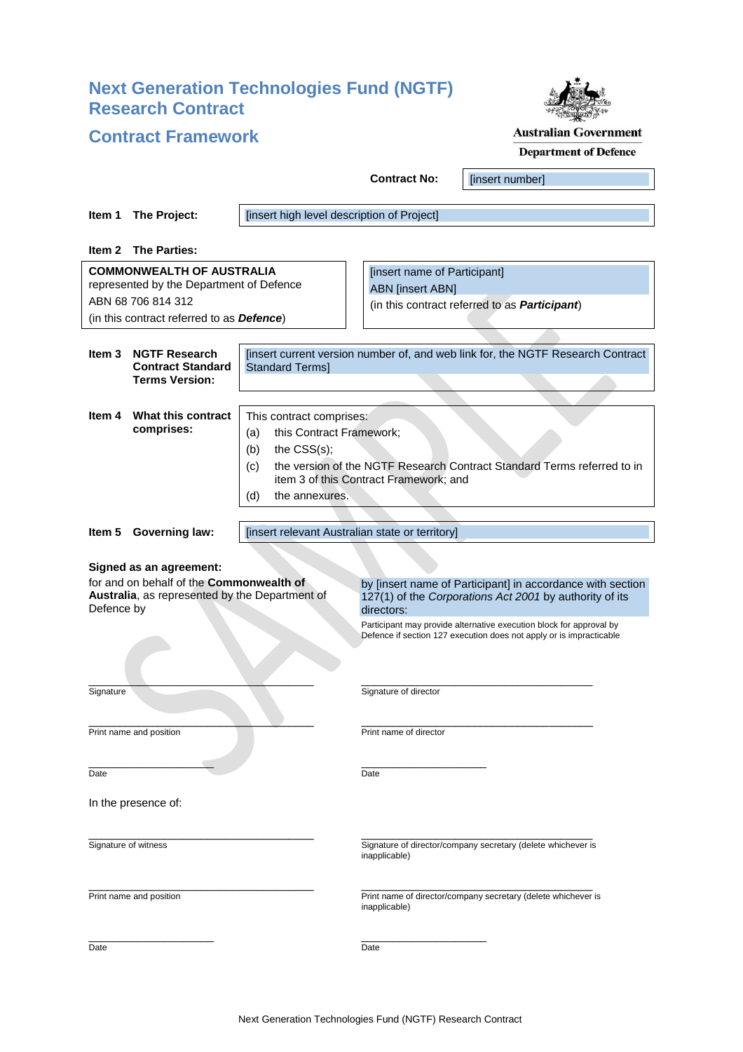# **Next Generation Technologies Fund (NGTF) Research Contract**



# **Contract Framework**

# **Australian Government**

| <b>Department of Defence</b> |  |
|------------------------------|--|
|------------------------------|--|

|                                                                                                                                                                                                                                                                                                                                                                                                                                 |                                                                                                       |                                                                                                                                                                                                                                          | <b>Contract No:</b>                                                                                              | [insert number] |  |  |
|---------------------------------------------------------------------------------------------------------------------------------------------------------------------------------------------------------------------------------------------------------------------------------------------------------------------------------------------------------------------------------------------------------------------------------|-------------------------------------------------------------------------------------------------------|------------------------------------------------------------------------------------------------------------------------------------------------------------------------------------------------------------------------------------------|------------------------------------------------------------------------------------------------------------------|-----------------|--|--|
| Item 1                                                                                                                                                                                                                                                                                                                                                                                                                          | The Project:                                                                                          | [insert high level description of Project]                                                                                                                                                                                               |                                                                                                                  |                 |  |  |
|                                                                                                                                                                                                                                                                                                                                                                                                                                 | Item 2 The Parties:                                                                                   |                                                                                                                                                                                                                                          |                                                                                                                  |                 |  |  |
| <b>COMMONWEALTH OF AUSTRALIA</b><br>represented by the Department of Defence<br>ABN 68 706 814 312                                                                                                                                                                                                                                                                                                                              |                                                                                                       |                                                                                                                                                                                                                                          | [insert name of Participant]<br><b>ABN</b> [insert ABN]<br>(in this contract referred to as <b>Participant</b> ) |                 |  |  |
|                                                                                                                                                                                                                                                                                                                                                                                                                                 | (in this contract referred to as <b>Defence</b> )                                                     |                                                                                                                                                                                                                                          |                                                                                                                  |                 |  |  |
| Item 3                                                                                                                                                                                                                                                                                                                                                                                                                          | <b>NGTF Research</b><br><b>Contract Standard</b><br><b>Terms Version:</b>                             | [insert current version number of, and web link for, the NGTF Research Contract<br><b>Standard Terms]</b>                                                                                                                                |                                                                                                                  |                 |  |  |
| ltem 4                                                                                                                                                                                                                                                                                                                                                                                                                          | What this contract<br>comprises:                                                                      | This contract comprises:<br>this Contract Framework;<br>(a)<br>the $CSS(s);$<br>(b)<br>the version of the NGTF Research Contract Standard Terms referred to in<br>(c)<br>item 3 of this Contract Framework; and<br>(d)<br>the annexures. |                                                                                                                  |                 |  |  |
|                                                                                                                                                                                                                                                                                                                                                                                                                                 |                                                                                                       |                                                                                                                                                                                                                                          |                                                                                                                  |                 |  |  |
|                                                                                                                                                                                                                                                                                                                                                                                                                                 | Item 5 Governing law:                                                                                 | [insert relevant Australian state or territory]                                                                                                                                                                                          |                                                                                                                  |                 |  |  |
| Signed as an agreement:<br>for and on behalf of the <b>Commonwealth of</b><br>by [insert name of Participant] in accordance with section<br>Australia, as represented by the Department of<br>127(1) of the Corporations Act 2001 by authority of its<br>Defence by<br>directors:<br>Participant may provide alternative execution block for approval by<br>Defence if section 127 execution does not apply or is impracticable |                                                                                                       |                                                                                                                                                                                                                                          |                                                                                                                  |                 |  |  |
| Signature                                                                                                                                                                                                                                                                                                                                                                                                                       |                                                                                                       |                                                                                                                                                                                                                                          | Signature of director                                                                                            |                 |  |  |
|                                                                                                                                                                                                                                                                                                                                                                                                                                 | Print name and position                                                                               |                                                                                                                                                                                                                                          | Print name of director                                                                                           |                 |  |  |
| Date                                                                                                                                                                                                                                                                                                                                                                                                                            |                                                                                                       |                                                                                                                                                                                                                                          | Date                                                                                                             |                 |  |  |
|                                                                                                                                                                                                                                                                                                                                                                                                                                 | In the presence of:                                                                                   |                                                                                                                                                                                                                                          |                                                                                                                  |                 |  |  |
|                                                                                                                                                                                                                                                                                                                                                                                                                                 | Signature of witness<br>Signature of director/company secretary (delete whichever is<br>inapplicable) |                                                                                                                                                                                                                                          |                                                                                                                  |                 |  |  |
|                                                                                                                                                                                                                                                                                                                                                                                                                                 | Print name and position                                                                               |                                                                                                                                                                                                                                          | Print name of director/company secretary (delete whichever is<br>inapplicable)                                   |                 |  |  |
| Date                                                                                                                                                                                                                                                                                                                                                                                                                            |                                                                                                       | Date                                                                                                                                                                                                                                     |                                                                                                                  |                 |  |  |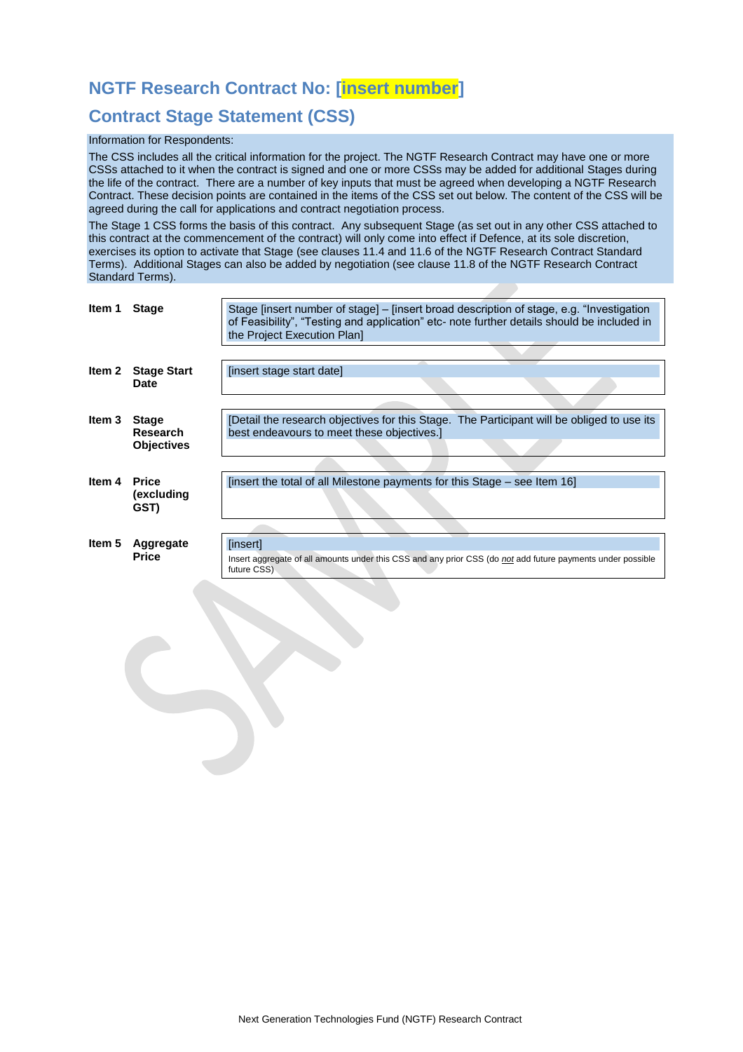# **NGTF Research Contract No: [insert number]**

# **Contract Stage Statement (CSS)**

### Information for Respondents:

The CSS includes all the critical information for the project. The NGTF Research Contract may have one or more CSSs attached to it when the contract is signed and one or more CSSs may be added for additional Stages during the life of the contract. There are a number of key inputs that must be agreed when developing a NGTF Research Contract. These decision points are contained in the items of the CSS set out below. The content of the CSS will be agreed during the call for applications and contract negotiation process.

The Stage 1 CSS forms the basis of this contract. Any subsequent Stage (as set out in any other CSS attached to this contract at the commencement of the contract) will only come into effect if Defence, at its sole discretion, exercises its option to activate that Stage (see clauses [11.4](#page-10-0) an[d 11.6](#page-11-0) of the NGTF Research Contract Standard Terms). Additional Stages can also be added by negotiation (see claus[e 11.8](#page-11-1) of the NGTF Research Contract Standard Terms).

| ltem 1 | <b>Stage</b>                                         | Stage [insert number of stage] – [insert broad description of stage, e.g. "Investigation<br>of Feasibility", "Testing and application" etc- note further details should be included in<br>the Project Execution Plan] |
|--------|------------------------------------------------------|-----------------------------------------------------------------------------------------------------------------------------------------------------------------------------------------------------------------------|
|        |                                                      |                                                                                                                                                                                                                       |
| Item 2 | <b>Stage Start</b>                                   | [insert stage start date]                                                                                                                                                                                             |
|        | Date                                                 |                                                                                                                                                                                                                       |
|        |                                                      |                                                                                                                                                                                                                       |
| Item 3 | <b>Stage</b><br><b>Research</b><br><b>Objectives</b> | [Detail the research objectives for this Stage. The Participant will be obliged to use its<br>best endeavours to meet these objectives.                                                                               |
|        |                                                      |                                                                                                                                                                                                                       |
| ltem 4 | <b>Price</b><br>(excluding<br>GST)                   | [insert the total of all Milestone payments for this Stage – see Item 16]                                                                                                                                             |
|        |                                                      |                                                                                                                                                                                                                       |
| Item 5 | Aggregate<br><b>Price</b>                            | [insert]<br>Insert aggregate of all amounts under this CSS and any prior CSS (do not add future payments under possible<br>future CSS)                                                                                |
|        |                                                      |                                                                                                                                                                                                                       |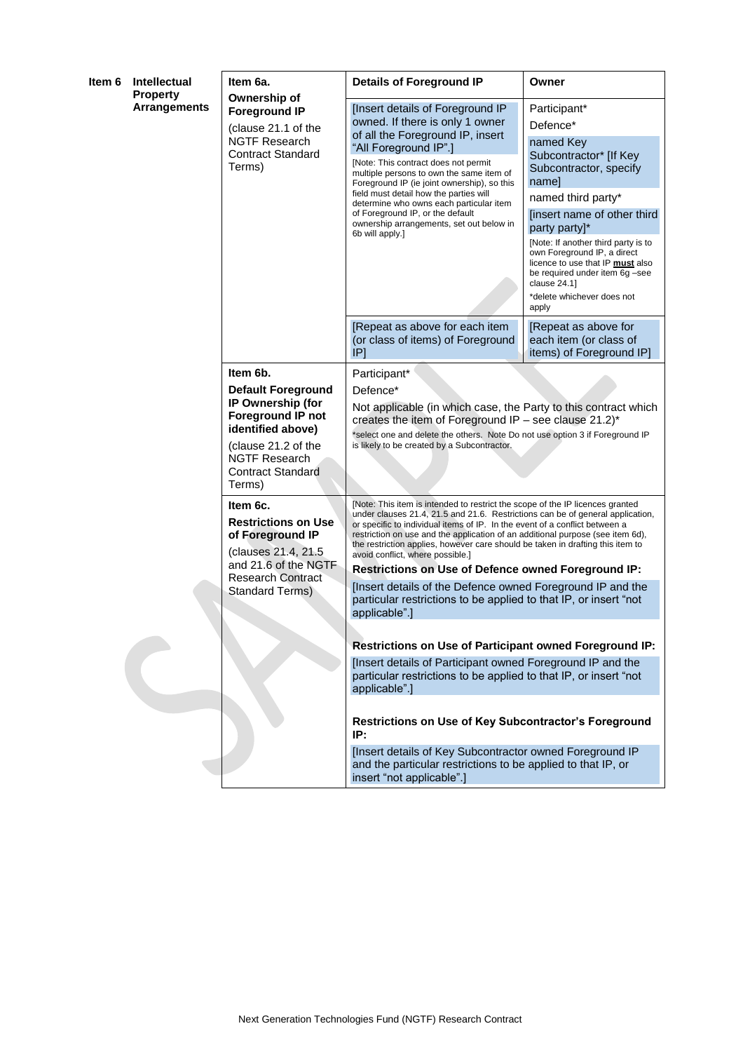| Intellectual<br>ltem 6<br><b>Property</b> |                     | Item 6a.                                                                                                                                                                                         | <b>Details of Foreground IP</b><br>Owner                                                                                                                                                                                                                                                                                                                                                                                                                                                                                                                                    |                                                                                                                                                                                                                                                                                                                                                                             |  |
|-------------------------------------------|---------------------|--------------------------------------------------------------------------------------------------------------------------------------------------------------------------------------------------|-----------------------------------------------------------------------------------------------------------------------------------------------------------------------------------------------------------------------------------------------------------------------------------------------------------------------------------------------------------------------------------------------------------------------------------------------------------------------------------------------------------------------------------------------------------------------------|-----------------------------------------------------------------------------------------------------------------------------------------------------------------------------------------------------------------------------------------------------------------------------------------------------------------------------------------------------------------------------|--|
|                                           | <b>Arrangements</b> | Ownership of<br><b>Foreground IP</b><br>(clause 21.1 of the<br><b>NGTF Research</b><br><b>Contract Standard</b><br>Terms)                                                                        | [Insert details of Foreground IP<br>owned. If there is only 1 owner<br>of all the Foreground IP, insert<br>"All Foreground IP".]<br>[Note: This contract does not permit<br>multiple persons to own the same item of<br>Foreground IP (ie joint ownership), so this<br>field must detail how the parties will<br>determine who owns each particular item<br>of Foreground IP, or the default<br>ownership arrangements, set out below in<br>6b will apply.]                                                                                                                 | Participant*<br>Defence*<br>named Key<br>Subcontractor* [If Key<br>Subcontractor, specify<br>name]<br>named third party*<br>[insert name of other third<br>party party]*<br>[Note: If another third party is to<br>own Foreground IP, a direct<br>licence to use that IP must also<br>be required under item 6g -see<br>clause 24.1]<br>*delete whichever does not<br>apply |  |
|                                           |                     |                                                                                                                                                                                                  | [Repeat as above for each item<br>(or class of items) of Foreground<br>IP                                                                                                                                                                                                                                                                                                                                                                                                                                                                                                   | [Repeat as above for<br>each item (or class of<br>items) of Foreground IP]                                                                                                                                                                                                                                                                                                  |  |
|                                           |                     | Item 6b.<br><b>Default Foreground</b><br>IP Ownership (for<br><b>Foreground IP not</b><br>identified above)<br>(clause 21.2 of the<br><b>NGTF Research</b><br><b>Contract Standard</b><br>Terms) | Participant*<br>Defence*<br>Not applicable (in which case, the Party to this contract which<br>creates the item of Foreground IP - see clause $21.2$ )*<br>*select one and delete the others. Note Do not use option 3 if Foreground IP<br>is likely to be created by a Subcontractor.                                                                                                                                                                                                                                                                                      |                                                                                                                                                                                                                                                                                                                                                                             |  |
|                                           |                     | Item 6c.<br><b>Restrictions on Use</b><br>of Foreground IP<br>(clauses 21.4, 21.5)<br>and 21.6 of the NGTF<br>Research Contract<br>Standard Terms)                                               | [Note: This item is intended to restrict the scope of the IP licences granted<br>under clauses 21.4, 21.5 and 21.6. Restrictions can be of general application,<br>or specific to individual items of IP. In the event of a conflict between a<br>restriction on use and the application of an additional purpose (see item 6d),<br>the restriction applies, however care should be taken in drafting this item to<br>avoid conflict, where possible.]<br>Restrictions on Use of Defence owned Foreground IP:<br>[Insert details of the Defence owned Foreground IP and the |                                                                                                                                                                                                                                                                                                                                                                             |  |
|                                           |                     |                                                                                                                                                                                                  | particular restrictions to be applied to that IP, or insert "not<br>applicable".]<br>Restrictions on Use of Participant owned Foreground IP:                                                                                                                                                                                                                                                                                                                                                                                                                                |                                                                                                                                                                                                                                                                                                                                                                             |  |
|                                           |                     |                                                                                                                                                                                                  | [Insert details of Participant owned Foreground IP and the<br>particular restrictions to be applied to that IP, or insert "not<br>applicable".]                                                                                                                                                                                                                                                                                                                                                                                                                             |                                                                                                                                                                                                                                                                                                                                                                             |  |
|                                           |                     |                                                                                                                                                                                                  | Restrictions on Use of Key Subcontractor's Foreground<br>IP:                                                                                                                                                                                                                                                                                                                                                                                                                                                                                                                |                                                                                                                                                                                                                                                                                                                                                                             |  |
|                                           |                     |                                                                                                                                                                                                  | [Insert details of Key Subcontractor owned Foreground IP<br>and the particular restrictions to be applied to that IP, or<br>insert "not applicable".]                                                                                                                                                                                                                                                                                                                                                                                                                       |                                                                                                                                                                                                                                                                                                                                                                             |  |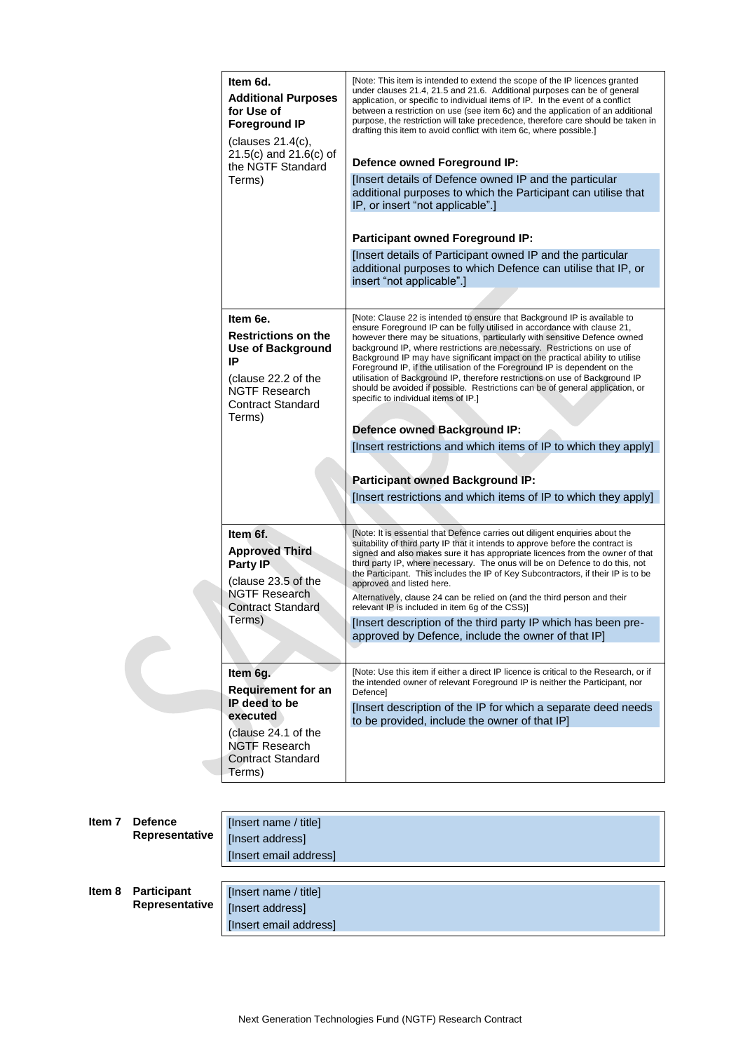| Item 6d.<br><b>Additional Purposes</b><br>for Use of<br><b>Foreground IP</b><br>(clauses 21.4(c),<br>$21.5(c)$ and $21.6(c)$ of<br>the NGTF Standard<br>Terms) | [Note: This item is intended to extend the scope of the IP licences granted<br>under clauses 21.4, 21.5 and 21.6. Additional purposes can be of general<br>application, or specific to individual items of IP. In the event of a conflict<br>between a restriction on use (see item 6c) and the application of an additional<br>purpose, the restriction will take precedence, therefore care should be taken in<br>drafting this item to avoid conflict with item 6c, where possible.]<br>Defence owned Foreground IP:<br>[Insert details of Defence owned IP and the particular<br>additional purposes to which the Participant can utilise that<br>IP, or insert "not applicable".]                                                                                                                                                      |
|----------------------------------------------------------------------------------------------------------------------------------------------------------------|---------------------------------------------------------------------------------------------------------------------------------------------------------------------------------------------------------------------------------------------------------------------------------------------------------------------------------------------------------------------------------------------------------------------------------------------------------------------------------------------------------------------------------------------------------------------------------------------------------------------------------------------------------------------------------------------------------------------------------------------------------------------------------------------------------------------------------------------|
|                                                                                                                                                                | <b>Participant owned Foreground IP:</b><br>[Insert details of Participant owned IP and the particular<br>additional purposes to which Defence can utilise that IP, or<br>insert "not applicable".]                                                                                                                                                                                                                                                                                                                                                                                                                                                                                                                                                                                                                                          |
|                                                                                                                                                                |                                                                                                                                                                                                                                                                                                                                                                                                                                                                                                                                                                                                                                                                                                                                                                                                                                             |
| Item 6e.<br><b>Restrictions on the</b><br><b>Use of Background</b><br>IP<br>(clause 22.2 of the<br><b>NGTF Research</b><br><b>Contract Standard</b><br>Terms)  | [Note: Clause 22 is intended to ensure that Background IP is available to<br>ensure Foreground IP can be fully utilised in accordance with clause 21,<br>however there may be situations, particularly with sensitive Defence owned<br>background IP, where restrictions are necessary. Restrictions on use of<br>Background IP may have significant impact on the practical ability to utilise<br>Foreground IP, if the utilisation of the Foreground IP is dependent on the<br>utilisation of Background IP, therefore restrictions on use of Background IP<br>should be avoided if possible. Restrictions can be of general application, or<br>specific to individual items of IP.]<br><b>Defence owned Background IP:</b><br>[Insert restrictions and which items of IP to which they apply]<br><b>Participant owned Background IP:</b> |
|                                                                                                                                                                | [Insert restrictions and which items of IP to which they apply]                                                                                                                                                                                                                                                                                                                                                                                                                                                                                                                                                                                                                                                                                                                                                                             |
| Item 6f.<br><b>Approved Third</b><br>Party IP<br>(clause 23.5 of the<br><b>NGTF Research</b><br>Contract Standard<br>Terms)                                    | [Note: It is essential that Defence carries out diligent enquiries about the<br>suitability of third party IP that it intends to approve before the contract is<br>signed and also makes sure it has appropriate licences from the owner of that<br>third party IP, where necessary. The onus will be on Defence to do this, not<br>the Participant. This includes the IP of Key Subcontractors, if their IP is to be<br>approved and listed here.<br>Alternatively, clause 24 can be relied on (and the third person and their<br>relevant IP is included in item 6g of the CSS)]<br>[Insert description of the third party IP which has been pre-<br>approved by Defence, include the owner of that IP]                                                                                                                                   |
| Item 6g.<br><b>Requirement for an</b><br>IP deed to be<br>executed<br>(clause 24.1 of the<br><b>NGTF Research</b><br><b>Contract Standard</b><br>Terms)        | [Note: Use this item if either a direct IP licence is critical to the Research, or if<br>the intended owner of relevant Foreground IP is neither the Participant, nor<br><b>Defencel</b><br>[Insert description of the IP for which a separate deed needs<br>to be provided, include the owner of that IP]                                                                                                                                                                                                                                                                                                                                                                                                                                                                                                                                  |

| Item <sub>7</sub>     |                                      | [Insert name / title]                                               |
|-----------------------|--------------------------------------|---------------------------------------------------------------------|
| <b>Defence</b>        |                                      | [Insert address]                                                    |
| <b>Representative</b> |                                      | [Insert email address]                                              |
| Item 8                | <b>Participant</b><br>Representative | [Insert name / title]<br>[Insert address]<br>[Insert email address] |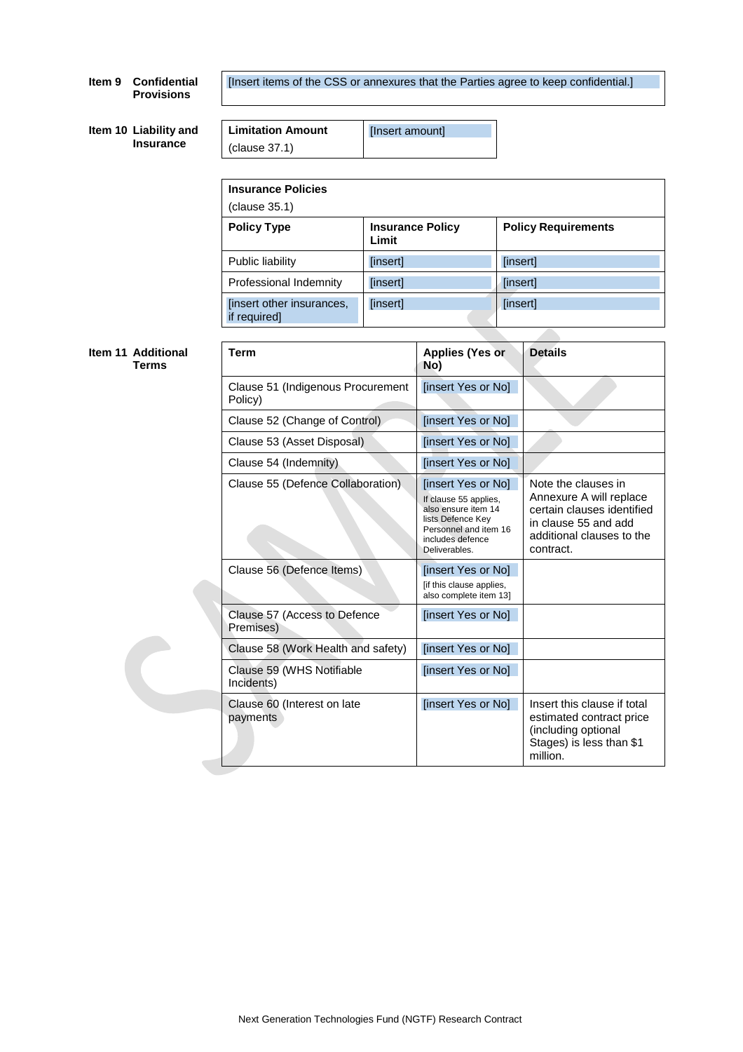# **Item 9 Confidential Provisions**

[Insert items of the CSS or annexures that the Parties agree to keep confidential.]

|  | Item 10 Liability and |
|--|-----------------------|
|  | <b>Insurance</b>      |

| <b>Limitation Amount</b> | [Insert amount] |
|--------------------------|-----------------|
| $\vert$ (clause 37.1)    |                 |

| <b>Insurance Policy</b><br>Limit | <b>Policy Requirements</b> |
|----------------------------------|----------------------------|
| [insert]                         | [insert]                   |
| [insert]                         | [insert]                   |
| [insert]                         | [insert]                   |
|                                  |                            |

٦

#### **Item 11 Additional Terms**

|  | Term                                         | <b>Applies (Yes or</b><br>No)                                                                                                                         | <b>Details</b>                                                                                                                                 |
|--|----------------------------------------------|-------------------------------------------------------------------------------------------------------------------------------------------------------|------------------------------------------------------------------------------------------------------------------------------------------------|
|  | Clause 51 (Indigenous Procurement<br>Policy) | [insert Yes or No]                                                                                                                                    |                                                                                                                                                |
|  | Clause 52 (Change of Control)                | [insert Yes or No]                                                                                                                                    |                                                                                                                                                |
|  | Clause 53 (Asset Disposal)                   | [insert Yes or No]                                                                                                                                    |                                                                                                                                                |
|  | Clause 54 (Indemnity)                        | [insert Yes or No]                                                                                                                                    |                                                                                                                                                |
|  | Clause 55 (Defence Collaboration).           | [insert Yes or No]<br>If clause 55 applies,<br>also ensure item 14<br>lists Defence Key<br>Personnel and item 16<br>includes defence<br>Deliverables. | Note the clauses in<br>Annexure A will replace<br>certain clauses identified<br>in clause 55 and add<br>additional clauses to the<br>contract. |
|  | Clause 56 (Defence Items)                    | [insert Yes or No]<br>[if this clause applies,<br>also complete item 13]                                                                              |                                                                                                                                                |
|  | Clause 57 (Access to Defence<br>Premises)    | [insert Yes or No]                                                                                                                                    |                                                                                                                                                |
|  | Clause 58 (Work Health and safety)           | [insert Yes or No]                                                                                                                                    |                                                                                                                                                |
|  | Clause 59 (WHS Notifiable<br>Incidents)      | [insert Yes or No]                                                                                                                                    |                                                                                                                                                |
|  | Clause 60 (Interest on late<br>payments      | [insert Yes or No]                                                                                                                                    | Insert this clause if total<br>estimated contract price<br>(including optional<br>Stages) is less than \$1<br>million.                         |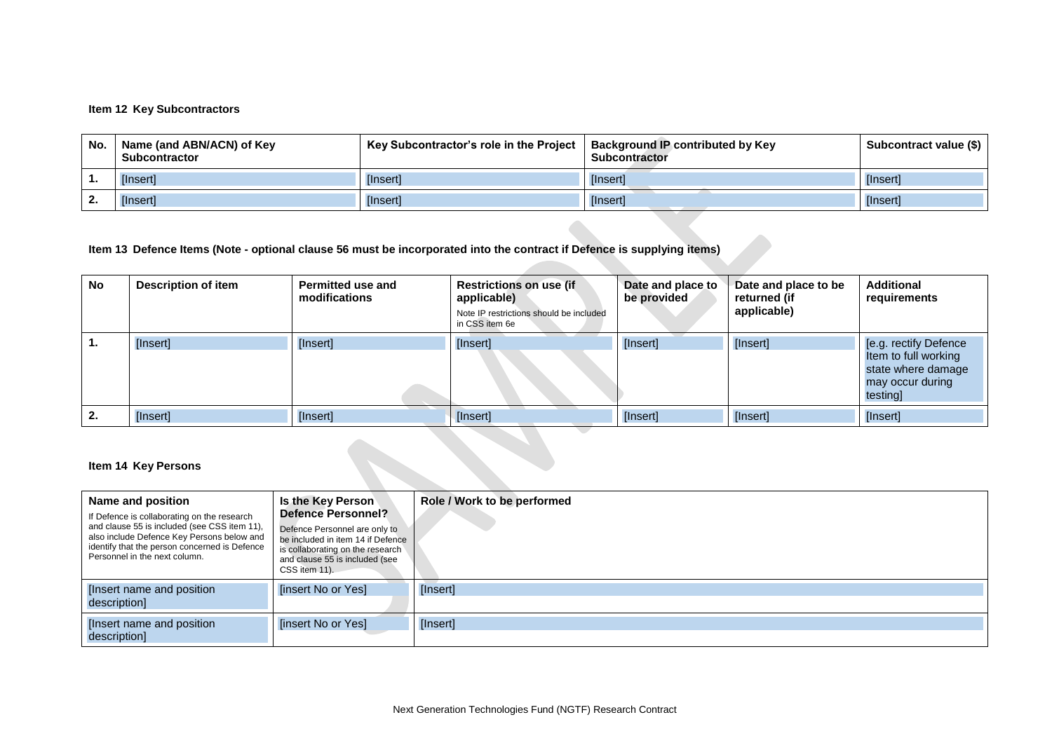# **Item 12 Key Subcontractors**

| No. | Name (and ABN/ACN) of Key<br><b>Subcontractor</b> | Key Subcontractor's role in the Project   Background IP contributed by Key | <b>Subcontractor</b> | Subcontract value (\$) |
|-----|---------------------------------------------------|----------------------------------------------------------------------------|----------------------|------------------------|
|     | [Insert]                                          | [Insert]                                                                   | <i>[Insert]</i>      | [Insert]               |
|     | [Insert]                                          | [Insert]                                                                   | [Insert]             | [Insert]               |

# **Item 13 Defence Items (Note - optional clause [56](#page-21-3) must be incorporated into the contract if Defence is supplying items)**

| <b>No</b> | Description of item | <b>Permitted use and</b><br>modifications | <b>Restrictions on use (if</b><br>applicable)<br>Note IP restrictions should be included<br>in CSS item 6e | Date and place to<br>be provided | Date and place to be<br>returned (if<br>applicable) | <b>Additional</b><br>requirements                                                                  |
|-----------|---------------------|-------------------------------------------|------------------------------------------------------------------------------------------------------------|----------------------------------|-----------------------------------------------------|----------------------------------------------------------------------------------------------------|
|           | [Insert]            | [Insert]                                  | [Insert]                                                                                                   | [Insert]                         | [Insert]                                            | [e.g. rectify Defence<br>Item to full working<br>state where damage<br>may occur during<br>testing |
| 2.        | [Insert]            | [Insert]                                  | [Insert]                                                                                                   | [Insert]                         | [Insert]                                            | [Insert]                                                                                           |

# **Item 14 Key Persons**

| Name and position<br>If Defence is collaborating on the research<br>and clause 55 is included (see CSS item 11).<br>also include Defence Key Persons below and<br>identify that the person concerned is Defence<br>Personnel in the next column. | Is the Key Person<br><b>Defence Personnel?</b><br>Defence Personnel are only to<br>be included in item 14 if Defence<br>is collaborating on the research<br>and clause 55 is included (see<br>CSS item 11). | Role / Work to be performed |
|--------------------------------------------------------------------------------------------------------------------------------------------------------------------------------------------------------------------------------------------------|-------------------------------------------------------------------------------------------------------------------------------------------------------------------------------------------------------------|-----------------------------|
| [Insert name and position]<br>description]                                                                                                                                                                                                       | [insert No or Yes]                                                                                                                                                                                          | [Insert]                    |
| [Insert name and position]<br>description]                                                                                                                                                                                                       | [insert No or Yes]                                                                                                                                                                                          | [Insert]                    |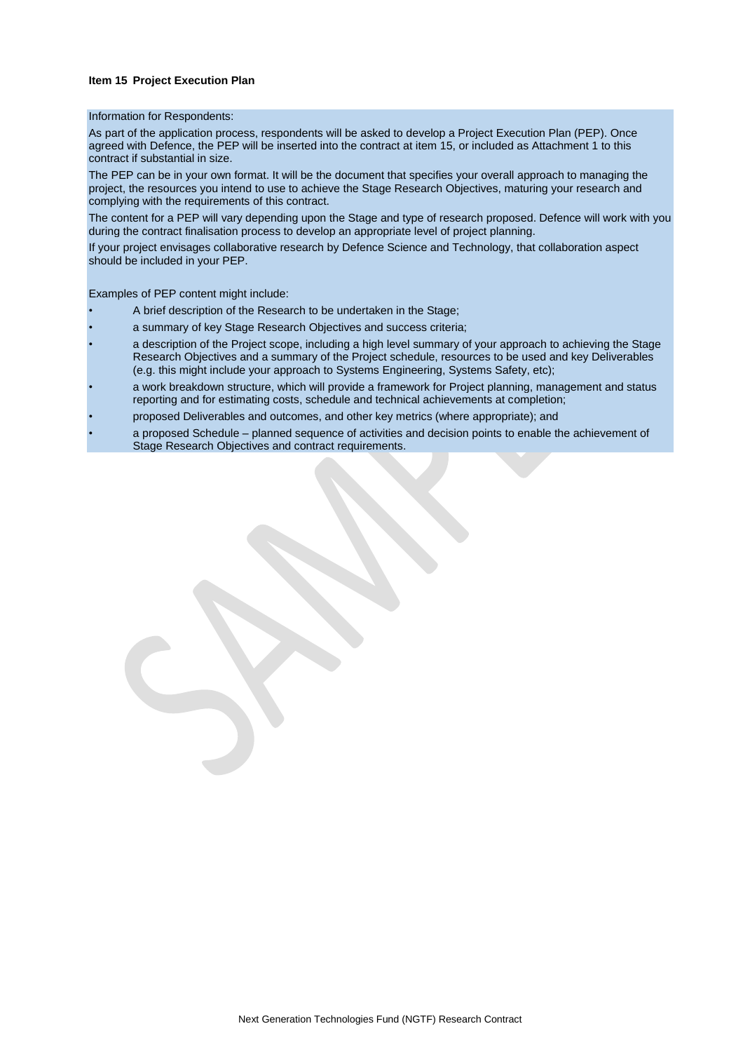### **Item 15 Project Execution Plan**

#### Information for Respondents:

As part of the application process, respondents will be asked to develop a Project Execution Plan (PEP). Once agreed with Defence, the PEP will be inserted into the contract at item 15, or included as Attachment 1 to this contract if substantial in size.

The PEP can be in your own format. It will be the document that specifies your overall approach to managing the project, the resources you intend to use to achieve the Stage Research Objectives, maturing your research and complying with the requirements of this contract.

The content for a PEP will vary depending upon the Stage and type of research proposed. Defence will work with you during the contract finalisation process to develop an appropriate level of project planning.

If your project envisages collaborative research by Defence Science and Technology, that collaboration aspect should be included in your PEP.

Examples of PEP content might include:

- A brief description of the Research to be undertaken in the Stage;
- a summary of key Stage Research Objectives and success criteria;
- a description of the Project scope, including a high level summary of your approach to achieving the Stage Research Objectives and a summary of the Project schedule, resources to be used and key Deliverables (e.g. this might include your approach to Systems Engineering, Systems Safety, etc);
- a work breakdown structure, which will provide a framework for Project planning, management and status reporting and for estimating costs, schedule and technical achievements at completion;
- proposed Deliverables and outcomes, and other key metrics (where appropriate); and
- a proposed Schedule planned sequence of activities and decision points to enable the achievement of Stage Research Objectives and contract requirements.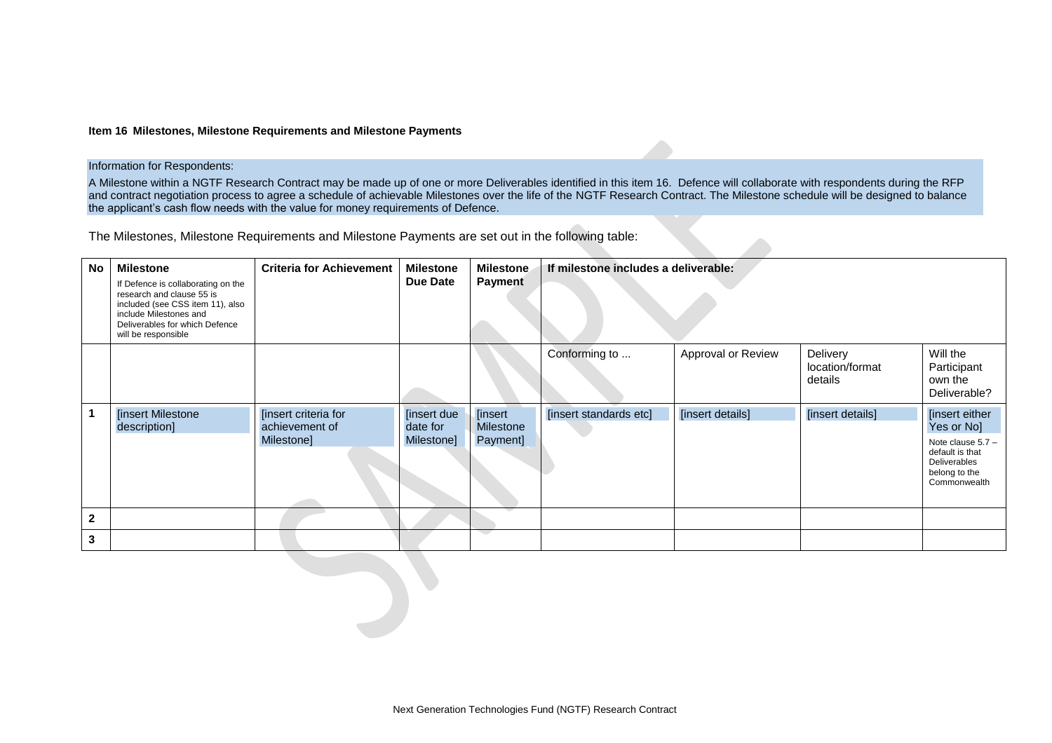#### **Item 16 Milestones, Milestone Requirements and Milestone Payments**

#### Information for Respondents:

A Milestone within a NGTF Research Contract may be made up of one or more Deliverables identified in this item 16. Defence will collaborate with respondents during the RFP and contract negotiation process to agree a schedule of achievable Milestones over the life of the NGTF Research Contract. The Milestone schedule will be designed to balance the applicant's cash flow needs with the value for money requirements of Defence.

The Milestones, Milestone Requirements and Milestone Payments are set out in the following table:

| <b>No</b>    | <b>Milestone</b><br>If Defence is collaborating on the<br>research and clause 55 is<br>included (see CSS item 11), also<br>include Milestones and<br>Deliverables for which Defence<br>will be responsible | <b>Criteria for Achievement</b>                      | <b>Milestone</b><br>Due Date          | <b>Milestone</b><br><b>Payment</b>              | If milestone includes a deliverable: |                    |                                        |                                                                                                                         |
|--------------|------------------------------------------------------------------------------------------------------------------------------------------------------------------------------------------------------------|------------------------------------------------------|---------------------------------------|-------------------------------------------------|--------------------------------------|--------------------|----------------------------------------|-------------------------------------------------------------------------------------------------------------------------|
|              |                                                                                                                                                                                                            |                                                      |                                       |                                                 | Conforming to                        | Approval or Review | Delivery<br>location/format<br>details | Will the<br>Participant<br>own the<br>Deliverable?                                                                      |
|              | <b>[insert Milestone</b><br>description]                                                                                                                                                                   | [insert criteria for<br>achievement of<br>Milestone] | [insert due<br>date for<br>Milestone] | <b>[insert]</b><br><b>Milestone</b><br>Payment] | [insert standards etc]               | [insert details]   | [insert details]                       | [insert either<br>Yes or No]<br>Note clause $5.7 -$<br>default is that<br>Deliverables<br>belong to the<br>Commonwealth |
| $\mathbf{2}$ |                                                                                                                                                                                                            |                                                      |                                       |                                                 |                                      |                    |                                        |                                                                                                                         |
| 3            |                                                                                                                                                                                                            |                                                      |                                       |                                                 |                                      |                    |                                        |                                                                                                                         |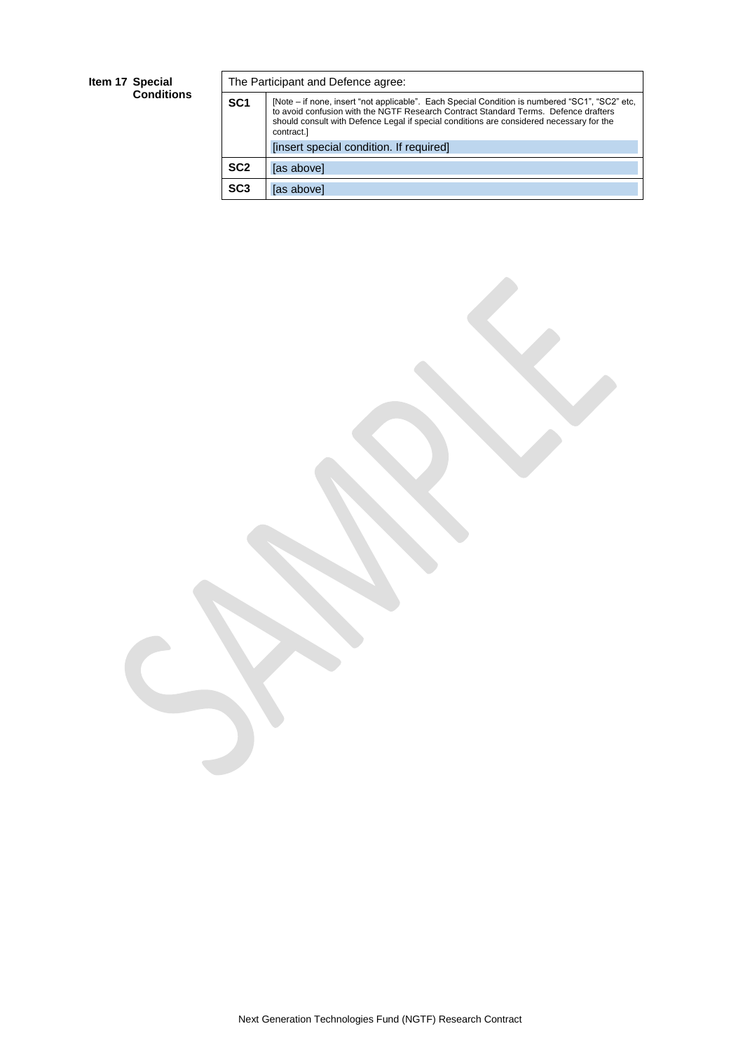### **Item 17 Special Conditions**

|                 | The Participant and Defence agree:                                                                                                                                                                                                                                                              |  |  |
|-----------------|-------------------------------------------------------------------------------------------------------------------------------------------------------------------------------------------------------------------------------------------------------------------------------------------------|--|--|
| SC <sub>1</sub> | [Note – if none, insert "not applicable". Each Special Condition is numbered "SC1", "SC2" etc.<br>to avoid confusion with the NGTF Research Contract Standard Terms. Defence drafters<br>should consult with Defence Legal if special conditions are considered necessary for the<br>contract.] |  |  |
|                 | [insert special condition. If required]                                                                                                                                                                                                                                                         |  |  |
| SC <sub>2</sub> | [as above]                                                                                                                                                                                                                                                                                      |  |  |
| SC <sub>3</sub> | [as above]                                                                                                                                                                                                                                                                                      |  |  |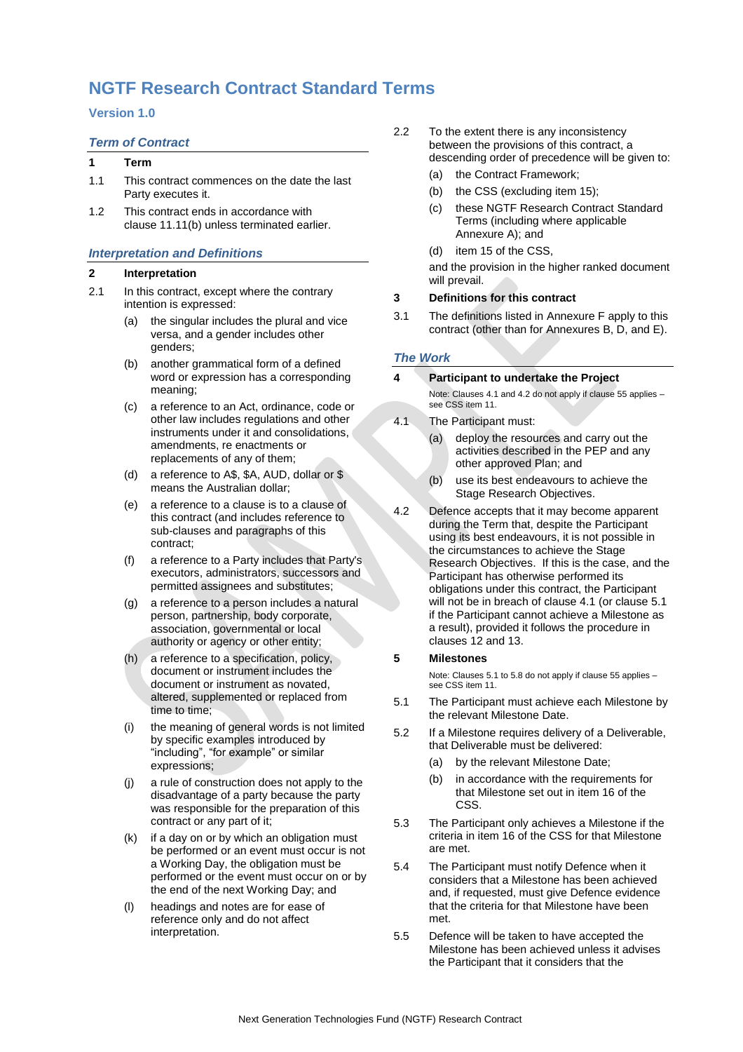# **NGTF Research Contract Standard Terms**

# **Version 1.0**

# *Term of Contract*

# **1 Term**

- 1.1 This contract commences on the date the last Party executes it.
- 1.2 This contract ends in accordance with clause [11.11\(b\)](#page-11-2) unless terminated earlier.

# *Interpretation and Definitions*

# **2 Interpretation**

- 2.1 In this contract, except where the contrary intention is expressed:
	- (a) the singular includes the plural and vice versa, and a gender includes other genders;
	- (b) another grammatical form of a defined word or expression has a corresponding meaning;
	- (c) a reference to an Act, ordinance, code or other law includes regulations and other instruments under it and consolidations, amendments, re enactments or replacements of any of them;
	- (d) a reference to A\$, \$A, AUD, dollar or \$ means the Australian dollar;
	- (e) a reference to a clause is to a clause of this contract (and includes reference to sub-clauses and paragraphs of this contract;
	- (f) a reference to a Party includes that Party's executors, administrators, successors and permitted assignees and substitutes;
	- (g) a reference to a person includes a natural person, partnership, body corporate, association, governmental or local authority or agency or other entity;
	- (h) a reference to a specification, policy, document or instrument includes the document or instrument as novated, altered, supplemented or replaced from time to time;
	- (i) the meaning of general words is not limited by specific examples introduced by "including", "for example" or similar expressions;
	- (j) a rule of construction does not apply to the disadvantage of a party because the party was responsible for the preparation of this contract or any part of it;
	- (k) if a day on or by which an obligation must be performed or an event must occur is not a Working Day, the obligation must be performed or the event must occur on or by the end of the next Working Day; and
	- (l) headings and notes are for ease of reference only and do not affect interpretation.
- 2.2 To the extent there is any inconsistency between the provisions of this contract, a descending order of precedence will be given to:
	- (a) the Contract Framework;
	- (b) the CSS (excluding item 15);
	- (c) these NGTF Research Contract Standard Terms (including where applicable Annexure A); and
	- (d) item 15 of the CSS,

and the provision in the higher ranked document will prevail.

# <span id="page-9-3"></span>**3 Definitions for this contract**

3.1 The definitions listed in Annexure F apply to this contract (other than for Annexures B, D, and E).

# *The Work*

### **4 Participant to undertake the Project**

Note: Clauses 4.1 and 4.2 do not apply if clause 55 applies – see CSS item 11.

- <span id="page-9-0"></span>4.1 The Participant must:
	- (a) deploy the resources and carry out the activities described in the PEP and any other approved Plan; and
	- (b) use its best endeavours to achieve the Stage Research Objectives.
- <span id="page-9-2"></span>4.2 Defence accepts that it may become apparent during the Term that, despite the Participant using its best endeavours, it is not possible in the circumstances to achieve the Stage Research Objectives. If this is the case, and the Participant has otherwise performed its obligations under this contract, the Participant will not be in breach of claus[e 4.1](#page-9-0) (or claus[e 5.1](#page-9-1) if the Participant cannot achieve a Milestone as a result), provided it follows the procedure in clauses [12](#page-11-3) and [13.](#page-11-4)

# **5 Milestones**

Note: Clauses 5.1 to 5.8 do not apply if clause 55 applies – see CSS item 11.

- <span id="page-9-1"></span>5.1 The Participant must achieve each Milestone by the relevant Milestone Date.
- 5.2 If a Milestone requires delivery of a Deliverable, that Deliverable must be delivered:
	- (a) by the relevant Milestone Date;
	- (b) in accordance with the requirements for that Milestone set out in item 16 of the CSS.
- 5.3 The Participant only achieves a Milestone if the criteria in item 16 of the CSS for that Milestone are met.
- 5.4 The Participant must notify Defence when it considers that a Milestone has been achieved and, if requested, must give Defence evidence that the criteria for that Milestone have been met.
- 5.5 Defence will be taken to have accepted the Milestone has been achieved unless it advises the Participant that it considers that the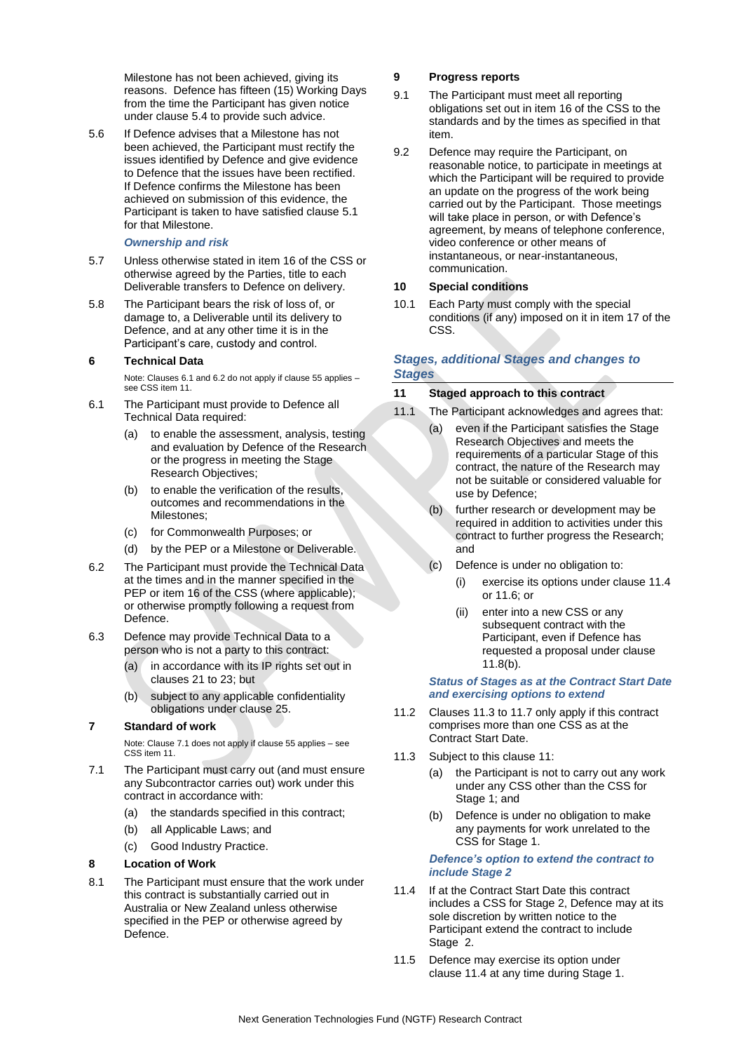<span id="page-10-1"></span>Milestone has not been achieved, giving its reasons. Defence has fifteen (15) Working Days from the time the Participant has given notice under clause 5.4 to provide such advice.

5.6 If Defence advises that a Milestone has not been achieved, the Participant must rectify the issues identified by Defence and give evidence to Defence that the issues have been rectified. If Defence confirms the Milestone has been achieved on submission of this evidence, the Participant is taken to have satisfied clause 5.1 for that Milestone.

### *Ownership and risk*

- 5.7 Unless otherwise stated in item 16 of the CSS or otherwise agreed by the Parties, title to each Deliverable transfers to Defence on delivery.
- <span id="page-10-2"></span>5.8 The Participant bears the risk of loss of, or damage to, a Deliverable until its delivery to Defence, and at any other time it is in the Participant's care, custody and control.

# **6 Technical Data**

Note: Clauses 6.1 and 6.2 do not apply if clause 55 applies – see CSS item 11.

- <span id="page-10-3"></span>6.1 The Participant must provide to Defence all Technical Data required:
	- (a) to enable the assessment, analysis, testing and evaluation by Defence of the Research or the progress in meeting the Stage Research Objectives;
	- (b) to enable the verification of the results, outcomes and recommendations in the Milestones;
	- (c) for Commonwealth Purposes; or
	- (d) by the PEP or a Milestone or Deliverable.
- <span id="page-10-4"></span>6.2 The Participant must provide the Technical Data at the times and in the manner specified in the PEP or item 16 of the CSS (where applicable); or otherwise promptly following a request from Defence.
- 6.3 Defence may provide Technical Data to a person who is not a party to this contract:
	- (a) in accordance with its IP rights set out in clauses 21 to 23; but
	- (b) subject to any applicable confidentiality obligations under clause 25.

# **7 Standard of work**

Note: Clause 7.1 does not apply if clause 55 applies – see CSS item 11.

- <span id="page-10-5"></span>7.1 The Participant must carry out (and must ensure any Subcontractor carries out) work under this contract in accordance with:
	- (a) the standards specified in this contract;
	- (b) all Applicable Laws; and
	- (c) Good Industry Practice.

# <span id="page-10-6"></span>**8 Location of Work**

8.1 The Participant must ensure that the work under this contract is substantially carried out in Australia or New Zealand unless otherwise specified in the PEP or otherwise agreed by Defence.

### **9 Progress reports**

- 9.1 The Participant must meet all reporting obligations set out in item 16 of the CSS to the standards and by the times as specified in that item.
- 9.2 Defence may require the Participant, on reasonable notice, to participate in meetings at which the Participant will be required to provide an update on the progress of the work being carried out by the Participant. Those meetings will take place in person, or with Defence's agreement, by means of telephone conference, video conference or other means of instantaneous, or near-instantaneous, communication.

### **10 Special conditions**

10.1 Each Party must comply with the special conditions (if any) imposed on it in item 17 of the CSS.

# *Stages, additional Stages and changes to Stages*

### **11 Staged approach to this contract**

- 11.1 The Participant acknowledges and agrees that:
	- (a) even if the Participant satisfies the Stage Research Objectives and meets the requirements of a particular Stage of this contract, the nature of the Research may not be suitable or considered valuable for use by Defence;
	- (b) further research or development may be required in addition to activities under this contract to further progress the Research; and
	- (c) Defence is under no obligation to:
		- (i) exercise its options under clause 11.4 or 11.6; or
		- (ii) enter into a new CSS or any subsequent contract with the Participant, even if Defence has requested a proposal under clause 11.8(b).

### *Status of Stages as at the Contract Start Date and exercising options to extend*

- 11.2 Clauses 11.3 to 11.7 only apply if this contract comprises more than one CSS as at the Contract Start Date.
- 11.3 Subject to this clause 11:
	- (a) the Participant is not to carry out any work under any CSS other than the CSS for Stage 1; and
	- (b) Defence is under no obligation to make any payments for work unrelated to the CSS for Stage 1.

### *Defence's option to extend the contract to include Stage 2*

- <span id="page-10-0"></span>11.4 If at the Contract Start Date this contract includes a CSS for Stage 2, Defence may at its sole discretion by written notice to the Participant extend the contract to include Stage 2.
- 11.5 Defence may exercise its option under clause 11.4 at any time during Stage 1.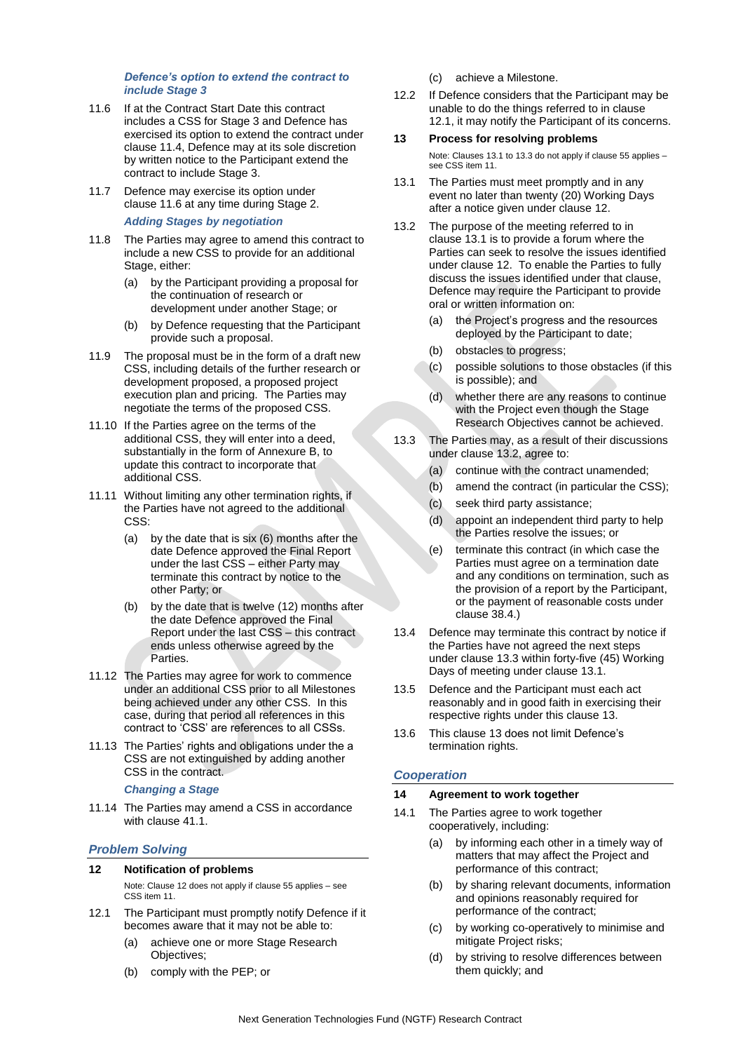### *Defence's option to extend the contract to include Stage 3*

- <span id="page-11-0"></span>11.6 If at the Contract Start Date this contract includes a CSS for Stage 3 and Defence has exercised its option to extend the contract under clause 11.4, Defence may at its sole discretion by written notice to the Participant extend the contract to include Stage 3.
- 11.7 Defence may exercise its option under clause 11.6 at any time during Stage 2.

*Adding Stages by negotiation*

- <span id="page-11-1"></span>11.8 The Parties may agree to amend this contract to include a new CSS to provide for an additional Stage, either:
	- (a) by the Participant providing a proposal for the continuation of research or development under another Stage; or
	- (b) by Defence requesting that the Participant provide such a proposal.
- 11.9 The proposal must be in the form of a draft new CSS, including details of the further research or development proposed, a proposed project execution plan and pricing. The Parties may negotiate the terms of the proposed CSS.
- <span id="page-11-9"></span>11.10 If the Parties agree on the terms of the additional CSS, they will enter into a deed, substantially in the form of Annexure B, to update this contract to incorporate that additional CSS.
- 11.11 Without limiting any other termination rights, if the Parties have not agreed to the additional CSS:
	- (a) by the date that is six (6) months after the date Defence approved the Final Report under the last CSS – either Party may terminate this contract by notice to the other Party; or
	- (b) by the date that is twelve (12) months after the date Defence approved the Final Report under the last CSS – this contract ends unless otherwise agreed by the Parties.
- <span id="page-11-8"></span><span id="page-11-2"></span>11.12 The Parties may agree for work to commence under an additional CSS prior to all Milestones being achieved under any other CSS. In this case, during that period all references in this contract to 'CSS' are references to all CSSs.
- 11.13 The Parties' rights and obligations under the a CSS are not extinguished by adding another CSS in the contract.

### *Changing a Stage*

11.14 The Parties may amend a CSS in accordance with clause 41.1.

# *Problem Solving*

# <span id="page-11-3"></span>**12 Notification of problems**

Note: Clause 12 does not apply if clause 55 applies – see CSS item 11.

- 12.1 The Participant must promptly notify Defence if it becomes aware that it may not be able to:
	- (a) achieve one or more Stage Research Objectives;
	- (b) comply with the PEP; or

(c) achieve a Milestone.

12.2 If Defence considers that the Participant may be unable to do the things referred to in clause 12.1, it may notify the Participant of its concerns.

### <span id="page-11-4"></span>**13 Process for resolving problems**

Note: Clauses 13.1 to 13.3 do not apply if clause 55 applies – see CSS item 11.

- <span id="page-11-5"></span>13.1 The Parties must meet promptly and in any event no later than twenty (20) Working Days after a notice given under claus[e 12.](#page-11-3)
- 13.2 The purpose of the meeting referred to in clause 13.1 is to provide a forum where the Parties can seek to resolve the issues identified under clause 12. To enable the Parties to fully discuss the issues identified under that clause, Defence may require the Participant to provide oral or written information on:
	- (a) the Project's progress and the resources deployed by the Participant to date;
	- (b) obstacles to progress;
	- (c) possible solutions to those obstacles (if this is possible); and
	- (d) whether there are any reasons to continue with the Project even though the Stage Research Objectives cannot be achieved.
- <span id="page-11-6"></span>13.3 The Parties may, as a result of their discussions under clause 13.2, agree to:
	- (a) continue with the contract unamended;
	- (b) amend the contract (in particular the CSS);
	- (c) seek third party assistance;
	- (d) appoint an independent third party to help the Parties resolve the issues; or
	- (e) terminate this contract (in which case the Parties must agree on a termination date and any conditions on termination, such as the provision of a report by the Participant, or the payment of reasonable costs under clause 38.4.)
- 13.4 Defence may terminate this contract by notice if the Parties have not agreed the next steps under clause 13.3 within forty-five (45) Working Days of meeting under clause 13.1.
- 13.5 Defence and the Participant must each act reasonably and in good faith in exercising their respective rights under this claus[e 13.](#page-11-4)
- 13.6 This clause 13 does not limit Defence's termination rights.

# *Cooperation*

### <span id="page-11-7"></span>**14 Agreement to work together**

- 14.1 The Parties agree to work together cooperatively, including:
	- (a) by informing each other in a timely way of matters that may affect the Project and performance of this contract;
	- (b) by sharing relevant documents, information and opinions reasonably required for performance of the contract;
	- (c) by working co-operatively to minimise and mitigate Project risks;
	- (d) by striving to resolve differences between them quickly; and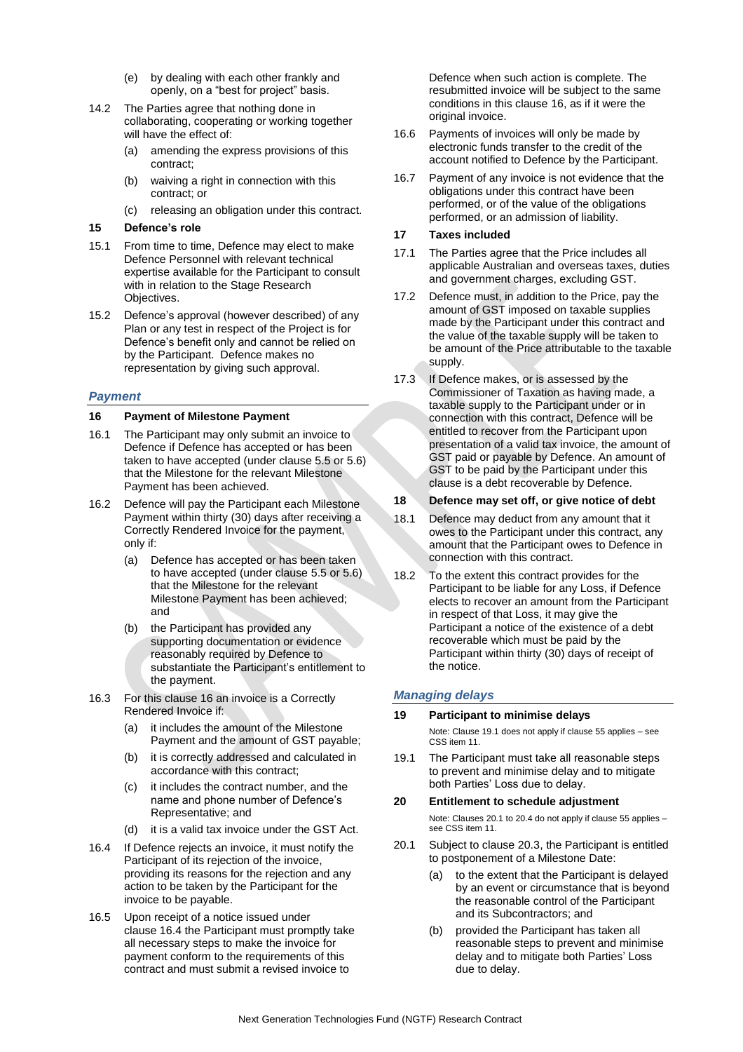- (e) by dealing with each other frankly and openly, on a "best for project" basis.
- 14.2 The Parties agree that nothing done in collaborating, cooperating or working together will have the effect of:
	- (a) amending the express provisions of this contract;
	- (b) waiving a right in connection with this contract; or
	- (c) releasing an obligation under this contract.

### **15 Defence's role**

- 15.1 From time to time, Defence may elect to make Defence Personnel with relevant technical expertise available for the Participant to consult with in relation to the Stage Research Objectives.
- 15.2 Defence's approval (however described) of any Plan or any test in respect of the Project is for Defence's benefit only and cannot be relied on by the Participant. Defence makes no representation by giving such approval.

### *Payment*

#### <span id="page-12-0"></span>**16 Payment of Milestone Payment**

- 16.1 The Participant may only submit an invoice to Defence if Defence has accepted or has been taken to have accepted (under clause 5.5 or 5.6) that the Milestone for the relevant Milestone Payment has been achieved.
- 16.2 Defence will pay the Participant each Milestone Payment within thirty (30) days after receiving a Correctly Rendered Invoice for the payment, only if:
	- (a) Defence has accepted or has been taken to have accepted (under clause 5.5 or 5.6) that the Milestone for the relevant Milestone Payment has been achieved; and
	- (b) the Participant has provided any supporting documentation or evidence reasonably required by Defence to substantiate the Participant's entitlement to the payment.
- 16.3 For this clause [16](#page-12-0) an invoice is a Correctly Rendered Invoice if:
	- (a) it includes the amount of the Milestone Payment and the amount of GST payable;
	- (b) it is correctly addressed and calculated in accordance with this contract;
	- (c) it includes the contract number, and the name and phone number of Defence's Representative; and
	- (d) it is a valid tax invoice under the GST Act.
- 16.4 If Defence rejects an invoice, it must notify the Participant of its rejection of the invoice, providing its reasons for the rejection and any action to be taken by the Participant for the invoice to be payable.
- 16.5 Upon receipt of a notice issued under clause 16.4 the Participant must promptly take all necessary steps to make the invoice for payment conform to the requirements of this contract and must submit a revised invoice to

Defence when such action is complete. The resubmitted invoice will be subject to the same conditions in this clause 16, as if it were the original invoice.

- 16.6 Payments of invoices will only be made by electronic funds transfer to the credit of the account notified to Defence by the Participant.
- 16.7 Payment of any invoice is not evidence that the obligations under this contract have been performed, or of the value of the obligations performed, or an admission of liability.

### **17 Taxes included**

- 17.1 The Parties agree that the Price includes all applicable Australian and overseas taxes, duties and government charges, excluding GST.
- 17.2 Defence must, in addition to the Price, pay the amount of GST imposed on taxable supplies made by the Participant under this contract and the value of the taxable supply will be taken to be amount of the Price attributable to the taxable supply.
- 17.3 If Defence makes, or is assessed by the Commissioner of Taxation as having made, a taxable supply to the Participant under or in connection with this contract, Defence will be entitled to recover from the Participant upon presentation of a valid tax invoice, the amount of GST paid or payable by Defence. An amount of GST to be paid by the Participant under this clause is a debt recoverable by Defence.

#### **18 Defence may set off, or give notice of debt**

- 18.1 Defence may deduct from any amount that it owes to the Participant under this contract, any amount that the Participant owes to Defence in connection with this contract.
- 18.2 To the extent this contract provides for the Participant to be liable for any Loss, if Defence elects to recover an amount from the Participant in respect of that Loss, it may give the Participant a notice of the existence of a debt recoverable which must be paid by the Participant within thirty (30) days of receipt of the notice.

# *Managing delays*

#### **19 Participant to minimise delays**

Note: Clause 19.1 does not apply if clause 55 applies – see CSS item 11

<span id="page-12-2"></span>19.1 The Participant must take all reasonable steps to prevent and minimise delay and to mitigate both Parties' Loss due to delay.

#### <span id="page-12-3"></span>**20 Entitlement to schedule adjustment**

Note: Clauses [20.1](#page-12-1) t[o 20.4](#page-13-11) do not apply if clause 55 applies – see CSS item 11.

- <span id="page-12-1"></span>20.1 Subject to clause 20.3, the Participant is entitled to postponement of a Milestone Date:
	- (a) to the extent that the Participant is delayed by an event or circumstance that is beyond the reasonable control of the Participant and its Subcontractors; and
	- (b) provided the Participant has taken all reasonable steps to prevent and minimise delay and to mitigate both Parties' Loss due to delay.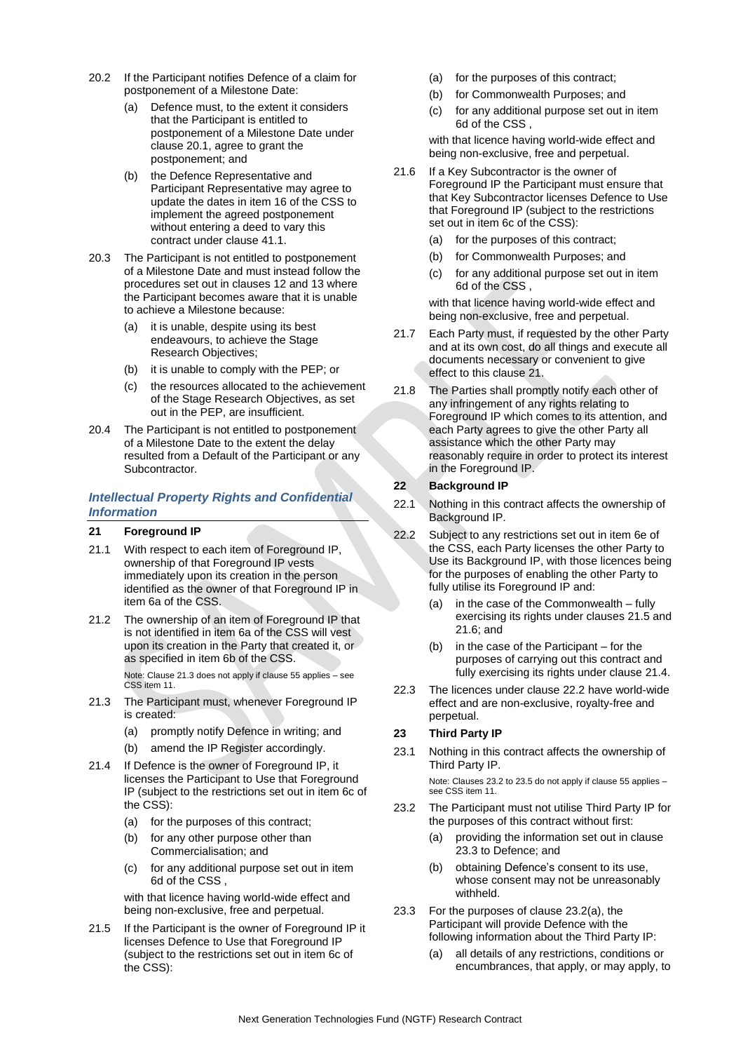- 20.2 If the Participant notifies Defence of a claim for postponement of a Milestone Date:
	- (a) Defence must, to the extent it considers that the Participant is entitled to postponement of a Milestone Date under clause [20.1,](#page-12-1) agree to grant the postponement; and
	- (b) the Defence Representative and Participant Representative may agree to update the dates in item 16 of the CSS to implement the agreed postponement without entering a deed to vary this contract under clause 41.1.
- 20.3 The Participant is not entitled to postponement of a Milestone Date and must instead follow the procedures set out in clauses 12 and 13 where the Participant becomes aware that it is unable to achieve a Milestone because:
	- (a) it is unable, despite using its best endeavours, to achieve the Stage Research Objectives;
	- (b) it is unable to comply with the PEP; or
	- (c) the resources allocated to the achievement of the Stage Research Objectives, as set out in the PEP, are insufficient.
- <span id="page-13-11"></span>20.4 The Participant is not entitled to postponement of a Milestone Date to the extent the delay resulted from a Default of the Participant or any Subcontractor.

# *Intellectual Property Rights and Confidential Information*

### <span id="page-13-10"></span>**21 Foreground IP**

- <span id="page-13-0"></span>21.1 With respect to each item of Foreground IP, ownership of that Foreground IP vests immediately upon its creation in the person identified as the owner of that Foreground IP in item 6a of the CSS.
- <span id="page-13-1"></span>21.2 The ownership of an item of Foreground IP that is not identified in item 6a of the CSS will vest upon its creation in the Party that created it, or as specified in item 6b of the CSS.

Note: Clause [21.3](#page-13-12) does not apply if clause 55 applies – see CSS item 11

- <span id="page-13-12"></span>21.3 The Participant must, whenever Foreground IP is created:
	- (a) promptly notify Defence in writing; and
	- (b) amend the IP Register accordingly.
- <span id="page-13-2"></span>21.4 If Defence is the owner of Foreground IP, it licenses the Participant to Use that Foreground IP (subject to the restrictions set out in item 6c of the CSS):
	- (a) for the purposes of this contract;
	- (b) for any other purpose other than Commercialisation; and
	- (c) for any additional purpose set out in item 6d of the CSS ,

<span id="page-13-5"></span>with that licence having world-wide effect and being non-exclusive, free and perpetual.

<span id="page-13-3"></span>21.5 If the Participant is the owner of Foreground IP it licenses Defence to Use that Foreground IP (subject to the restrictions set out in item 6c of the CSS):

- (a) for the purposes of this contract;
- (b) for Commonwealth Purposes; and
- <span id="page-13-6"></span>(c) for any additional purpose set out in item 6d of the CSS ,

with that licence having world-wide effect and being non-exclusive, free and perpetual.

- <span id="page-13-4"></span>21.6 If a Key Subcontractor is the owner of Foreground IP the Participant must ensure that that Key Subcontractor licenses Defence to Use that Foreground IP (subject to the restrictions set out in item 6c of the CSS):
	- (a) for the purposes of this contract;
	- (b) for Commonwealth Purposes; and
	- (c) for any additional purpose set out in item 6d of the CSS ,

<span id="page-13-7"></span>with that licence having world-wide effect and being non-exclusive, free and perpetual.

- 21.7 Each Party must, if requested by the other Party and at its own cost, do all things and execute all documents necessary or convenient to give effect to this claus[e 21.](#page-13-10)
- 21.8 The Parties shall promptly notify each other of any infringement of any rights relating to Foreground IP which comes to its attention, and each Party agrees to give the other Party all assistance which the other Party may reasonably require in order to protect its interest in the Foreground IP.

#### <span id="page-13-9"></span>**22 Background IP**

- 22.1 Nothing in this contract affects the ownership of Background IP.
- <span id="page-13-8"></span>22.2 Subject to any restrictions set out in item 6e of the CSS, each Party licenses the other Party to Use its Background IP, with those licences being for the purposes of enabling the other Party to fully utilise its Foreground IP and:
	- (a) in the case of the Commonwealth fully exercising its rights under clauses 21.5 and 21.6; and
	- (b) in the case of the Participant for the purposes of carrying out this contract and fully exercising its rights under clause 21.4.
- 22.3 The licences under clause 22.2 have world-wide effect and are non-exclusive, royalty-free and perpetual.

# **23 Third Party IP**

23.1 Nothing in this contract affects the ownership of Third Party IP.

> Note: Clauses 23.2 to 23.5 do not apply if clause 55 applies – see CSS item 11.

- <span id="page-13-13"></span>23.2 The Participant must not utilise Third Party IP for the purposes of this contract without first:
	- (a) providing the information set out in clause 23.3 to Defence; and
	- (b) obtaining Defence's consent to its use, whose consent may not be unreasonably withheld.
- 23.3 For the purposes of clause 23.2(a), the Participant will provide Defence with the following information about the Third Party IP:
	- (a) all details of any restrictions, conditions or encumbrances, that apply, or may apply, to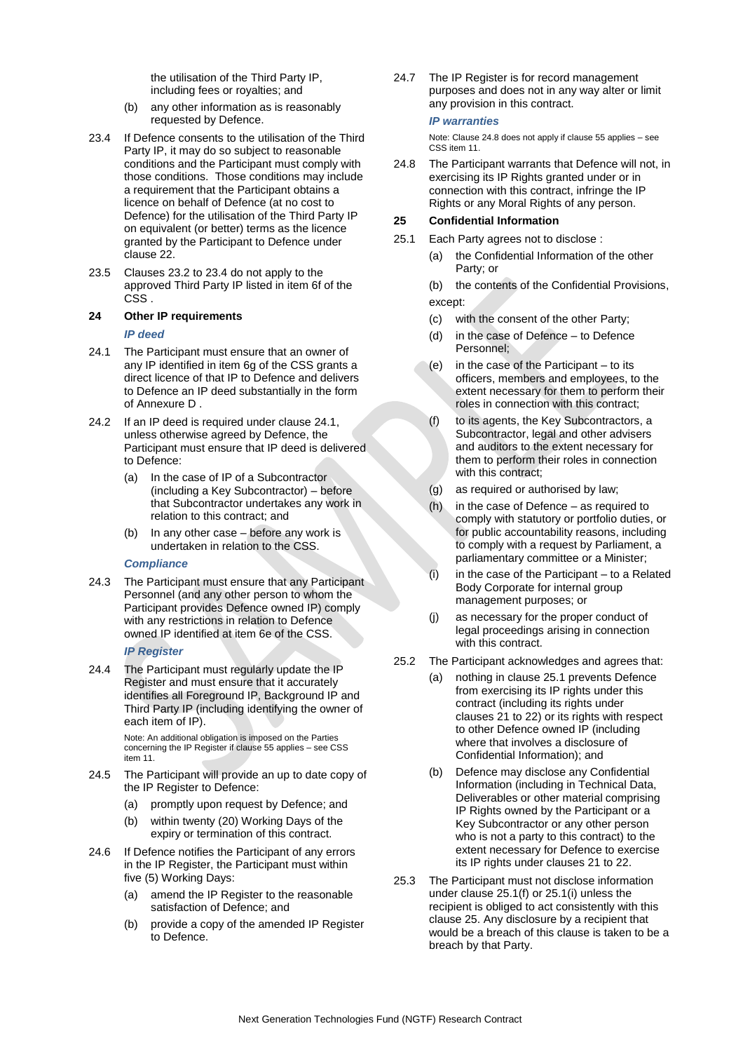the utilisation of the Third Party IP, including fees or royalties; and

- (b) any other information as is reasonably requested by Defence.
- 23.4 If Defence consents to the utilisation of the Third Party IP, it may do so subject to reasonable conditions and the Participant must comply with those conditions. Those conditions may include a requirement that the Participant obtains a licence on behalf of Defence (at no cost to Defence) for the utilisation of the Third Party IP on equivalent (or better) terms as the licence granted by the Participant to Defence under clause 22.
- <span id="page-14-1"></span>23.5 Clauses 23.2 to 23.4 do not apply to the approved Third Party IP listed in item 6f of the CSS .

### <span id="page-14-2"></span>**24 Other IP requirements**

#### *IP deed*

- <span id="page-14-4"></span><span id="page-14-0"></span>24.1 The Participant must ensure that an owner of any IP identified in item 6g of the CSS grants a direct licence of that IP to Defence and delivers to Defence an IP deed substantially in the form of Annexure D .
- 24.2 If an IP deed is required under clause 24.1, unless otherwise agreed by Defence, the Participant must ensure that IP deed is delivered to Defence:
	- (a) In the case of IP of a Subcontractor (including a Key Subcontractor) – before that Subcontractor undertakes any work in relation to this contract; and
	- (b) In any other case before any work is undertaken in relation to the CSS.

#### *Compliance*

24.3 The Participant must ensure that any Participant Personnel (and any other person to whom the Participant provides Defence owned IP) comply with any restrictions in relation to Defence owned IP identified at item 6e of the CSS.

### *IP Register*

24.4 The Participant must regularly update the IP Register and must ensure that it accurately identifies all Foreground IP, Background IP and Third Party IP (including identifying the owner of each item of IP).

Note: An additional obligation is imposed on the Parties concerning the IP Register if clause 55 applies – see CSS item 11.

- 24.5 The Participant will provide an up to date copy of the IP Register to Defence:
	- (a) promptly upon request by Defence; and
	- (b) within twenty (20) Working Days of the expiry or termination of this contract.
- 24.6 If Defence notifies the Participant of any errors in the IP Register, the Participant must within five (5) Working Days:
	- (a) amend the IP Register to the reasonable satisfaction of Defence; and
	- (b) provide a copy of the amended IP Register to Defence.

24.7 The IP Register is for record management purposes and does not in any way alter or limit any provision in this contract.

#### *IP warranties*

Note: Clause 24.8 does not apply if clause 55 applies – see CSS item 11.

<span id="page-14-3"></span>24.8 The Participant warrants that Defence will not, in exercising its IP Rights granted under or in connection with this contract, infringe the IP Rights or any Moral Rights of any person.

### **25 Confidential Information**

- 25.1 Each Party agrees not to disclose :
	- (a) the Confidential Information of the other Party; or
	- (b) the contents of the Confidential Provisions, except:
	- (c) with the consent of the other Party;
	- (d) in the case of Defence to Defence Personnel;
	- (e) in the case of the Participant to its officers, members and employees, to the extent necessary for them to perform their roles in connection with this contract;
	- (f) to its agents, the Key Subcontractors, a Subcontractor, legal and other advisers and auditors to the extent necessary for them to perform their roles in connection with this contract;
	- (g) as required or authorised by law;
	- (h) in the case of Defence as required to comply with statutory or portfolio duties, or for public accountability reasons, including to comply with a request by Parliament, a parliamentary committee or a Minister;
	- $(i)$  in the case of the Participant to a Related Body Corporate for internal group management purposes; or
	- (j) as necessary for the proper conduct of legal proceedings arising in connection with this contract.
- 25.2 The Participant acknowledges and agrees that:
	- (a) nothing in clause 25.1 prevents Defence from exercising its IP rights under this contract (including its rights under clauses 21 to [22\)](#page-13-9) or its rights with respect to other Defence owned IP (including where that involves a disclosure of Confidential Information); and
	- (b) Defence may disclose any Confidential Information (including in Technical Data, Deliverables or other material comprising IP Rights owned by the Participant or a Key Subcontractor or any other person who is not a party to this contract) to the extent necessary for Defence to exercise its IP rights under clauses 21 t[o 22.](#page-13-9)
- 25.3 The Participant must not disclose information under clause 25.1(f) or 25.1(i) unless the recipient is obliged to act consistently with this clause 25. Any disclosure by a recipient that would be a breach of this clause is taken to be a breach by that Party.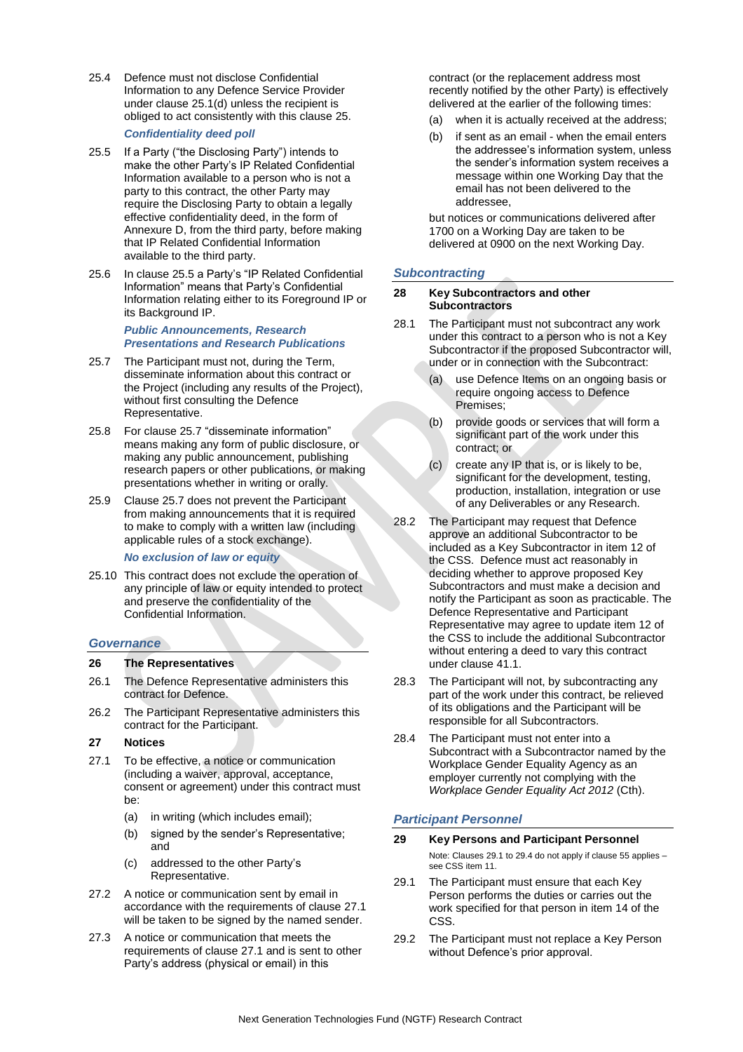25.4 Defence must not disclose Confidential Information to any Defence Service Provider under clause 25.1(d) unless the recipient is obliged to act consistently with this clause 25.

### *Confidentiality deed poll*

- <span id="page-15-1"></span>25.5 If a Party ("the Disclosing Party") intends to make the other Party's IP Related Confidential Information available to a person who is not a party to this contract, the other Party may require the Disclosing Party to obtain a legally effective confidentiality deed, in the form of Annexure D, from the third party, before making that IP Related Confidential Information available to the third party.
- 25.6 In clause 25.5 a Party's "IP Related Confidential Information" means that Party's Confidential Information relating either to its Foreground IP or its Background IP.

*Public Announcements, Research Presentations and Research Publications*

- 25.7 The Participant must not, during the Term, disseminate information about this contract or the Project (including any results of the Project), without first consulting the Defence Representative.
- 25.8 For clause 25.7 "disseminate information" means making any form of public disclosure, or making any public announcement, publishing research papers or other publications, or making presentations whether in writing or orally.
- 25.9 Clause 25.7 does not prevent the Participant from making announcements that it is required to make to comply with a written law (including applicable rules of a stock exchange).

#### *No exclusion of law or equity*

25.10 This contract does not exclude the operation of any principle of law or equity intended to protect and preserve the confidentiality of the Confidential Information.

#### *Governance*

#### **26 The Representatives**

- 26.1 The Defence Representative administers this contract for Defence.
- 26.2 The Participant Representative administers this contract for the Participant.

### **27 Notices**

- 27.1 To be effective, a notice or communication (including a waiver, approval, acceptance, consent or agreement) under this contract must be:
	- (a) in writing (which includes email);
	- (b) signed by the sender's Representative; and
	- (c) addressed to the other Party's Representative.
- 27.2 A notice or communication sent by email in accordance with the requirements of clause 27.1 will be taken to be signed by the named sender.
- 27.3 A notice or communication that meets the requirements of clause 27.1 and is sent to other Party's address (physical or email) in this

contract (or the replacement address most recently notified by the other Party) is effectively delivered at the earlier of the following times:

- (a) when it is actually received at the address;
- (b) if sent as an email when the email enters the addressee's information system, unless the sender's information system receives a message within one Working Day that the email has not been delivered to the addressee,

but notices or communications delivered after 1700 on a Working Day are taken to be delivered at 0900 on the next Working Day.

### *Subcontracting*

#### **28 Key Subcontractors and other Subcontractors**

- 28.1 The Participant must not subcontract any work under this contract to a person who is not a Key Subcontractor if the proposed Subcontractor will, under or in connection with the Subcontract:
	- (a) use Defence Items on an ongoing basis or require ongoing access to Defence Premises;
	- (b) provide goods or services that will form a significant part of the work under this contract; or
	- (c) create any IP that is, or is likely to be, significant for the development, testing, production, installation, integration or use of any Deliverables or any Research.
- 28.2 The Participant may request that Defence approve an additional Subcontractor to be included as a Key Subcontractor in item 12 of the CSS. Defence must act reasonably in deciding whether to approve proposed Key Subcontractors and must make a decision and notify the Participant as soon as practicable. The Defence Representative and Participant Representative may agree to update item 12 of the CSS to include the additional Subcontractor without entering a deed to vary this contract under clause 41.1.
- 28.3 The Participant will not, by subcontracting any part of the work under this contract, be relieved of its obligations and the Participant will be responsible for all Subcontractors.
- 28.4 The Participant must not enter into a Subcontract with a Subcontractor named by the Workplace Gender Equality Agency as an employer currently not complying with the *Workplace Gender Equality Act 2012* (Cth).

# *Participant Personnel*

#### **29 Key Persons and Participant Personnel**

Note: Clauses 29.1 to 29.4 do not apply if clause 55 applies – see CSS item 11.

- <span id="page-15-0"></span>29.1 The Participant must ensure that each Key Person performs the duties or carries out the work specified for that person in item 14 of the CSS.
- 29.2 The Participant must not replace a Key Person without Defence's prior approval.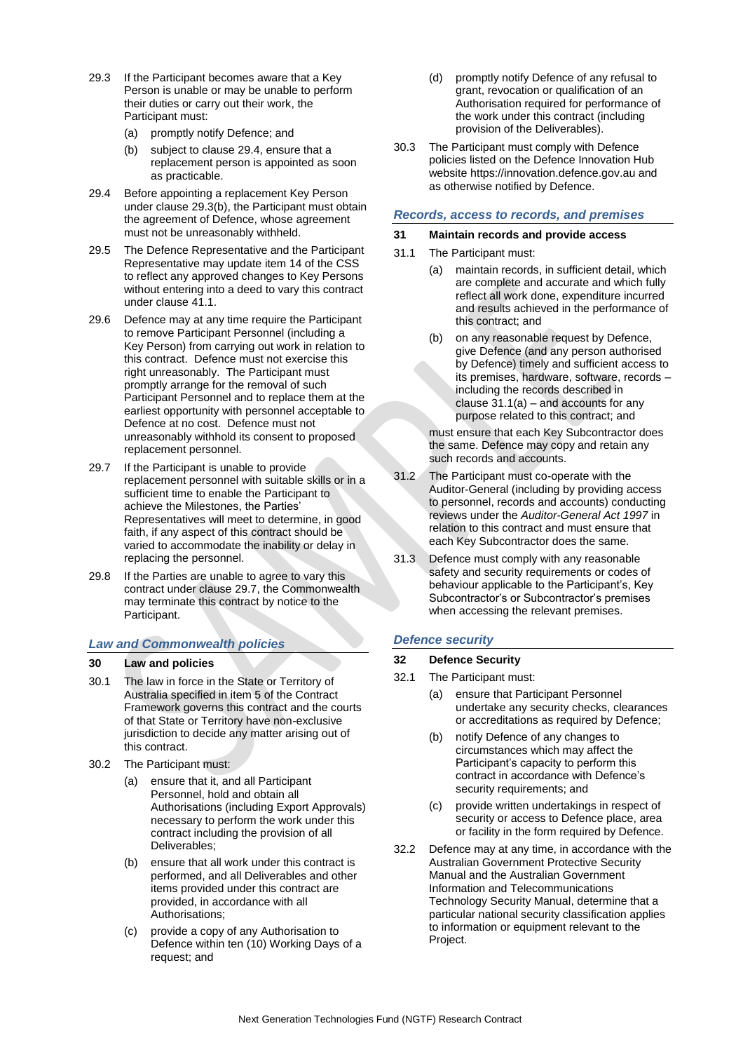- 29.3 If the Participant becomes aware that a Key Person is unable or may be unable to perform their duties or carry out their work, the Participant must:
	- (a) promptly notify Defence; and
	- (b) subject to clause 29.4, ensure that a replacement person is appointed as soon as practicable.
- <span id="page-16-1"></span>29.4 Before appointing a replacement Key Person under clause 29.3(b), the Participant must obtain the agreement of Defence, whose agreement must not be unreasonably withheld.
- 29.5 The Defence Representative and the Participant Representative may update item 14 of the CSS to reflect any approved changes to Key Persons without entering into a deed to vary this contract under clause 41.1.
- 29.6 Defence may at any time require the Participant to remove Participant Personnel (including a Key Person) from carrying out work in relation to this contract. Defence must not exercise this right unreasonably. The Participant must promptly arrange for the removal of such Participant Personnel and to replace them at the earliest opportunity with personnel acceptable to Defence at no cost. Defence must not unreasonably withhold its consent to proposed replacement personnel.
- 29.7 If the Participant is unable to provide replacement personnel with suitable skills or in a sufficient time to enable the Participant to achieve the Milestones, the Parties' Representatives will meet to determine, in good faith, if any aspect of this contract should be varied to accommodate the inability or delay in replacing the personnel.
- 29.8 If the Parties are unable to agree to vary this contract under clause 29.7, the Commonwealth may terminate this contract by notice to the Participant.

# *Law and Commonwealth policies*

# **30 Law and policies**

- 30.1 The law in force in the State or Territory of Australia specified in item 5 of the Contract Framework governs this contract and the courts of that State or Territory have non-exclusive jurisdiction to decide any matter arising out of this contract.
- 30.2 The Participant must:
	- (a) ensure that it, and all Participant Personnel, hold and obtain all Authorisations (including Export Approvals) necessary to perform the work under this contract including the provision of all Deliverables;
	- (b) ensure that all work under this contract is performed, and all Deliverables and other items provided under this contract are provided, in accordance with all Authorisations;
	- (c) provide a copy of any Authorisation to Defence within ten (10) Working Days of a request; and
- (d) promptly notify Defence of any refusal to grant, revocation or qualification of an Authorisation required for performance of the work under this contract (including provision of the Deliverables).
- 30.3 The Participant must comply with Defence policies listed on the Defence Innovation Hub website https://innovation.defence.gov.au and as otherwise notified by Defence.

# *Records, access to records, and premises*

# **31 Maintain records and provide access**

- <span id="page-16-0"></span>31.1 The Participant must:
	- (a) maintain records, in sufficient detail, which are complete and accurate and which fully reflect all work done, expenditure incurred and results achieved in the performance of this contract; and
	- (b) on any reasonable request by Defence, give Defence (and any person authorised by Defence) timely and sufficient access to its premises, hardware, software, records – including the records described in clause  $31.1(a)$  – and accounts for any purpose related to this contract; and

must ensure that each Key Subcontractor does the same. Defence may copy and retain any such records and accounts.

- 31.2 The Participant must co-operate with the Auditor-General (including by providing access to personnel, records and accounts) conducting reviews under the *Auditor-General Act 1997* in relation to this contract and must ensure that each Key Subcontractor does the same.
- 31.3 Defence must comply with any reasonable safety and security requirements or codes of behaviour applicable to the Participant's, Key Subcontractor's or Subcontractor's premises when accessing the relevant premises.

# *Defence security*

# **32 Defence Security**

- 32.1 The Participant must:
	- (a) ensure that Participant Personnel undertake any security checks, clearances or accreditations as required by Defence;
	- (b) notify Defence of any changes to circumstances which may affect the Participant's capacity to perform this contract in accordance with Defence's security requirements; and
	- (c) provide written undertakings in respect of security or access to Defence place, area or facility in the form required by Defence.
- 32.2 Defence may at any time, in accordance with the Australian Government Protective Security Manual and the Australian Government Information and Telecommunications Technology Security Manual, determine that a particular national security classification applies to information or equipment relevant to the Project.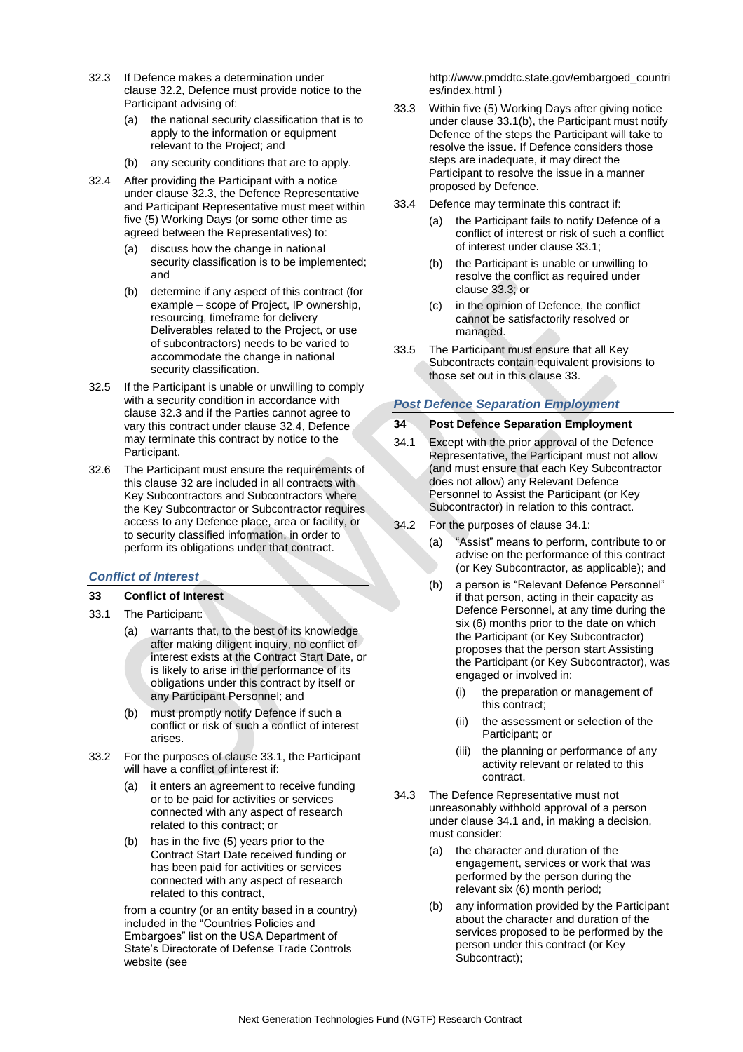- 32.3 If Defence makes a determination under clause 32.2, Defence must provide notice to the Participant advising of:
	- (a) the national security classification that is to apply to the information or equipment relevant to the Project; and
	- (b) any security conditions that are to apply.
- 32.4 After providing the Participant with a notice under clause 32.3, the Defence Representative and Participant Representative must meet within five (5) Working Days (or some other time as agreed between the Representatives) to:
	- (a) discuss how the change in national security classification is to be implemented; and
	- (b) determine if any aspect of this contract (for example – scope of Project, IP ownership, resourcing, timeframe for delivery Deliverables related to the Project, or use of subcontractors) needs to be varied to accommodate the change in national security classification.
- 32.5 If the Participant is unable or unwilling to comply with a security condition in accordance with clause 32.3 and if the Parties cannot agree to vary this contract under clause 32.4, Defence may terminate this contract by notice to the Participant.
- 32.6 The Participant must ensure the requirements of this clause 32 are included in all contracts with Key Subcontractors and Subcontractors where the Key Subcontractor or Subcontractor requires access to any Defence place, area or facility, or to security classified information, in order to perform its obligations under that contract.

# *Conflict of Interest*

- **33 Conflict of Interest**
- 33.1 The Participant:
	- (a) warrants that, to the best of its knowledge after making diligent inquiry, no conflict of interest exists at the Contract Start Date, or is likely to arise in the performance of its obligations under this contract by itself or any Participant Personnel; and
	- (b) must promptly notify Defence if such a conflict or risk of such a conflict of interest arises.
- 33.2 For the purposes of clause 33.1, the Participant will have a conflict of interest if:
	- (a) it enters an agreement to receive funding or to be paid for activities or services connected with any aspect of research related to this contract; or
	- (b) has in the five (5) years prior to the Contract Start Date received funding or has been paid for activities or services connected with any aspect of research related to this contract,

from a country (or an entity based in a country) included in the "Countries Policies and Embargoes" list on the USA Department of State's Directorate of Defense Trade Controls website (see

http://www.pmddtc.state.gov/embargoed\_countri es/index.html )

- 33.3 Within five (5) Working Days after giving notice under clause 33.1(b), the Participant must notify Defence of the steps the Participant will take to resolve the issue. If Defence considers those steps are inadequate, it may direct the Participant to resolve the issue in a manner proposed by Defence.
- 33.4 Defence may terminate this contract if:
	- (a) the Participant fails to notify Defence of a conflict of interest or risk of such a conflict of interest under clause 33.1;
	- (b) the Participant is unable or unwilling to resolve the conflict as required under clause 33.3; or
	- (c) in the opinion of Defence, the conflict cannot be satisfactorily resolved or managed.
- 33.5 The Participant must ensure that all Key Subcontracts contain equivalent provisions to those set out in this clause 33.

# *Post Defence Separation Employment*

# **34 Post Defence Separation Employment**

- 34.1 Except with the prior approval of the Defence Representative, the Participant must not allow (and must ensure that each Key Subcontractor does not allow) any Relevant Defence Personnel to Assist the Participant (or Key Subcontractor) in relation to this contract.
- 34.2 For the purposes of clause 34.1:
	- (a) "Assist" means to perform, contribute to or advise on the performance of this contract (or Key Subcontractor, as applicable); and
	- (b) a person is "Relevant Defence Personnel" if that person, acting in their capacity as Defence Personnel, at any time during the six (6) months prior to the date on which the Participant (or Key Subcontractor) proposes that the person start Assisting the Participant (or Key Subcontractor), was engaged or involved in:
		- (i) the preparation or management of this contract;
		- (ii) the assessment or selection of the Participant; or
		- (iii) the planning or performance of any activity relevant or related to this contract.
- <span id="page-17-0"></span>34.3 The Defence Representative must not unreasonably withhold approval of a person under clause 34.1 and, in making a decision, must consider:
	- (a) the character and duration of the engagement, services or work that was performed by the person during the relevant six (6) month period;
	- (b) any information provided by the Participant about the character and duration of the services proposed to be performed by the person under this contract (or Key Subcontract);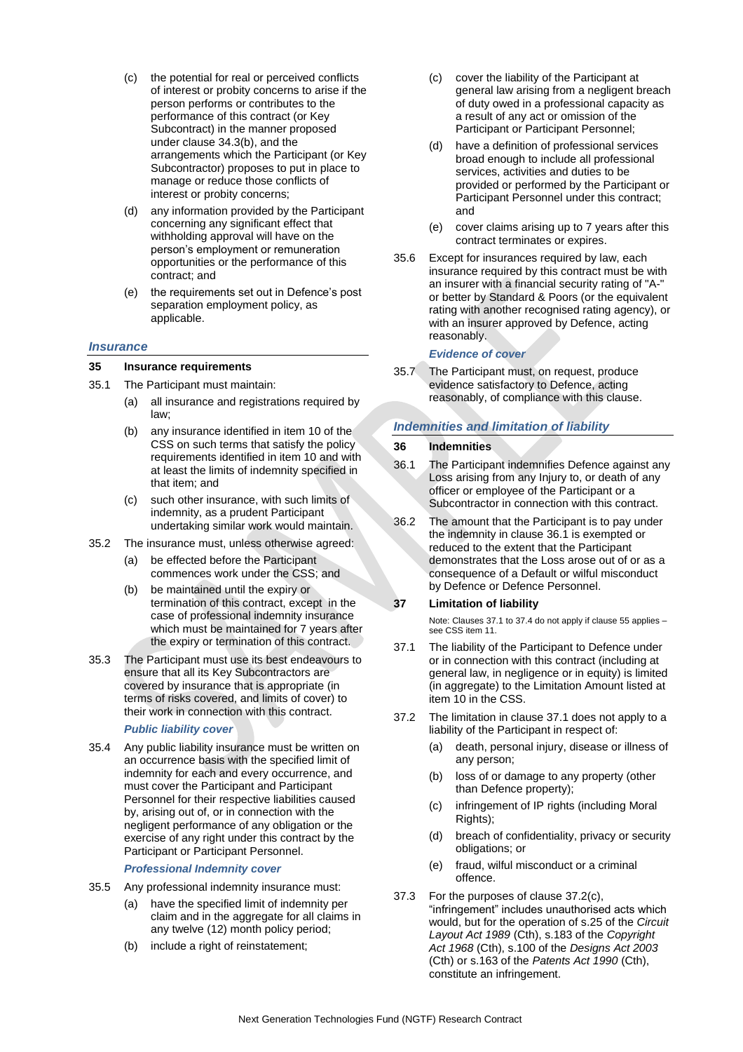- (c) the potential for real or perceived conflicts of interest or probity concerns to arise if the person performs or contributes to the performance of this contract (or Key Subcontract) in the manner proposed under clause [34.3\(b\),](#page-17-0) and the arrangements which the Participant (or Key Subcontractor) proposes to put in place to manage or reduce those conflicts of interest or probity concerns;
- (d) any information provided by the Participant concerning any significant effect that withholding approval will have on the person's employment or remuneration opportunities or the performance of this contract; and
- (e) the requirements set out in Defence's post separation employment policy, as applicable.

# *Insurance*

### **35 Insurance requirements**

- <span id="page-18-1"></span>35.1 The Participant must maintain:
	- (a) all insurance and registrations required by law;
	- (b) any insurance identified in item 10 of the CSS on such terms that satisfy the policy requirements identified in item 10 and with at least the limits of indemnity specified in that item; and
	- (c) such other insurance, with such limits of indemnity, as a prudent Participant undertaking similar work would maintain.
- 35.2 The insurance must, unless otherwise agreed:
	- (a) be effected before the Participant commences work under the CSS; and
	- (b) be maintained until the expiry or termination of this contract, except in the case of professional indemnity insurance which must be maintained for 7 years after the expiry or termination of this contract.
- 35.3 The Participant must use its best endeavours to ensure that all its Key Subcontractors are covered by insurance that is appropriate (in terms of risks covered, and limits of cover) to their work in connection with this contract.

# *Public liability cover*

35.4 Any public liability insurance must be written on an occurrence basis with the specified limit of indemnity for each and every occurrence, and must cover the Participant and Participant Personnel for their respective liabilities caused by, arising out of, or in connection with the negligent performance of any obligation or the exercise of any right under this contract by the Participant or Participant Personnel.

### *Professional Indemnity cover*

- 35.5 Any professional indemnity insurance must:
	- (a) have the specified limit of indemnity per claim and in the aggregate for all claims in any twelve (12) month policy period;
	- (b) include a right of reinstatement;
- (c) cover the liability of the Participant at general law arising from a negligent breach of duty owed in a professional capacity as a result of any act or omission of the Participant or Participant Personnel;
- (d) have a definition of professional services broad enough to include all professional services, activities and duties to be provided or performed by the Participant or Participant Personnel under this contract; and
- (e) cover claims arising up to 7 years after this contract terminates or expires.
- 35.6 Except for insurances required by law, each insurance required by this contract must be with an insurer with a financial security rating of "A-" or better by Standard & Poors (or the equivalent rating with another recognised rating agency), or with an insurer approved by Defence, acting reasonably.

### *Evidence of cover*

35.7 The Participant must, on request, produce evidence satisfactory to Defence, acting reasonably, of compliance with this clause.

# *Indemnities and limitation of liability*

### **36 Indemnities**

- 36.1 The Participant indemnifies Defence against any Loss arising from any Injury to, or death of any officer or employee of the Participant or a Subcontractor in connection with this contract.
- 36.2 The amount that the Participant is to pay under the indemnity in clause 36.1 is exempted or reduced to the extent that the Participant demonstrates that the Loss arose out of or as a consequence of a Default or wilful misconduct by Defence or Defence Personnel.

# **37 Limitation of liability**

Note: Clauses 37.1 to 37.4 do not apply if clause 55 applies – see CSS item 11.

- <span id="page-18-0"></span>37.1 The liability of the Participant to Defence under or in connection with this contract (including at general law, in negligence or in equity) is limited (in aggregate) to the Limitation Amount listed at item 10 in the CSS.
- 37.2 The limitation in clause 37.1 does not apply to a liability of the Participant in respect of:
	- (a) death, personal injury, disease or illness of any person;
	- (b) loss of or damage to any property (other than Defence property);
	- (c) infringement of IP rights (including Moral Rights);
	- (d) breach of confidentiality, privacy or security obligations; or
	- (e) fraud, wilful misconduct or a criminal offence.
- 37.3 For the purposes of clause 37.2(c), "infringement" includes unauthorised acts which would, but for the operation of s.25 of the *Circuit Layout Act 1989* (Cth), s.183 of the *Copyright Act 1968* (Cth), s.100 of the *Designs Act 2003* (Cth) or s.163 of the *Patents Act 1990* (Cth), constitute an infringement.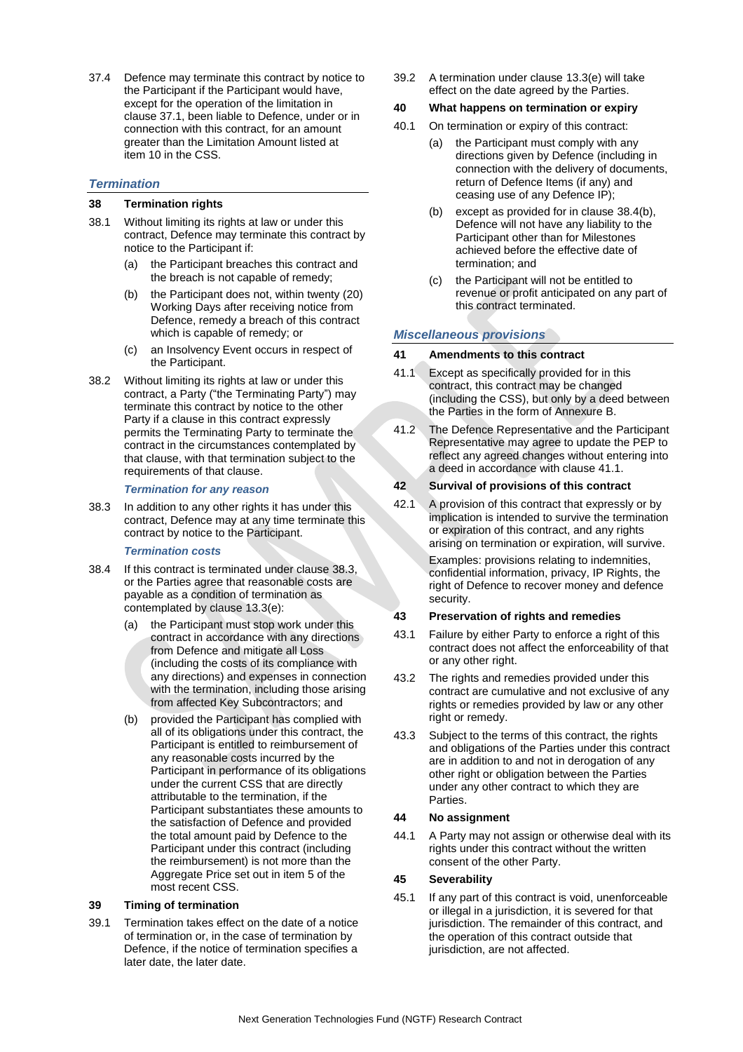<span id="page-19-0"></span>37.4 Defence may terminate this contract by notice to the Participant if the Participant would have, except for the operation of the limitation in clause 37.1, been liable to Defence, under or in connection with this contract, for an amount greater than the Limitation Amount listed at item 10 in the CSS.

# *Termination*

# **38 Termination rights**

- 38.1 Without limiting its rights at law or under this contract, Defence may terminate this contract by notice to the Participant if:
	- (a) the Participant breaches this contract and the breach is not capable of remedy;
	- (b) the Participant does not, within twenty (20) Working Days after receiving notice from Defence, remedy a breach of this contract which is capable of remedy; or
	- (c) an Insolvency Event occurs in respect of the Participant.
- 38.2 Without limiting its rights at law or under this contract, a Party ("the Terminating Party") may terminate this contract by notice to the other Party if a clause in this contract expressly permits the Terminating Party to terminate the contract in the circumstances contemplated by that clause, with that termination subject to the requirements of that clause.

### *Termination for any reason*

38.3 In addition to any other rights it has under this contract, Defence may at any time terminate this contract by notice to the Participant.

### *Termination costs*

- <span id="page-19-1"></span>38.4 If this contract is terminated under clause 38.3, or the Parties agree that reasonable costs are payable as a condition of termination as contemplated by clause 13.3(e):
	- (a) the Participant must stop work under this contract in accordance with any directions from Defence and mitigate all Loss (including the costs of its compliance with any directions) and expenses in connection with the termination, including those arising from affected Key Subcontractors; and
	- (b) provided the Participant has complied with all of its obligations under this contract, the Participant is entitled to reimbursement of any reasonable costs incurred by the Participant in performance of its obligations under the current CSS that are directly attributable to the termination, if the Participant substantiates these amounts to the satisfaction of Defence and provided the total amount paid by Defence to the Participant under this contract (including the reimbursement) is not more than the Aggregate Price set out in item 5 of the most recent CSS.

# **39 Timing of termination**

39.1 Termination takes effect on the date of a notice of termination or, in the case of termination by Defence, if the notice of termination specifies a later date, the later date.

39.2 A termination under clause 13.3(e) will take effect on the date agreed by the Parties.

# **40 What happens on termination or expiry**

- 40.1 On termination or expiry of this contract:
	- (a) the Participant must comply with any directions given by Defence (including in connection with the delivery of documents, return of Defence Items (if any) and ceasing use of any Defence IP);
	- (b) except as provided for in clause 38.4(b), Defence will not have any liability to the Participant other than for Milestones achieved before the effective date of termination; and
	- (c) the Participant will not be entitled to revenue or profit anticipated on any part of this contract terminated.

# *Miscellaneous provisions*

# **41 Amendments to this contract**

- <span id="page-19-2"></span>41.1 Except as specifically provided for in this contract, this contract may be changed (including the CSS), but only by a deed between the Parties in the form of Annexure B.
- 41.2 The Defence Representative and the Participant Representative may agree to update the PEP to reflect any agreed changes without entering into a deed in accordance with clause 41.1.

# **42 Survival of provisions of this contract**

42.1 A provision of this contract that expressly or by implication is intended to survive the termination or expiration of this contract, and any rights arising on termination or expiration, will survive. Examples: provisions relating to indemnities, confidential information, privacy, IP Rights, the right of Defence to recover money and defence security.

### **43 Preservation of rights and remedies**

- 43.1 Failure by either Party to enforce a right of this contract does not affect the enforceability of that or any other right.
- 43.2 The rights and remedies provided under this contract are cumulative and not exclusive of any rights or remedies provided by law or any other right or remedy.
- 43.3 Subject to the terms of this contract, the rights and obligations of the Parties under this contract are in addition to and not in derogation of any other right or obligation between the Parties under any other contract to which they are Parties.

# **44 No assignment**

44.1 A Party may not assign or otherwise deal with its rights under this contract without the written consent of the other Party.

# **45 Severability**

45.1 If any part of this contract is void, unenforceable or illegal in a jurisdiction, it is severed for that jurisdiction. The remainder of this contract, and the operation of this contract outside that jurisdiction, are not affected.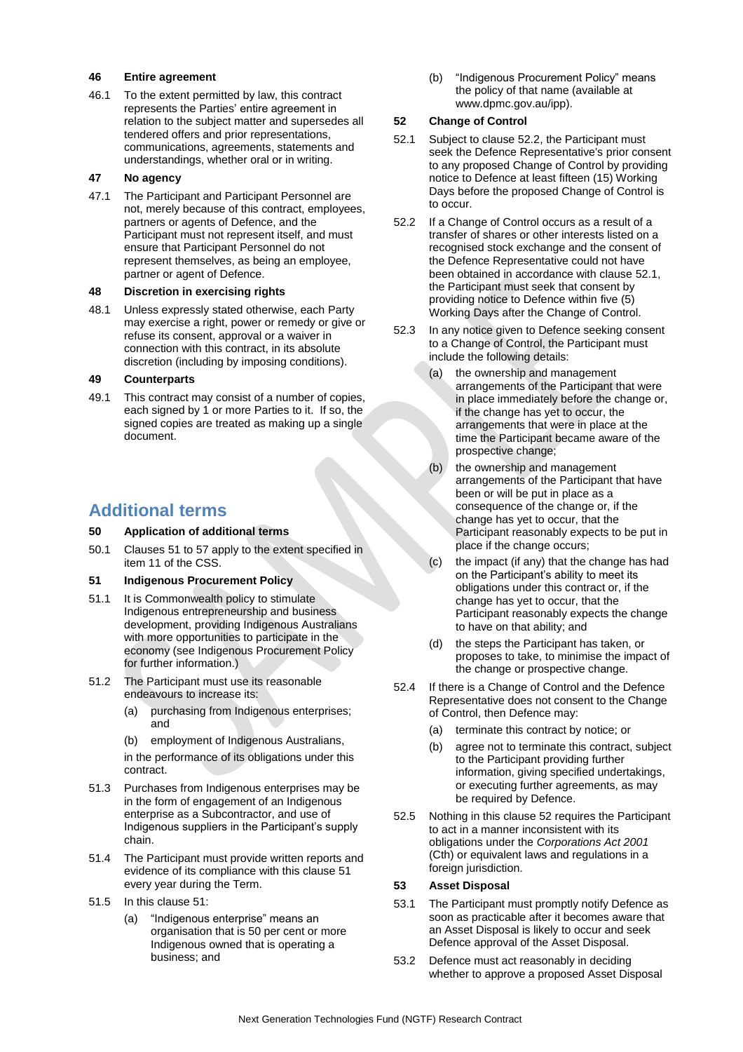### **46 Entire agreement**

46.1 To the extent permitted by law, this contract represents the Parties' entire agreement in relation to the subject matter and supersedes all tendered offers and prior representations, communications, agreements, statements and understandings, whether oral or in writing.

### **47 No agency**

47.1 The Participant and Participant Personnel are not, merely because of this contract, employees, partners or agents of Defence, and the Participant must not represent itself, and must ensure that Participant Personnel do not represent themselves, as being an employee, partner or agent of Defence.

### **48 Discretion in exercising rights**

48.1 Unless expressly stated otherwise, each Party may exercise a right, power or remedy or give or refuse its consent, approval or a waiver in connection with this contract, in its absolute discretion (including by imposing conditions).

### **49 Counterparts**

49.1 This contract may consist of a number of copies, each signed by 1 or more Parties to it. If so, the signed copies are treated as making up a single document.

# **Additional terms**

### **50 Application of additional terms**

50.1 Clauses 51 to 57 apply to the extent specified in item 11 of the CSS.

### <span id="page-20-0"></span>**51 Indigenous Procurement Policy**

- 51.1 It is Commonwealth policy to stimulate Indigenous entrepreneurship and business development, providing Indigenous Australians with more opportunities to participate in the economy (see Indigenous Procurement Policy for further information.)
- 51.2 The Participant must use its reasonable endeavours to increase its:
	- (a) purchasing from Indigenous enterprises; and
	- (b) employment of Indigenous Australians,

in the performance of its obligations under this contract.

- 51.3 Purchases from Indigenous enterprises may be in the form of engagement of an Indigenous enterprise as a Subcontractor, and use of Indigenous suppliers in the Participant's supply chain.
- 51.4 The Participant must provide written reports and evidence of its compliance with this clause [51](#page-20-0) every year during the Term.
- 51.5 In this clause [51:](#page-20-0) 
	- (a) "Indigenous enterprise" means an organisation that is 50 per cent or more Indigenous owned that is operating a business; and

(b) "Indigenous Procurement Policy" means the policy of that name (available at www.dpmc.gov.au/ipp).

# <span id="page-20-1"></span>**52 Change of Control**

- <span id="page-20-4"></span>52.1 Subject to clause [52.2,](#page-20-3) the Participant must seek the Defence Representative's prior consent to any proposed Change of Control by providing notice to Defence at least fifteen (15) Working Days before the proposed Change of Control is to occur.
- <span id="page-20-3"></span>52.2 If a Change of Control occurs as a result of a transfer of shares or other interests listed on a recognised stock exchange and the consent of the Defence Representative could not have been obtained in accordance with clause [52.1,](#page-20-4) the Participant must seek that consent by providing notice to Defence within five (5) Working Days after the Change of Control.
- 52.3 In any notice given to Defence seeking consent to a Change of Control, the Participant must include the following details:
	- (a) the ownership and management arrangements of the Participant that were in place immediately before the change or, if the change has yet to occur, the arrangements that were in place at the time the Participant became aware of the prospective change;
	- (b) the ownership and management arrangements of the Participant that have been or will be put in place as a consequence of the change or, if the change has yet to occur, that the Participant reasonably expects to be put in place if the change occurs;
	- (c) the impact (if any) that the change has had on the Participant's ability to meet its obligations under this contract or, if the change has yet to occur, that the Participant reasonably expects the change to have on that ability; and
	- (d) the steps the Participant has taken, or proposes to take, to minimise the impact of the change or prospective change.
- 52.4 If there is a Change of Control and the Defence Representative does not consent to the Change of Control, then Defence may:
	- (a) terminate this contract by notice; or
	- (b) agree not to terminate this contract, subject to the Participant providing further information, giving specified undertakings, or executing further agreements, as may be required by Defence.
- 52.5 Nothing in this clause [52](#page-20-1) requires the Participant to act in a manner inconsistent with its obligations under the *Corporations Act 2001* (Cth) or equivalent laws and regulations in a foreign jurisdiction.

# <span id="page-20-2"></span>**53 Asset Disposal**

- 53.1 The Participant must promptly notify Defence as soon as practicable after it becomes aware that an Asset Disposal is likely to occur and seek Defence approval of the Asset Disposal.
- 53.2 Defence must act reasonably in deciding whether to approve a proposed Asset Disposal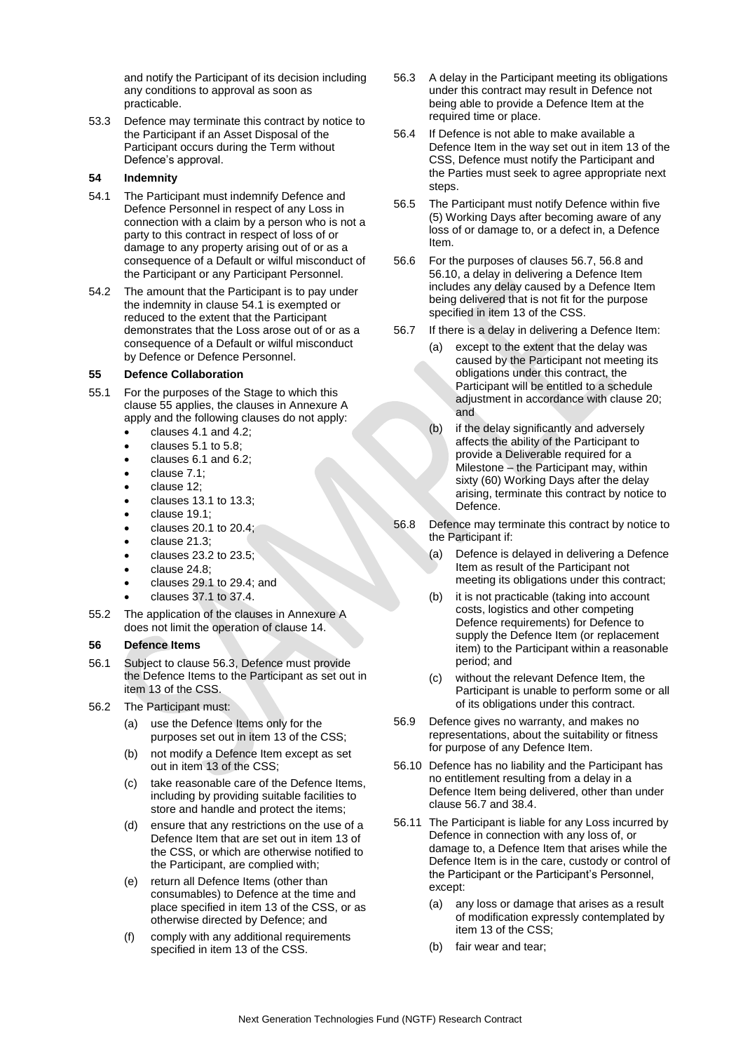and notify the Participant of its decision including any conditions to approval as soon as practicable.

53.3 Defence may terminate this contract by notice to the Participant if an Asset Disposal of the Participant occurs during the Term without Defence's approval.

### <span id="page-21-0"></span>**54 Indemnity**

- <span id="page-21-4"></span>54.1 The Participant must indemnify Defence and Defence Personnel in respect of any Loss in connection with a claim by a person who is not a party to this contract in respect of loss of or damage to any property arising out of or as a consequence of a Default or wilful misconduct of the Participant or any Participant Personnel.
- <span id="page-21-3"></span>54.2 The amount that the Participant is to pay under the indemnity in clause [54.1](#page-21-4) is exempted or reduced to the extent that the Participant demonstrates that the Loss arose out of or as a consequence of a Default or wilful misconduct by Defence or Defence Personnel.

# <span id="page-21-1"></span>**55 Defence Collaboration**

- 55.1 For the purposes of the Stage to which this clause [55](#page-21-1) applies, the clauses in Annexure A apply and the following clauses do not apply:
	- clause[s 4.1](#page-9-0) and [4.2;](#page-9-2)
	- clauses [5.1](#page-9-1) t[o 5.8;](#page-10-2)
	- clauses [6.1](#page-10-3) and [6.2;](#page-10-4)
	- clause [7.1;](#page-10-5)
	- clause [12;](#page-11-3)
	- clauses [13.1](#page-11-5) t[o 13.3;](#page-11-6)
	- clause [19.1;](#page-12-2)
	- clause[s 20.1](#page-12-1) t[o 20.4;](#page-13-11)
	- clause [21.3;](#page-13-12)
	- clauses [23.2](#page-13-13) t[o 23.5;](#page-14-1)
	- clause [24.8;](#page-14-3)
	- clause[s 29.1](#page-15-0) t[o 29.4;](#page-16-1) and
	- clauses [37.1](#page-18-0) t[o 37.4.](#page-19-0)
- 55.2 The application of the clauses in Annexure A does not limit the operation of clause [14.](#page-11-7)

### <span id="page-21-2"></span>**56 Defence Items**

- 56.1 Subject to clause [56.3,](#page-21-5) Defence must provide the Defence Items to the Participant as set out in item 13 of the CSS.
- 56.2 The Participant must:
	- (a) use the Defence Items only for the purposes set out in item 13 of the CSS;
	- (b) not modify a Defence Item except as set out in item 13 of the CSS;
	- (c) take reasonable care of the Defence Items, including by providing suitable facilities to store and handle and protect the items;
	- (d) ensure that any restrictions on the use of a Defence Item that are set out in item 13 of the CSS, or which are otherwise notified to the Participant, are complied with;
	- (e) return all Defence Items (other than consumables) to Defence at the time and place specified in item 13 of the CSS, or as otherwise directed by Defence; and
	- (f) comply with any additional requirements specified in item 13 of the CSS.
- <span id="page-21-5"></span>56.3 A delay in the Participant meeting its obligations under this contract may result in Defence not being able to provide a Defence Item at the required time or place.
- 56.4 If Defence is not able to make available a Defence Item in the way set out in item 13 of the CSS, Defence must notify the Participant and the Parties must seek to agree appropriate next steps.
- 56.5 The Participant must notify Defence within five (5) Working Days after becoming aware of any loss of or damage to, or a defect in, a Defence Item.
- 56.6 For the purposes of clause[s 56.7,](#page-21-6) [56.8](#page-21-7) and [56.10,](#page-21-8) a delay in delivering a Defence Item includes any delay caused by a Defence Item being delivered that is not fit for the purpose specified in item 13 of the CSS.
- <span id="page-21-6"></span>56.7 If there is a delay in delivering a Defence Item:
	- (a) except to the extent that the delay was caused by the Participant not meeting its obligations under this contract, the Participant will be entitled to a schedule adjustment in accordance with clause [20;](#page-12-3) and
	- (b) if the delay significantly and adversely affects the ability of the Participant to provide a Deliverable required for a Milestone – the Participant may, within sixty (60) Working Days after the delay arising, terminate this contract by notice to Defence.
- <span id="page-21-7"></span>56.8 Defence may terminate this contract by notice to the Participant if:
	- (a) Defence is delayed in delivering a Defence Item as result of the Participant not meeting its obligations under this contract;
	- (b) it is not practicable (taking into account costs, logistics and other competing Defence requirements) for Defence to supply the Defence Item (or replacement item) to the Participant within a reasonable period; and
	- (c) without the relevant Defence Item, the Participant is unable to perform some or all of its obligations under this contract.
- 56.9 Defence gives no warranty, and makes no representations, about the suitability or fitness for purpose of any Defence Item.
- <span id="page-21-8"></span>56.10 Defence has no liability and the Participant has no entitlement resulting from a delay in a Defence Item being delivered, other than under claus[e 56.7](#page-21-6) and [38.4.](#page-19-1)
- 56.11 The Participant is liable for any Loss incurred by Defence in connection with any loss of, or damage to, a Defence Item that arises while the Defence Item is in the care, custody or control of the Participant or the Participant's Personnel, except:
	- (a) any loss or damage that arises as a result of modification expressly contemplated by item 13 of the CSS;
	- (b) fair wear and tear;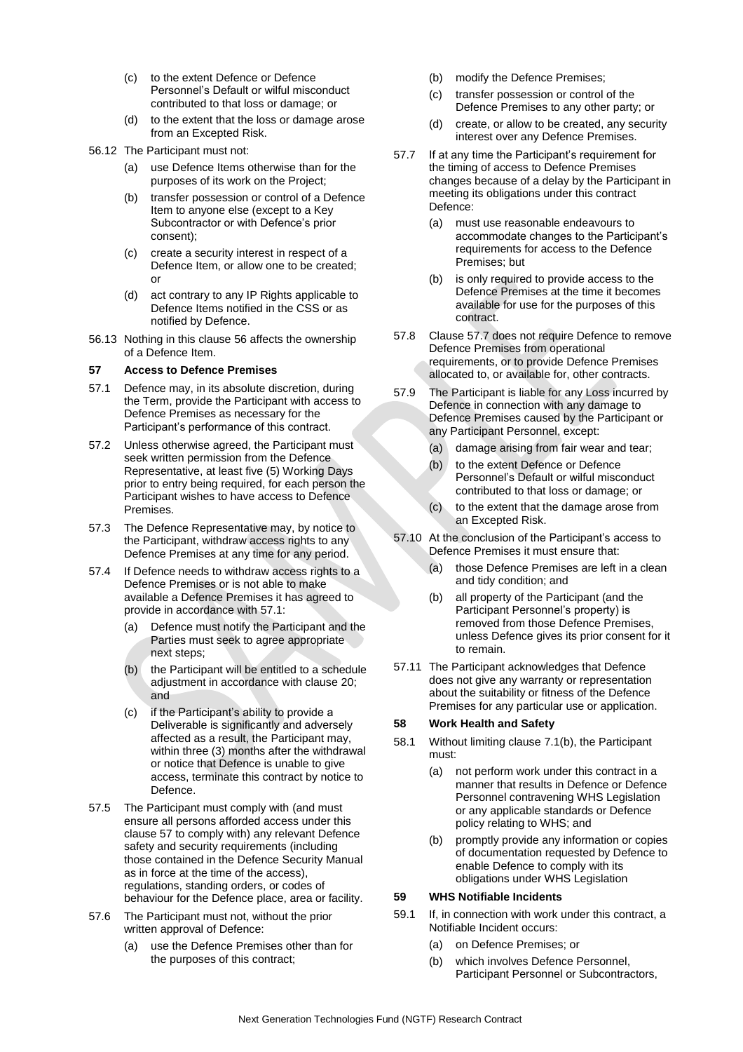- (c) to the extent Defence or Defence Personnel's Default or wilful misconduct contributed to that loss or damage; or
- (d) to the extent that the loss or damage arose from an Excepted Risk.
- 56.12 The Participant must not:
	- (a) use Defence Items otherwise than for the purposes of its work on the Project;
	- (b) transfer possession or control of a Defence Item to anyone else (except to a Key Subcontractor or with Defence's prior consent);
	- (c) create a security interest in respect of a Defence Item, or allow one to be created; or
	- (d) act contrary to any IP Rights applicable to Defence Items notified in the CSS or as notified by Defence.
- 56.13 Nothing in this clause [56](#page-21-2) affects the ownership of a Defence Item.

### <span id="page-22-0"></span>**57 Access to Defence Premises**

- <span id="page-22-3"></span>57.1 Defence may, in its absolute discretion, during the Term, provide the Participant with access to Defence Premises as necessary for the Participant's performance of this contract.
- 57.2 Unless otherwise agreed, the Participant must seek written permission from the Defence Representative, at least five (5) Working Days prior to entry being required, for each person the Participant wishes to have access to Defence Premises.
- 57.3 The Defence Representative may, by notice to the Participant, withdraw access rights to any Defence Premises at any time for any period.
- 57.4 If Defence needs to withdraw access rights to a Defence Premises or is not able to make available a Defence Premises it has agreed to provide in accordance with [57.1:](#page-22-3)
	- (a) Defence must notify the Participant and the Parties must seek to agree appropriate next steps;
	- (b) the Participant will be entitled to a schedule adjustment in accordance with claus[e 20;](#page-12-3) and
	- (c) if the Participant's ability to provide a Deliverable is significantly and adversely affected as a result, the Participant may, within three (3) months after the withdrawal or notice that Defence is unable to give access, terminate this contract by notice to Defence.
- 57.5 The Participant must comply with (and must ensure all persons afforded access under this clause [57](#page-22-0) to comply with) any relevant Defence safety and security requirements (including those contained in the Defence Security Manual as in force at the time of the access), regulations, standing orders, or codes of behaviour for the Defence place, area or facility.
- 57.6 The Participant must not, without the prior written approval of Defence:
	- (a) use the Defence Premises other than for the purposes of this contract;
- (b) modify the Defence Premises;
- (c) transfer possession or control of the Defence Premises to any other party; or
- (d) create, or allow to be created, any security interest over any Defence Premises.
- <span id="page-22-4"></span>57.7 If at any time the Participant's requirement for the timing of access to Defence Premises changes because of a delay by the Participant in meeting its obligations under this contract Defence:
	- (a) must use reasonable endeavours to accommodate changes to the Participant's requirements for access to the Defence Premises; but
	- (b) is only required to provide access to the Defence Premises at the time it becomes available for use for the purposes of this contract.
- 57.8 Claus[e 57.7](#page-22-4) does not require Defence to remove Defence Premises from operational requirements, or to provide Defence Premises allocated to, or available for, other contracts.
- 57.9 The Participant is liable for any Loss incurred by Defence in connection with any damage to Defence Premises caused by the Participant or any Participant Personnel, except:
	- (a) damage arising from fair wear and tear;
	- (b) to the extent Defence or Defence Personnel's Default or wilful misconduct contributed to that loss or damage; or
	- (c) to the extent that the damage arose from an Excepted Risk.
- 57.10 At the conclusion of the Participant's access to Defence Premises it must ensure that:
	- (a) those Defence Premises are left in a clean and tidy condition; and
	- (b) all property of the Participant (and the Participant Personnel's property) is removed from those Defence Premises, unless Defence gives its prior consent for it to remain.
- 57.11 The Participant acknowledges that Defence does not give any warranty or representation about the suitability or fitness of the Defence Premises for any particular use or application.

# <span id="page-22-1"></span>**58 Work Health and Safety**

- 58.1 Without limiting clause [7.1\(b\),](#page-10-6) the Participant must:
	- (a) not perform work under this contract in a manner that results in Defence or Defence Personnel contravening WHS Legislation or any applicable standards or Defence policy relating to WHS; and
	- (b) promptly provide any information or copies of documentation requested by Defence to enable Defence to comply with its obligations under WHS Legislation

# <span id="page-22-2"></span>**59 WHS Notifiable Incidents**

- 59.1 If, in connection with work under this contract, a Notifiable Incident occurs:
	- (a) on Defence Premises; or
	- (b) which involves Defence Personnel, Participant Personnel or Subcontractors,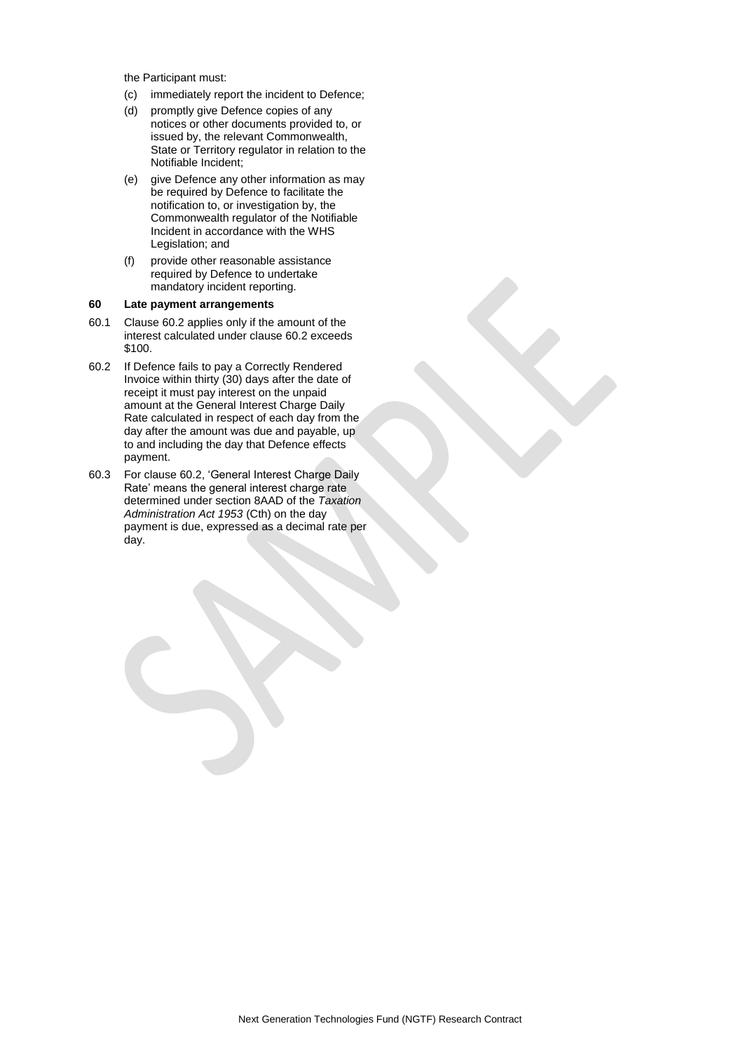the Participant must:

- (c) immediately report the incident to Defence;
- (d) promptly give Defence copies of any notices or other documents provided to, or issued by, the relevant Commonwealth, State or Territory regulator in relation to the Notifiable Incident;
- (e) give Defence any other information as may be required by Defence to facilitate the notification to, or investigation by, the Commonwealth regulator of the Notifiable Incident in accordance with the WHS Legislation; and
- (f) provide other reasonable assistance required by Defence to undertake mandatory incident reporting.

### <span id="page-23-0"></span>**60 Late payment arrangements**

- 60.1 Clause [60.2](#page-23-1) applies only if the amount of the interest calculated under clause [60.2](#page-23-1) exceeds \$100.
- <span id="page-23-1"></span>60.2 If Defence fails to pay a Correctly Rendered Invoice within thirty (30) days after the date of receipt it must pay interest on the unpaid amount at the General Interest Charge Daily Rate calculated in respect of each day from the day after the amount was due and payable, up to and including the day that Defence effects payment.
- 60.3 For clause [60.2,](#page-23-1) 'General Interest Charge Daily Rate' means the general interest charge rate determined under section 8AAD of the *Taxation Administration Act 1953* (Cth) on the day payment is due, expressed as a decimal rate per day.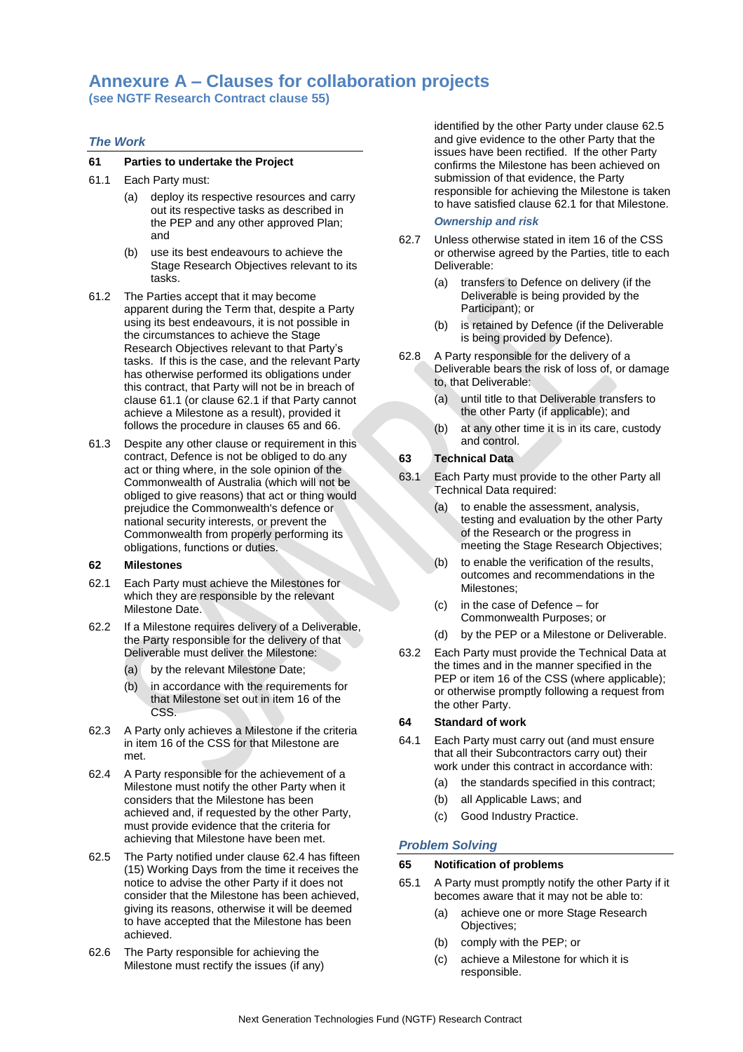# **Annexure A – Clauses for collaboration projects**

**(see NGTF Research Contract clause [55\)](#page-21-1)** 

# *The Work*

### **61 Parties to undertake the Project**

- <span id="page-24-0"></span>61.1 Each Party must:
	- (a) deploy its respective resources and carry out its respective tasks as described in the PEP and any other approved Plan; and
	- (b) use its best endeavours to achieve the Stage Research Objectives relevant to its tasks.
- 61.2 The Parties accept that it may become apparent during the Term that, despite a Party using its best endeavours, it is not possible in the circumstances to achieve the Stage Research Objectives relevant to that Party's tasks. If this is the case, and the relevant Party has otherwise performed its obligations under this contract, that Party will not be in breach of clause [61.1](#page-24-0) (or clause [62.1](#page-24-1) if that Party cannot achieve a Milestone as a result), provided it follows the procedure in clauses [65](#page-24-2) and [66.](#page-25-0)
- 61.3 Despite any other clause or requirement in this contract, Defence is not be obliged to do any act or thing where, in the sole opinion of the Commonwealth of Australia (which will not be obliged to give reasons) that act or thing would prejudice the Commonwealth's defence or national security interests, or prevent the Commonwealth from properly performing its obligations, functions or duties.

### **62 Milestones**

- <span id="page-24-1"></span>62.1 Each Party must achieve the Milestones for which they are responsible by the relevant Milestone Date.
- 62.2 If a Milestone requires delivery of a Deliverable, the Party responsible for the delivery of that Deliverable must deliver the Milestone:
	- (a) by the relevant Milestone Date;
	- (b) in accordance with the requirements for that Milestone set out in item 16 of the CSS.
- 62.3 A Party only achieves a Milestone if the criteria in item 16 of the CSS for that Milestone are met.
- <span id="page-24-3"></span>62.4 A Party responsible for the achievement of a Milestone must notify the other Party when it considers that the Milestone has been achieved and, if requested by the other Party, must provide evidence that the criteria for achieving that Milestone have been met.
- <span id="page-24-4"></span>62.5 The Party notified under clause [62.4](#page-24-3) has fifteen (15) Working Days from the time it receives the notice to advise the other Party if it does not consider that the Milestone has been achieved, giving its reasons, otherwise it will be deemed to have accepted that the Milestone has been achieved.
- 62.6 The Party responsible for achieving the Milestone must rectify the issues (if any)

identified by the other Party under clause [62.5](#page-24-4) and give evidence to the other Party that the issues have been rectified. If the other Party confirms the Milestone has been achieved on submission of that evidence, the Party responsible for achieving the Milestone is taken to have satisfied clause [62.1](#page-24-1) for that Milestone.

### *Ownership and risk*

- 62.7 Unless otherwise stated in item 16 of the CSS or otherwise agreed by the Parties, title to each Deliverable:
	- (a) transfers to Defence on delivery (if the Deliverable is being provided by the Participant); or
	- (b) is retained by Defence (if the Deliverable is being provided by Defence).
- 62.8 A Party responsible for the delivery of a Deliverable bears the risk of loss of, or damage to, that Deliverable:
	- (a) until title to that Deliverable transfers to the other Party (if applicable); and
	- (b) at any other time it is in its care, custody and control.

# **63 Technical Data**

- 63.1 Each Party must provide to the other Party all Technical Data required:
	- (a) to enable the assessment, analysis, testing and evaluation by the other Party of the Research or the progress in meeting the Stage Research Objectives;
	- (b) to enable the verification of the results, outcomes and recommendations in the Milestones;
	- (c) in the case of Defence for Commonwealth Purposes; or
	- (d) by the PEP or a Milestone or Deliverable.
- 63.2 Each Party must provide the Technical Data at the times and in the manner specified in the PEP or item 16 of the CSS (where applicable); or otherwise promptly following a request from the other Party.

### **64 Standard of work**

- 64.1 Each Party must carry out (and must ensure that all their Subcontractors carry out) their work under this contract in accordance with:
	- (a) the standards specified in this contract;
	- (b) all Applicable Laws; and
	- (c) Good Industry Practice.

# *Problem Solving*

### <span id="page-24-2"></span>**65 Notification of problems**

- <span id="page-24-5"></span>65.1 A Party must promptly notify the other Party if it becomes aware that it may not be able to:
	- (a) achieve one or more Stage Research Objectives;
	- (b) comply with the PEP; or
	- (c) achieve a Milestone for which it is responsible.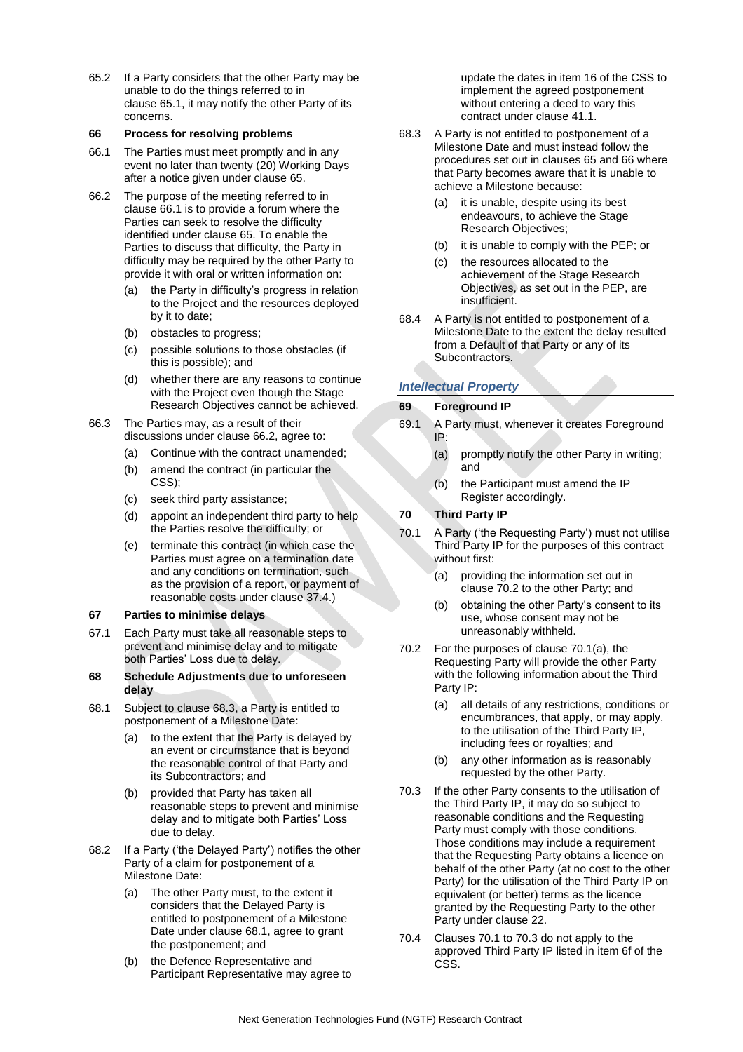65.2 If a Party considers that the other Party may be unable to do the things referred to in clause [65.1,](#page-24-5) it may notify the other Party of its concerns.

### <span id="page-25-0"></span>**66 Process for resolving problems**

- <span id="page-25-1"></span>66.1 The Parties must meet promptly and in any event no later than twenty (20) Working Days after a notice given under clause [65.](#page-24-2)
- <span id="page-25-2"></span>66.2 The purpose of the meeting referred to in clause [66.1](#page-25-1) is to provide a forum where the Parties can seek to resolve the difficulty identified under clause [65.](#page-24-2) To enable the Parties to discuss that difficulty, the Party in difficulty may be required by the other Party to provide it with oral or written information on:
	- (a) the Party in difficulty's progress in relation to the Project and the resources deployed by it to date;
	- (b) obstacles to progress;
	- (c) possible solutions to those obstacles (if this is possible); and
	- (d) whether there are any reasons to continue with the Project even though the Stage Research Objectives cannot be achieved.
- 66.3 The Parties may, as a result of their discussions under clause [66.2,](#page-25-2) agree to:
	- (a) Continue with the contract unamended;
	- (b) amend the contract (in particular the CSS);
	- (c) seek third party assistance;
	- (d) appoint an independent third party to help the Parties resolve the difficulty; or
	- (e) terminate this contract (in which case the Parties must agree on a termination date and any conditions on termination, such as the provision of a report, or payment of reasonable costs under clause [37.4.](#page-19-0))

# **67 Parties to minimise delays**

- 67.1 Each Party must take all reasonable steps to prevent and minimise delay and to mitigate both Parties' Loss due to delay.
- **68 Schedule Adjustments due to unforeseen delay**
- <span id="page-25-4"></span>68.1 Subject to clause [68.3,](#page-25-3) a Party is entitled to postponement of a Milestone Date:
	- (a) to the extent that the Party is delayed by an event or circumstance that is beyond the reasonable control of that Party and its Subcontractors; and
	- (b) provided that Party has taken all reasonable steps to prevent and minimise delay and to mitigate both Parties' Loss due to delay.
- 68.2 If a Party ('the Delayed Party') notifies the other Party of a claim for postponement of a Milestone Date:
	- (a) The other Party must, to the extent it considers that the Delayed Party is entitled to postponement of a Milestone Date under clause [68.1,](#page-25-4) agree to grant the postponement; and
	- (b) the Defence Representative and Participant Representative may agree to

update the dates in item 16 of the CSS to implement the agreed postponement without entering a deed to vary this contract under clause [41.1.](#page-19-2)

- <span id="page-25-3"></span>68.3 A Party is not entitled to postponement of a Milestone Date and must instead follow the procedures set out in clauses [65](#page-24-2) and [66](#page-25-0) where that Party becomes aware that it is unable to achieve a Milestone because:
	- (a) it is unable, despite using its best endeavours, to achieve the Stage Research Objectives;
	- (b) it is unable to comply with the PEP; or
	- (c) the resources allocated to the achievement of the Stage Research Objectives, as set out in the PEP, are insufficient.
- 68.4 A Party is not entitled to postponement of a Milestone Date to the extent the delay resulted from a Default of that Party or any of its Subcontractors.

# *Intellectual Property*

# **69 Foreground IP**

- 69.1 A Party must, whenever it creates Foreground IP:
	- (a) promptly notify the other Party in writing; and
	- (b) the Participant must amend the IP Register accordingly.

# **70 Third Party IP**

- <span id="page-25-7"></span><span id="page-25-6"></span>70.1 A Party ('the Requesting Party') must not utilise Third Party IP for the purposes of this contract without first:
	- (a) providing the information set out in clause [70.2](#page-25-5) to the other Party; and
	- (b) obtaining the other Party's consent to its use, whose consent may not be unreasonably withheld.
- <span id="page-25-5"></span>70.2 For the purposes of clause [70.1\(a\),](#page-25-6) the Requesting Party will provide the other Party with the following information about the Third Party IP:
	- (a) all details of any restrictions, conditions or encumbrances, that apply, or may apply, to the utilisation of the Third Party IP, including fees or royalties; and
	- (b) any other information as is reasonably requested by the other Party.
- <span id="page-25-8"></span>70.3 If the other Party consents to the utilisation of the Third Party IP, it may do so subject to reasonable conditions and the Requesting Party must comply with those conditions. Those conditions may include a requirement that the Requesting Party obtains a licence on behalf of the other Party (at no cost to the other Party) for the utilisation of the Third Party IP on equivalent (or better) terms as the licence granted by the Requesting Party to the other Party under clause [22.](#page-13-9)
- 70.4 Clauses [70.1](#page-25-7) to [70.3](#page-25-8) do not apply to the approved Third Party IP listed in item 6f of the CSS.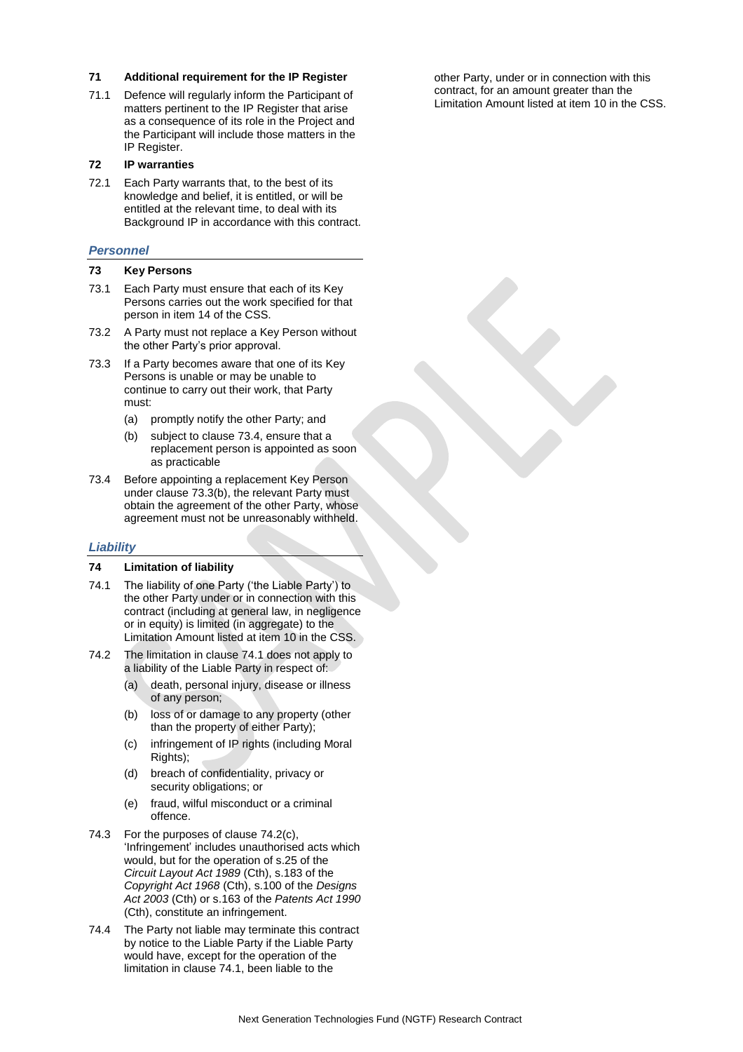### **71 Additional requirement for the IP Register**

71.1 Defence will regularly inform the Participant of matters pertinent to the IP Register that arise as a consequence of its role in the Project and the Participant will include those matters in the IP Register.

#### **72 IP warranties**

72.1 Each Party warrants that, to the best of its knowledge and belief, it is entitled, or will be entitled at the relevant time, to deal with its Background IP in accordance with this contract.

#### *Personnel*

#### **73 Key Persons**

- 73.1 Each Party must ensure that each of its Key Persons carries out the work specified for that person in item 14 of the CSS.
- 73.2 A Party must not replace a Key Person without the other Party's prior approval.
- 73.3 If a Party becomes aware that one of its Key Persons is unable or may be unable to continue to carry out their work, that Party must:
	- (a) promptly notify the other Party; and
	- (b) subject to clause [73.4,](#page-26-0) ensure that a replacement person is appointed as soon as practicable
- <span id="page-26-1"></span><span id="page-26-0"></span>73.4 Before appointing a replacement Key Person under clause [73.3\(b\),](#page-26-1) the relevant Party must obtain the agreement of the other Party, whose agreement must not be unreasonably withheld.

#### *Liability*

### **74 Limitation of liability**

- <span id="page-26-2"></span>74.1 The liability of one Party ('the Liable Party') to the other Party under or in connection with this contract (including at general law, in negligence or in equity) is limited (in aggregate) to the Limitation Amount listed at item 10 in the CSS.
- <span id="page-26-3"></span>74.2 The limitation in clause [74.1](#page-26-2) does not apply to a liability of the Liable Party in respect of:
	- (a) death, personal injury, disease or illness of any person;
	- (b) loss of or damage to any property (other than the property of either Party);
	- (c) infringement of IP rights (including Moral Rights);
	- (d) breach of confidentiality, privacy or security obligations; or
	- (e) fraud, wilful misconduct or a criminal offence.
- 74.3 For the purposes of clause [74.2\(c\),](#page-26-3)  'Infringement' includes unauthorised acts which would, but for the operation of s.25 of the *Circuit Layout Act 1989* (Cth), s.183 of the *Copyright Act 1968* (Cth), s.100 of the *Designs Act 2003* (Cth) or s.163 of the *Patents Act 1990* (Cth), constitute an infringement.
- 74.4 The Party not liable may terminate this contract by notice to the Liable Party if the Liable Party would have, except for the operation of the limitation in clause [74.1,](#page-26-2) been liable to the

other Party, under or in connection with this contract, for an amount greater than the Limitation Amount listed at item 10 in the CSS.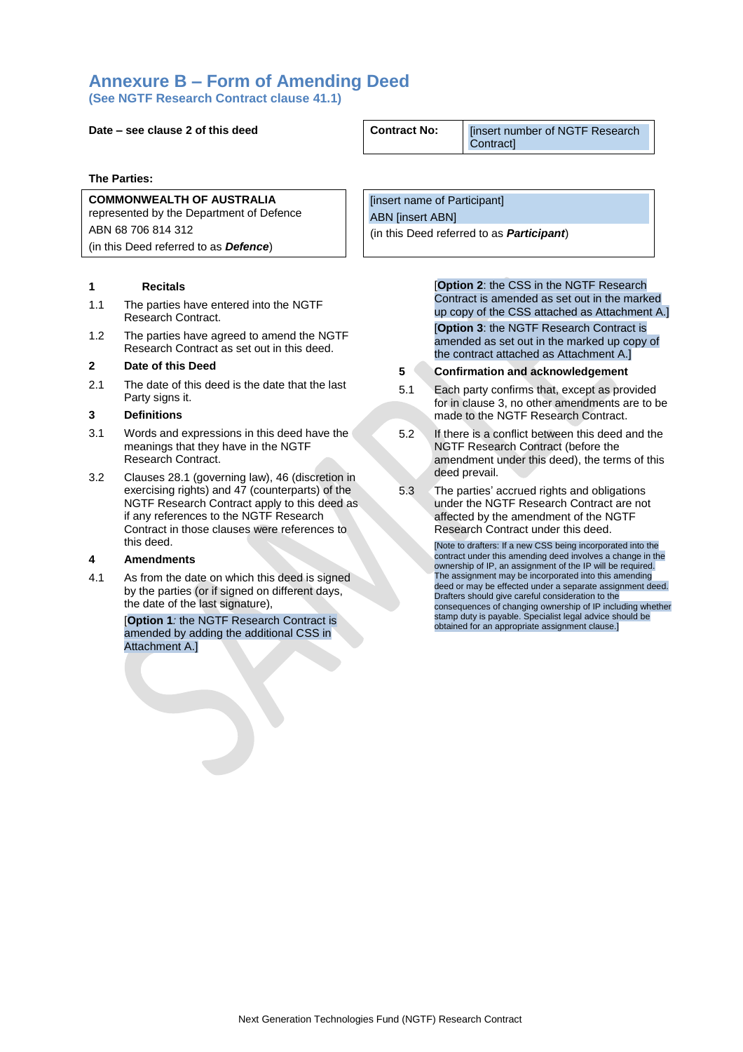# **Annexure B – Form of Amending Deed**

**(See NGTF Research Contract clause [41.1\)](#page-19-2)**

# **Date – see clause 2 of this deed Contract No:** [insert number of NGTF Research

**The Parties:**

# **COMMONWEALTH OF AUSTRALIA** represented by the Department of Defence ABN 68 706 814 312 (in this Deed referred to as *Defence*)

### **1 Recitals**

- 1.1 The parties have entered into the NGTF Research Contract.
- 1.2 The parties have agreed to amend the NGTF Research Contract as set out in this deed.

#### **2 Date of this Deed**

2.1 The date of this deed is the date that the last Party signs it.

# **3 Definitions**

- 3.1 Words and expressions in this deed have the meanings that they have in the NGTF Research Contract.
- 3.2 Clauses 28.1 (governing law), 46 (discretion in exercising rights) and 47 (counterparts) of the NGTF Research Contract apply to this deed as if any references to the NGTF Research Contract in those clauses were references to this deed.

### **4 Amendments**

4.1 As from the date on which this deed is signed by the parties (or if signed on different days, the date of the last signature),

> [**Option 1***:* the NGTF Research Contract is amended by adding the additional CSS in Attachment A.]

Contract]

[insert name of Participant] ABN [insert ABN] (in this Deed referred to as *Participant*)

> [**Option 2**: the CSS in the NGTF Research Contract is amended as set out in the marked up copy of the CSS attached as Attachment A.] [**Option 3**: the NGTF Research Contract is amended as set out in the marked up copy of the contract attached as Attachment A.]

- **5 Confirmation and acknowledgement**
- 5.1 Each party confirms that, except as provided for in clause 3, no other amendments are to be made to the NGTF Research Contract.
- 5.2 If there is a conflict between this deed and the NGTF Research Contract (before the amendment under this deed), the terms of this deed prevail.
- 5.3 The parties' accrued rights and obligations under the NGTF Research Contract are not affected by the amendment of the NGTF Research Contract under this deed.

[Note to drafters: If a new CSS being incorporated into the contract under this amending deed involves a change in the ownership of IP, an assignment of the IP will be required. The assignment may be incorporated into this amending deed or may be effected under a separate assignment deed. Drafters should give careful consideration to the consequences of changing ownership of IP including whether stamp duty is payable. Specialist legal advice should be obtained for an appropriate assignment clause.]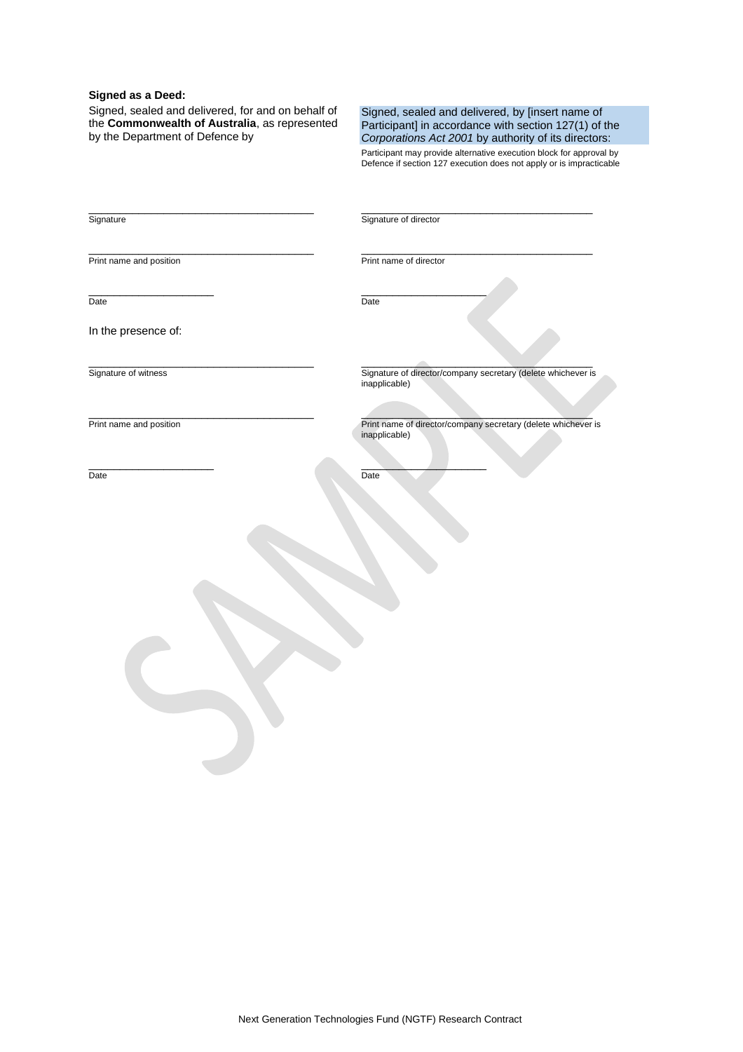### **Signed as a Deed:**

Signed, sealed and delivered, for and on behalf of the **Commonwealth of Australia**, as represented by the Department of Defence by

\_\_\_\_\_\_\_\_\_\_\_\_\_\_\_\_\_\_\_\_\_\_\_\_\_\_\_\_\_\_\_\_\_\_\_\_

\_\_\_\_\_\_\_\_\_\_\_\_\_\_\_\_\_\_\_\_\_\_\_\_\_\_\_\_\_\_\_\_\_\_\_\_

\_\_\_\_\_\_\_\_\_\_\_\_\_\_\_\_\_\_\_\_\_\_\_\_\_\_\_\_\_\_\_\_\_\_\_\_

#### Signed, sealed and delivered, by [insert name of Participant] in accordance with section 127(1) of the *Corporations Act 2001* by authority of its directors:

Participant may provide alternative execution block for approval by Defence if section 127 execution does not apply or is impracticable

Signature

\_\_\_\_\_\_\_\_\_\_\_\_\_\_\_\_\_\_\_\_\_\_\_\_\_\_\_\_\_\_\_\_\_\_\_\_\_ Signature of director

Print name and position

\_\_\_\_\_\_\_\_\_\_\_\_\_\_\_\_\_\_\_\_

\_\_\_\_\_\_\_\_\_\_\_\_\_\_\_\_\_\_\_\_\_\_\_\_\_\_\_\_\_\_\_\_\_\_\_\_\_ Print name of director

Date

Date

\_\_\_\_\_\_\_\_\_\_\_\_\_\_\_\_\_\_\_\_

 $\mathcal{L}$  , we can also the set of the set of the set of the set of the set of the set of the set of the set of the set of the set of the set of the set of the set of the set of the set of the set of the set of the set of

Date

In the presence of:

Signature of witness

\_\_\_\_\_\_\_\_\_\_\_\_\_\_\_\_\_\_\_\_\_\_\_\_\_\_\_\_\_\_\_\_\_\_\_\_ Print name and position

\_\_\_\_\_\_\_\_\_\_\_\_\_\_\_\_\_\_\_\_

 $\overline{\phantom{a}}$ Signature of director/company secretary (delete whichever is inapplicable)

 $\mathcal{L}=\mathcal{L}=\mathcal{L}=\mathcal{L}=\mathcal{L}=\mathcal{L}=\mathcal{L}=\mathcal{L}=\mathcal{L}=\mathcal{L}=\mathcal{L}=\mathcal{L}=\mathcal{L}=\mathcal{L}=\mathcal{L}=\mathcal{L}=\mathcal{L}=\mathcal{L}=\mathcal{L}=\mathcal{L}=\mathcal{L}=\mathcal{L}=\mathcal{L}=\mathcal{L}=\mathcal{L}=\mathcal{L}=\mathcal{L}=\mathcal{L}=\mathcal{L}=\mathcal{L}=\mathcal{L}=\mathcal{L}=\mathcal{L}=\mathcal{L}=\mathcal{L}=\mathcal{L}=\mathcal{$ Print name of director/company secretary (delete whichever is inapplicable)

Date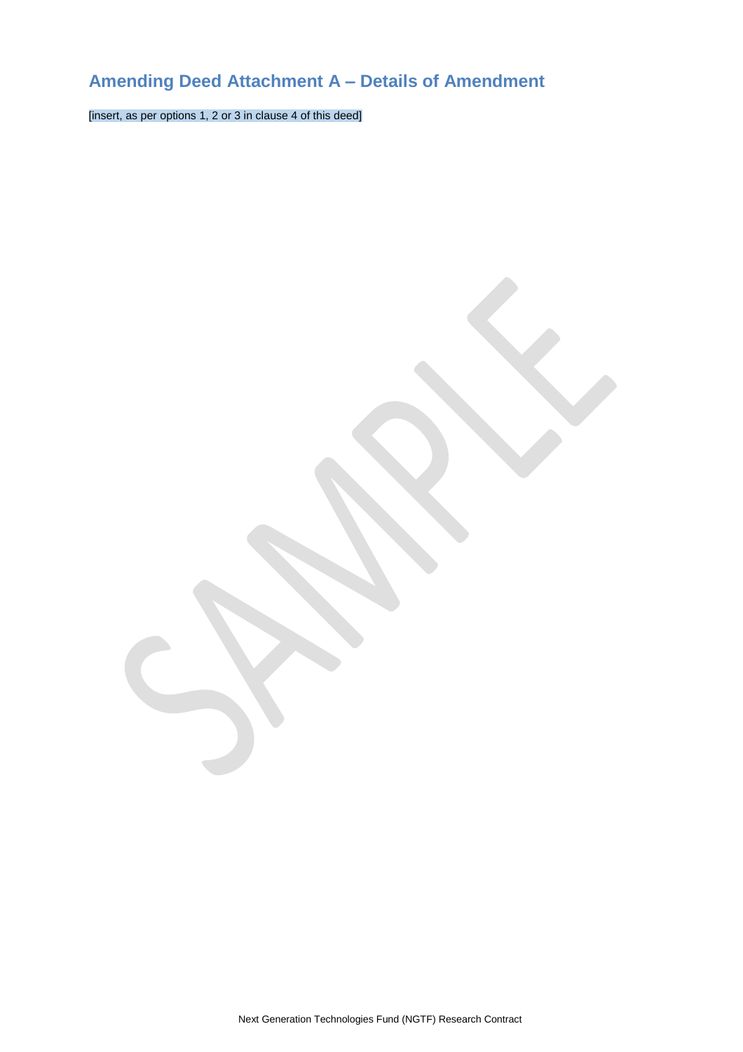# **Amending Deed Attachment A – Details of Amendment**

[insert, as per options 1, 2 or 3 in clause 4 of this deed]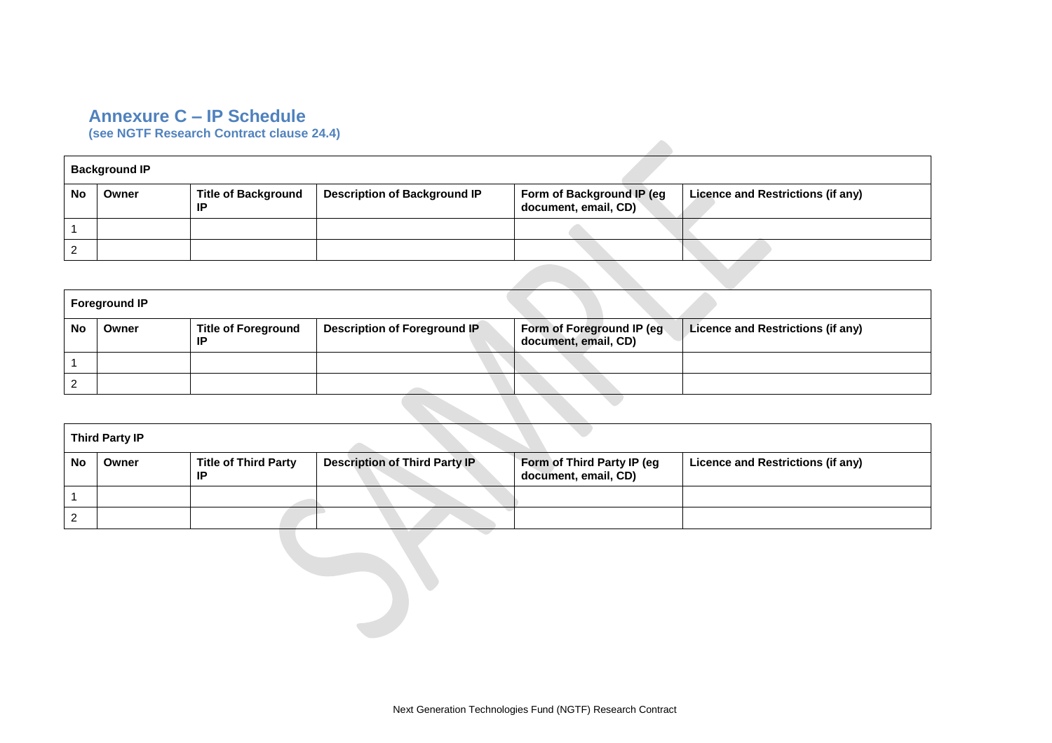# **Annexure C – IP Schedule**

**(see NGTF Research Contract clause [24.4\)](#page-14-4)** 

|    | <b>Background IP</b> |                                  |                                     |                                                   |                                   |
|----|----------------------|----------------------------------|-------------------------------------|---------------------------------------------------|-----------------------------------|
| Nc | Owner                | <b>Title of Background</b><br>ΙP | <b>Description of Background IP</b> | Form of Background IP (eg<br>document, email, CD) | Licence and Restrictions (if any) |
|    |                      |                                  |                                     |                                                   |                                   |
|    |                      |                                  |                                     |                                                   |                                   |

|    | <b>Foreground IP</b> |                                  |                              |                                                   |                                   |
|----|----------------------|----------------------------------|------------------------------|---------------------------------------------------|-----------------------------------|
| No | Owner                | <b>Title of Foreground</b><br>ΙP | Description of Foreground IP | Form of Foreground IP (eg<br>document, email, CD) | Licence and Restrictions (if any) |
|    |                      |                                  |                              |                                                   |                                   |
|    |                      |                                  |                              |                                                   |                                   |
|    |                      |                                  |                              |                                                   |                                   |

| <b>Third Party IP</b> |       |                                   |                                      |                                                    |                                   |
|-----------------------|-------|-----------------------------------|--------------------------------------|----------------------------------------------------|-----------------------------------|
| No                    | Owner | <b>Title of Third Party</b><br>ΙP | <b>Description of Third Party IP</b> | Form of Third Party IP (eg<br>document, email, CD) | Licence and Restrictions (if any) |
|                       |       |                                   |                                      |                                                    |                                   |
|                       |       |                                   |                                      |                                                    |                                   |

**Contract Contract Contract Contract**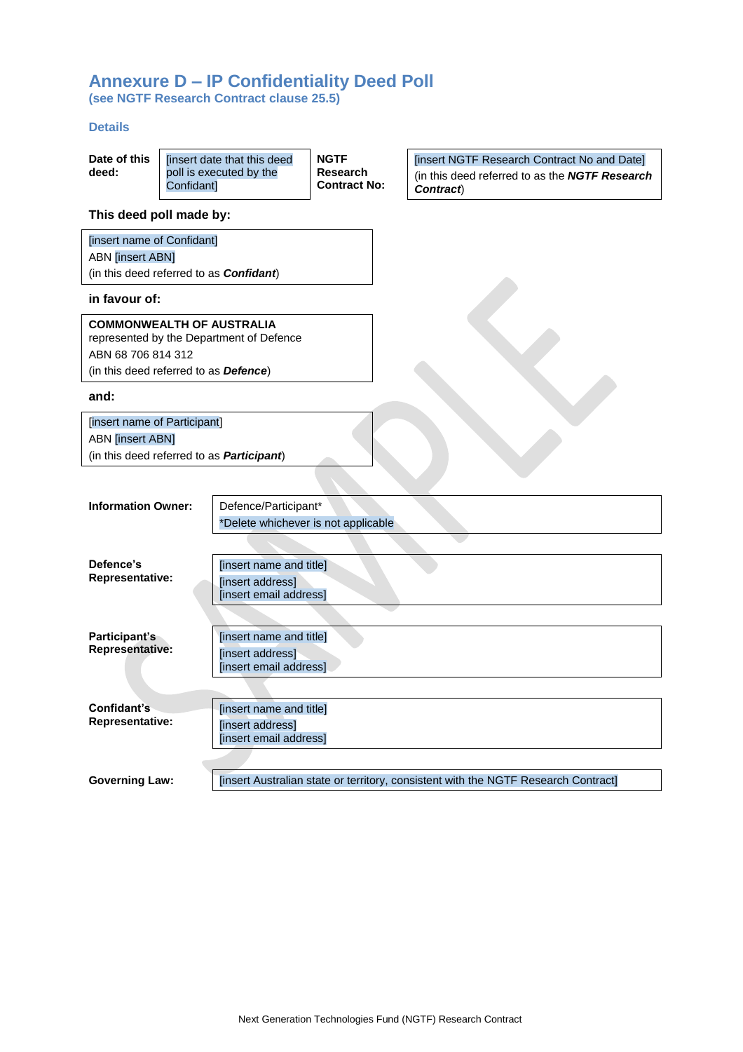# **Annexure D – IP Confidentiality Deed Poll**

**(see NGTF Research Contract clause [25.5\)](#page-15-1)**

### **Details**

| Date of this<br>deed: | [insert date that this deed | <b>NGTF</b><br>Research |
|-----------------------|-----------------------------|-------------------------|
|                       | poll is executed by the     |                         |
|                       | Confidant]                  | <b>Contract No:</b>     |

[insert NGTF Research Contract No and Date] (in this deed referred to as the *NGTF Research Contract*)

# **This deed poll made by:**

| [insert name of Confidant]                      |
|-------------------------------------------------|
| <b>ABN</b> [insert ABN]                         |
| (in this deed referred to as <b>Confidant</b> ) |

# **in favour of:**

| <b>COMMONWEALTH OF AUSTRALIA</b>              |  |  |  |
|-----------------------------------------------|--|--|--|
| represented by the Department of Defence      |  |  |  |
| ABN 68 706 814 312                            |  |  |  |
| (in this deed referred to as <b>Defence</b> ) |  |  |  |

### **and:**

| [insert name of Participant]                      |  |  |  |
|---------------------------------------------------|--|--|--|
| <b>ABN</b> [insert ABN]                           |  |  |  |
| (in this deed referred to as <b>Participant</b> ) |  |  |  |

| <b>Information Owner:</b> | Defence/Participant*                                                               |
|---------------------------|------------------------------------------------------------------------------------|
|                           | *Delete whichever is not applicable                                                |
|                           |                                                                                    |
| Defence's                 | [insert name and title]                                                            |
| <b>Representative:</b>    | [insert address]<br>[insert email address]                                         |
|                           |                                                                                    |
| Participant's             | [insert name and title]                                                            |
| <b>Representative:</b>    | [insert address]<br>[insert email address]                                         |
|                           |                                                                                    |
| Confidant's               | [insert name and title]                                                            |
| <b>Representative:</b>    | [insert address]                                                                   |
|                           | [insert email address]                                                             |
|                           |                                                                                    |
| <b>Governing Law:</b>     | [insert Australian state or territory, consistent with the NGTF Research Contract] |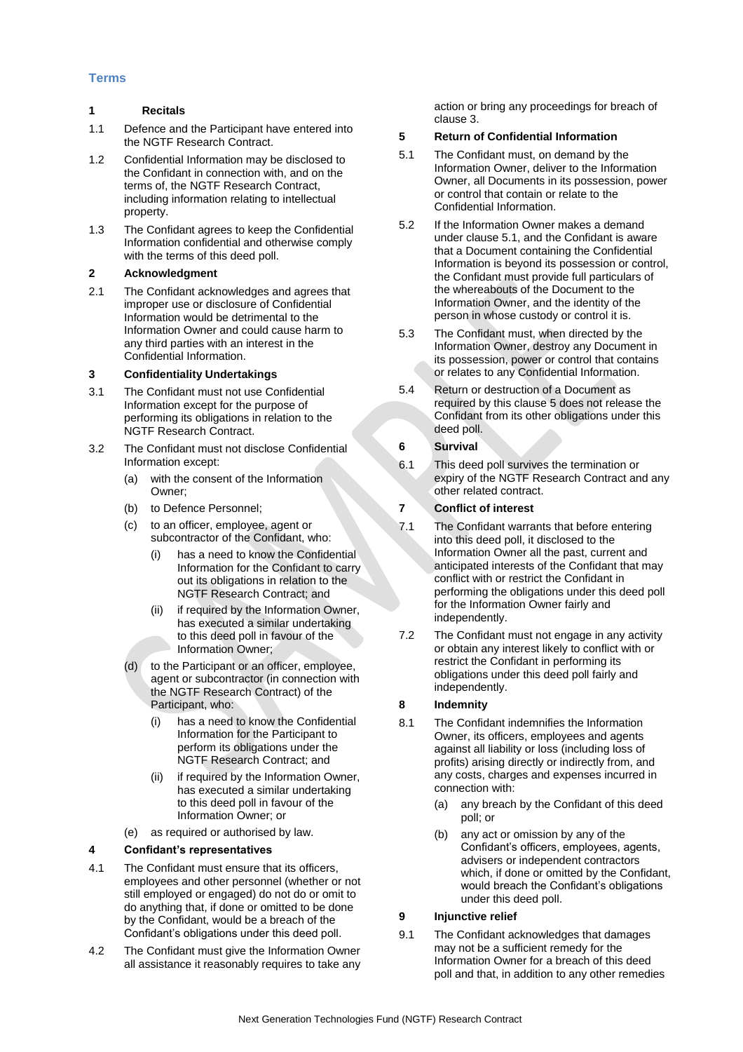# **Terms**

### **1 Recitals**

- 1.1 Defence and the Participant have entered into the NGTF Research Contract.
- 1.2 Confidential Information may be disclosed to the Confidant in connection with, and on the terms of, the NGTF Research Contract, including information relating to intellectual property.
- 1.3 The Confidant agrees to keep the Confidential Information confidential and otherwise comply with the terms of this deed poll.

# **2 Acknowledgment**

2.1 The Confidant acknowledges and agrees that improper use or disclosure of Confidential Information would be detrimental to the Information Owner and could cause harm to any third parties with an interest in the Confidential Information.

# **3 Confidentiality Undertakings**

- 3.1 The Confidant must not use Confidential Information except for the purpose of performing its obligations in relation to the NGTF Research Contract.
- 3.2 The Confidant must not disclose Confidential Information except:
	- (a) with the consent of the Information Owner;
	- (b) to Defence Personnel;
	- (c) to an officer, employee, agent or subcontractor of the Confidant, who:
		- (i) has a need to know the Confidential Information for the Confidant to carry out its obligations in relation to the NGTF Research Contract; and
		- (ii) if required by the Information Owner, has executed a similar undertaking to this deed poll in favour of the Information Owner;
	- (d) to the Participant or an officer, employee, agent or subcontractor (in connection with the NGTF Research Contract) of the Participant, who:
		- has a need to know the Confidential Information for the Participant to perform its obligations under the NGTF Research Contract; and
		- (ii) if required by the Information Owner, has executed a similar undertaking to this deed poll in favour of the Information Owner; or
	- (e) as required or authorised by law.

# **4 Confidant's representatives**

- 4.1 The Confidant must ensure that its officers, employees and other personnel (whether or not still employed or engaged) do not do or omit to do anything that, if done or omitted to be done by the Confidant, would be a breach of the Confidant's obligations under this deed poll.
- 4.2 The Confidant must give the Information Owner all assistance it reasonably requires to take any

action or bring any proceedings for breach of clause 3.

# **5 Return of Confidential Information**

- 5.1 The Confidant must, on demand by the Information Owner, deliver to the Information Owner, all Documents in its possession, power or control that contain or relate to the Confidential Information.
- 5.2 If the Information Owner makes a demand under clause 5.1, and the Confidant is aware that a Document containing the Confidential Information is beyond its possession or control, the Confidant must provide full particulars of the whereabouts of the Document to the Information Owner, and the identity of the person in whose custody or control it is.
- 5.3 The Confidant must, when directed by the Information Owner, destroy any Document in its possession, power or control that contains or relates to any Confidential Information.
- 5.4 Return or destruction of a Document as required by this clause 5 does not release the Confidant from its other obligations under this deed poll.

# **6 Survival**

6.1 This deed poll survives the termination or expiry of the NGTF Research Contract and any other related contract.

# **7 Conflict of interest**

- 7.1 The Confidant warrants that before entering into this deed poll, it disclosed to the Information Owner all the past, current and anticipated interests of the Confidant that may conflict with or restrict the Confidant in performing the obligations under this deed poll for the Information Owner fairly and independently.
- 7.2 The Confidant must not engage in any activity or obtain any interest likely to conflict with or restrict the Confidant in performing its obligations under this deed poll fairly and independently.

# **8 Indemnity**

- 8.1 The Confidant indemnifies the Information Owner, its officers, employees and agents against all liability or loss (including loss of profits) arising directly or indirectly from, and any costs, charges and expenses incurred in connection with:
	- (a) any breach by the Confidant of this deed poll; or
	- (b) any act or omission by any of the Confidant's officers, employees, agents, advisers or independent contractors which, if done or omitted by the Confidant, would breach the Confidant's obligations under this deed poll.

# **9 Injunctive relief**

9.1 The Confidant acknowledges that damages may not be a sufficient remedy for the Information Owner for a breach of this deed poll and that, in addition to any other remedies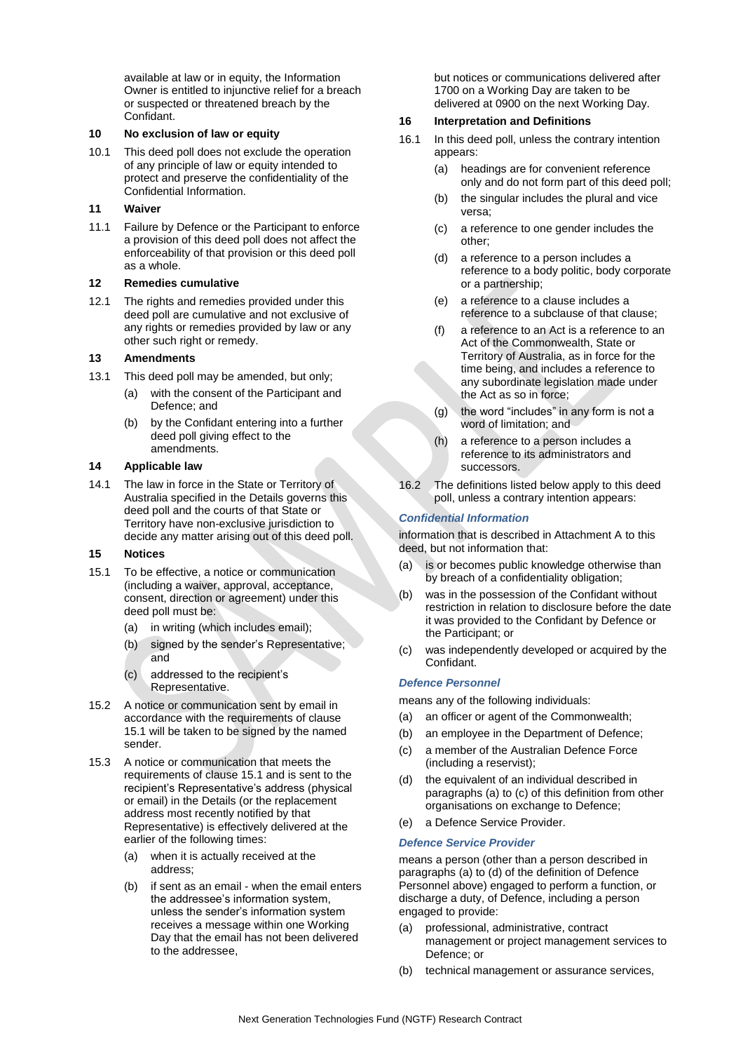available at law or in equity, the Information Owner is entitled to injunctive relief for a breach or suspected or threatened breach by the Confidant.

### **10 No exclusion of law or equity**

10.1 This deed poll does not exclude the operation of any principle of law or equity intended to protect and preserve the confidentiality of the Confidential Information.

# **11 Waiver**

11.1 Failure by Defence or the Participant to enforce a provision of this deed poll does not affect the enforceability of that provision or this deed poll as a whole.

### **12 Remedies cumulative**

12.1 The rights and remedies provided under this deed poll are cumulative and not exclusive of any rights or remedies provided by law or any other such right or remedy.

# **13 Amendments**

- 13.1 This deed poll may be amended, but only;
	- (a) with the consent of the Participant and Defence; and
	- (b) by the Confidant entering into a further deed poll giving effect to the amendments.

### **14 Applicable law**

14.1 The law in force in the State or Territory of Australia specified in the Details governs this deed poll and the courts of that State or Territory have non-exclusive jurisdiction to decide any matter arising out of this deed poll.

### **15 Notices**

- 15.1 To be effective, a notice or communication (including a waiver, approval, acceptance, consent, direction or agreement) under this deed poll must be:
	- (a) in writing (which includes email);
	- (b) signed by the sender's Representative; and
	- (c) addressed to the recipient's Representative.
- 15.2 A notice or communication sent by email in accordance with the requirements of clause 15.1 will be taken to be signed by the named sender.
- 15.3 A notice or communication that meets the requirements of clause 15.1 and is sent to the recipient's Representative's address (physical or email) in the Details (or the replacement address most recently notified by that Representative) is effectively delivered at the earlier of the following times:
	- (a) when it is actually received at the address;
	- (b) if sent as an email when the email enters the addressee's information system, unless the sender's information system receives a message within one Working Day that the email has not been delivered to the addressee,

but notices or communications delivered after 1700 on a Working Day are taken to be delivered at 0900 on the next Working Day.

# **16 Interpretation and Definitions**

- 16.1 In this deed poll, unless the contrary intention appears:
	- (a) headings are for convenient reference only and do not form part of this deed poll;
	- (b) the singular includes the plural and vice versa;
	- (c) a reference to one gender includes the other;
	- (d) a reference to a person includes a reference to a body politic, body corporate or a partnership;
	- (e) a reference to a clause includes a reference to a subclause of that clause;
	- (f) a reference to an Act is a reference to an Act of the Commonwealth, State or Territory of Australia, as in force for the time being, and includes a reference to any subordinate legislation made under the Act as so in force;
	- (g) the word "includes" in any form is not a word of limitation; and
	- (h) a reference to a person includes a reference to its administrators and successors.
- 16.2 The definitions listed below apply to this deed poll, unless a contrary intention appears:

# *Confidential Information*

information that is described in Attachment A to this deed, but not information that:

- (a) is or becomes public knowledge otherwise than by breach of a confidentiality obligation;
- (b) was in the possession of the Confidant without restriction in relation to disclosure before the date it was provided to the Confidant by Defence or the Participant; or
- (c) was independently developed or acquired by the Confidant.

# *Defence Personnel*

means any of the following individuals:

- (a) an officer or agent of the Commonwealth;
- (b) an employee in the Department of Defence;
- (c) a member of the Australian Defence Force (including a reservist);
- (d) the equivalent of an individual described in paragraphs (a) to (c) of this definition from other organisations on exchange to Defence;
- (e) a Defence Service Provider.

# *Defence Service Provider*

means a person (other than a person described in paragraphs (a) to (d) of the definition of Defence Personnel above) engaged to perform a function, or discharge a duty, of Defence, including a person engaged to provide:

- (a) professional, administrative, contract management or project management services to Defence; or
- (b) technical management or assurance services,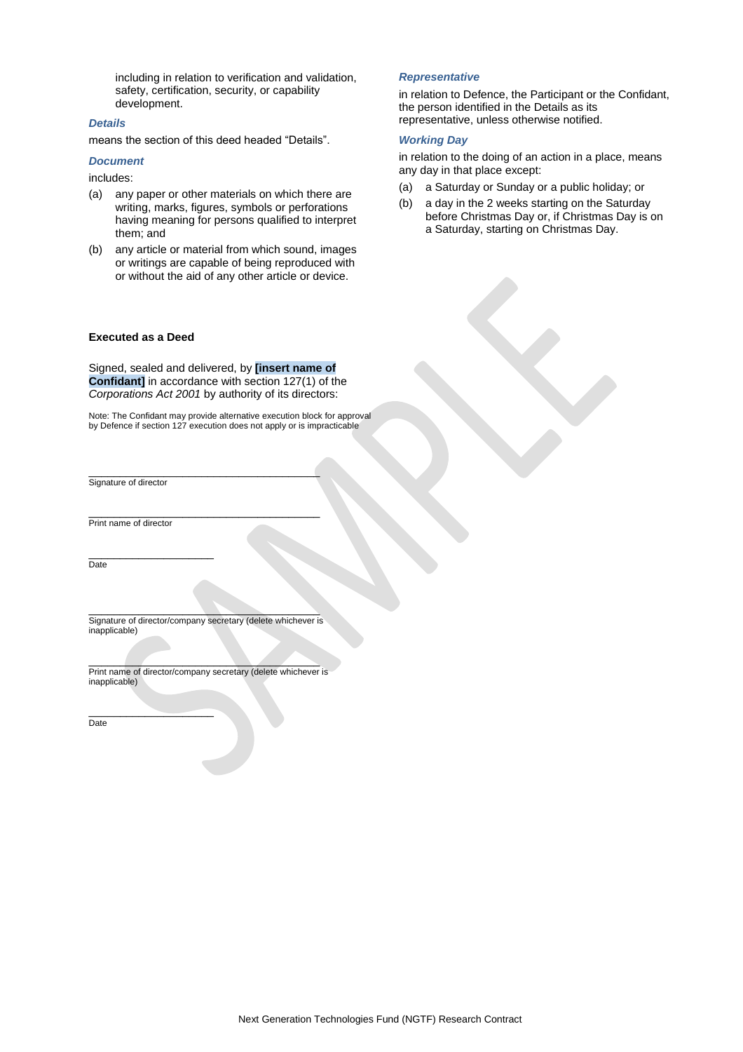including in relation to verification and validation, safety, certification, security, or capability development.

#### *Details*

means the section of this deed headed "Details".

### *Document*

includes:

- (a) any paper or other materials on which there are writing, marks, figures, symbols or perforations having meaning for persons qualified to interpret them; and
- (b) any article or material from which sound, images or writings are capable of being reproduced with or without the aid of any other article or device.

### **Executed as a Deed**

Signed, sealed and delivered, by **[insert name of Confidant]** in accordance with section 127(1) of the *Corporations Act 2001* by authority of its directors:

Note: The Confidant may provide alternative execution block for approval by Defence if section 127 execution does not apply or is impracticable

Signature of director

Print name of director

\_\_\_\_\_\_\_\_\_\_\_\_\_\_\_\_\_\_\_\_ Date

 $\mathcal{L}=\mathcal{L}=\mathcal{L}=\mathcal{L}=\mathcal{L}=\mathcal{L}=\mathcal{L}=\mathcal{L}=\mathcal{L}=\mathcal{L}=\mathcal{L}=\mathcal{L}=\mathcal{L}=\mathcal{L}=\mathcal{L}=\mathcal{L}=\mathcal{L}=\mathcal{L}=\mathcal{L}=\mathcal{L}=\mathcal{L}=\mathcal{L}=\mathcal{L}=\mathcal{L}=\mathcal{L}=\mathcal{L}=\mathcal{L}=\mathcal{L}=\mathcal{L}=\mathcal{L}=\mathcal{L}=\mathcal{L}=\mathcal{L}=\mathcal{L}=\mathcal{L}=\mathcal{L}=\mathcal{$ Signature of director/company secretary (delete whichever is inapplicable)

\_\_\_\_\_\_\_\_\_\_\_\_\_\_\_\_\_\_\_\_\_\_\_\_\_\_\_\_\_\_\_\_\_\_\_\_\_

\_\_\_\_\_\_\_\_\_\_\_\_\_\_\_\_\_\_\_\_\_\_\_\_\_\_\_\_\_\_\_\_\_\_\_\_\_

 $\mathcal{L}=\mathcal{L}=\mathcal{L}=\mathcal{L}=\mathcal{L}=\mathcal{L}=\mathcal{L}=\mathcal{L}=\mathcal{L}=\mathcal{L}=\mathcal{L}=\mathcal{L}=\mathcal{L}=\mathcal{L}=\mathcal{L}=\mathcal{L}=\mathcal{L}=\mathcal{L}=\mathcal{L}=\mathcal{L}=\mathcal{L}=\mathcal{L}=\mathcal{L}=\mathcal{L}=\mathcal{L}=\mathcal{L}=\mathcal{L}=\mathcal{L}=\mathcal{L}=\mathcal{L}=\mathcal{L}=\mathcal{L}=\mathcal{L}=\mathcal{L}=\mathcal{L}=\mathcal{L}=\mathcal{$ Print name of director/company secretary (delete whichever is inapplicable)

 $\overline{\phantom{a}}$  , where  $\overline{\phantom{a}}$ **Date** 

#### *Representative*

in relation to Defence, the Participant or the Confidant, the person identified in the Details as its representative, unless otherwise notified.

#### *Working Day*

in relation to the doing of an action in a place, means any day in that place except:

- (a) a Saturday or Sunday or a public holiday; or
- (b) a day in the 2 weeks starting on the Saturday before Christmas Day or, if Christmas Day is on a Saturday, starting on Christmas Day.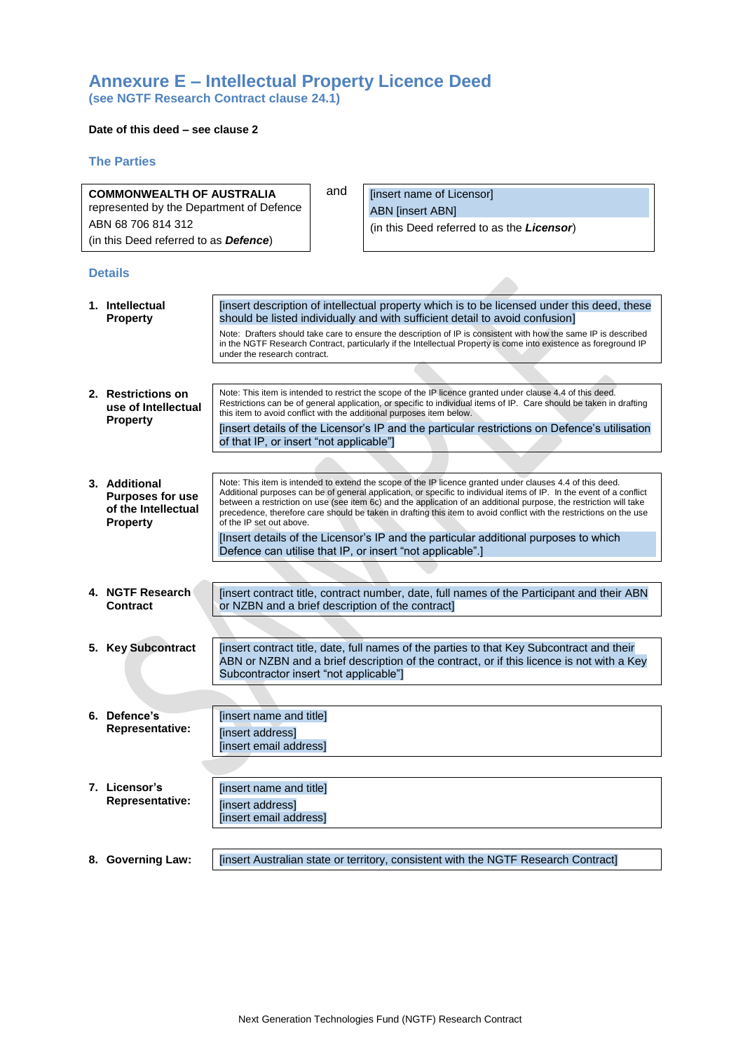# **Annexure E – Intellectual Property Licence Deed (see NGTF Research Contract clause [24.1\)](#page-14-0)**

### **Date of this deed – see clause 2**

### **The Parties**

| <b>COMMONWEALTH OF AUSTRALIA</b>         |                                                                                    |                                                                                                                                                                                                                                                                                                                                                                                                                                                                                                            | and | [insert name of Licensor]                                                                                                                                                                                                                                                                                 |
|------------------------------------------|------------------------------------------------------------------------------------|------------------------------------------------------------------------------------------------------------------------------------------------------------------------------------------------------------------------------------------------------------------------------------------------------------------------------------------------------------------------------------------------------------------------------------------------------------------------------------------------------------|-----|-----------------------------------------------------------------------------------------------------------------------------------------------------------------------------------------------------------------------------------------------------------------------------------------------------------|
| represented by the Department of Defence |                                                                                    |                                                                                                                                                                                                                                                                                                                                                                                                                                                                                                            |     | <b>ABN</b> [insert ABN]                                                                                                                                                                                                                                                                                   |
| ABN 68 706 814 312                       |                                                                                    |                                                                                                                                                                                                                                                                                                                                                                                                                                                                                                            |     | (in this Deed referred to as the Licensor)                                                                                                                                                                                                                                                                |
|                                          | (in this Deed referred to as <b>Defence</b> )                                      |                                                                                                                                                                                                                                                                                                                                                                                                                                                                                                            |     |                                                                                                                                                                                                                                                                                                           |
|                                          |                                                                                    |                                                                                                                                                                                                                                                                                                                                                                                                                                                                                                            |     |                                                                                                                                                                                                                                                                                                           |
|                                          | <b>Details</b>                                                                     |                                                                                                                                                                                                                                                                                                                                                                                                                                                                                                            |     |                                                                                                                                                                                                                                                                                                           |
|                                          | 1. Intellectual<br><b>Property</b>                                                 |                                                                                                                                                                                                                                                                                                                                                                                                                                                                                                            |     | [insert description of intellectual property which is to be licensed under this deed, these<br>should be listed individually and with sufficient detail to avoid confusion]                                                                                                                               |
|                                          |                                                                                    | under the research contract.                                                                                                                                                                                                                                                                                                                                                                                                                                                                               |     | Note: Drafters should take care to ensure the description of IP is consistent with how the same IP is described<br>in the NGTF Research Contract, particularly if the Intellectual Property is come into existence as foreground IP                                                                       |
|                                          |                                                                                    |                                                                                                                                                                                                                                                                                                                                                                                                                                                                                                            |     |                                                                                                                                                                                                                                                                                                           |
|                                          | 2. Restrictions on<br>use of Intellectual<br><b>Property</b>                       |                                                                                                                                                                                                                                                                                                                                                                                                                                                                                                            |     | Note: This item is intended to restrict the scope of the IP licence granted under clause 4.4 of this deed.<br>Restrictions can be of general application, or specific to individual items of IP. Care should be taken in drafting<br>this item to avoid conflict with the additional purposes item below. |
|                                          |                                                                                    | of that IP, or insert "not applicable"]                                                                                                                                                                                                                                                                                                                                                                                                                                                                    |     | [insert details of the Licensor's IP and the particular restrictions on Defence's utilisation                                                                                                                                                                                                             |
|                                          |                                                                                    |                                                                                                                                                                                                                                                                                                                                                                                                                                                                                                            |     |                                                                                                                                                                                                                                                                                                           |
|                                          | 3. Additional<br><b>Purposes for use</b><br>of the Intellectual<br><b>Property</b> | Note: This item is intended to extend the scope of the IP licence granted under clauses 4.4 of this deed.<br>Additional purposes can be of general application, or specific to individual items of IP. In the event of a conflict<br>between a restriction on use (see item 6c) and the application of an additional purpose, the restriction will take<br>precedence, therefore care should be taken in drafting this item to avoid conflict with the restrictions on the use<br>of the IP set out above. |     |                                                                                                                                                                                                                                                                                                           |
|                                          |                                                                                    |                                                                                                                                                                                                                                                                                                                                                                                                                                                                                                            |     | [Insert details of the Licensor's IP and the particular additional purposes to which<br>Defence can utilise that IP, or insert "not applicable".]                                                                                                                                                         |
|                                          |                                                                                    |                                                                                                                                                                                                                                                                                                                                                                                                                                                                                                            |     |                                                                                                                                                                                                                                                                                                           |
|                                          | 4. NGTF Research<br><b>Contract</b>                                                |                                                                                                                                                                                                                                                                                                                                                                                                                                                                                                            |     | [insert contract title, contract number, date, full names of the Participant and their ABN<br>or NZBN and a brief description of the contract]                                                                                                                                                            |
|                                          |                                                                                    |                                                                                                                                                                                                                                                                                                                                                                                                                                                                                                            |     |                                                                                                                                                                                                                                                                                                           |
|                                          | 5. Key Subcontract                                                                 | Subcontractor insert "not applicable"]                                                                                                                                                                                                                                                                                                                                                                                                                                                                     |     | [insert contract title, date, full names of the parties to that Key Subcontract and their<br>ABN or NZBN and a brief description of the contract, or if this licence is not with a Key                                                                                                                    |
|                                          |                                                                                    |                                                                                                                                                                                                                                                                                                                                                                                                                                                                                                            |     |                                                                                                                                                                                                                                                                                                           |
|                                          | 6. Defence's<br><b>Representative:</b>                                             | [insert name and title]<br>[insert address]                                                                                                                                                                                                                                                                                                                                                                                                                                                                |     |                                                                                                                                                                                                                                                                                                           |
|                                          |                                                                                    | [insert email address]                                                                                                                                                                                                                                                                                                                                                                                                                                                                                     |     |                                                                                                                                                                                                                                                                                                           |
|                                          |                                                                                    |                                                                                                                                                                                                                                                                                                                                                                                                                                                                                                            |     |                                                                                                                                                                                                                                                                                                           |
|                                          | 7. Licensor's                                                                      | [insert name and title]                                                                                                                                                                                                                                                                                                                                                                                                                                                                                    |     |                                                                                                                                                                                                                                                                                                           |
|                                          | <b>Representative:</b>                                                             | [insert address]<br>[insert email address]                                                                                                                                                                                                                                                                                                                                                                                                                                                                 |     |                                                                                                                                                                                                                                                                                                           |
|                                          |                                                                                    |                                                                                                                                                                                                                                                                                                                                                                                                                                                                                                            |     |                                                                                                                                                                                                                                                                                                           |
|                                          | 8. Governing Law:                                                                  |                                                                                                                                                                                                                                                                                                                                                                                                                                                                                                            |     | [insert Australian state or territory, consistent with the NGTF Research Contract]                                                                                                                                                                                                                        |
|                                          |                                                                                    |                                                                                                                                                                                                                                                                                                                                                                                                                                                                                                            |     |                                                                                                                                                                                                                                                                                                           |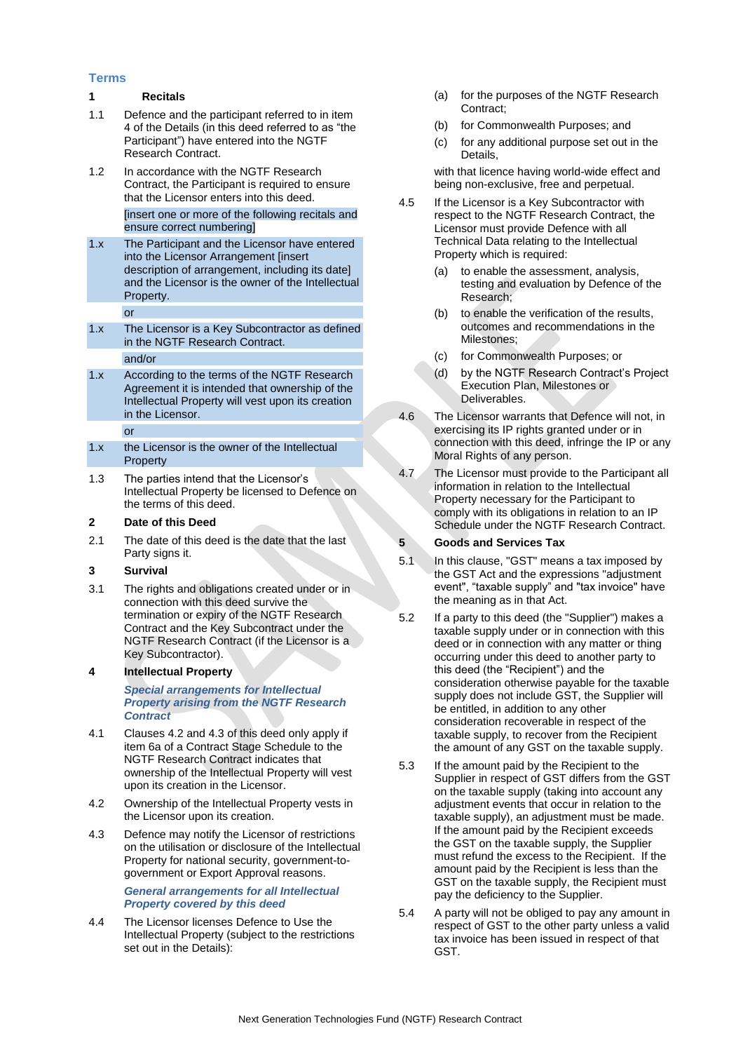### **Terms**

### **1 Recitals**

- 1.1 Defence and the participant referred to in item 4 of the Details (in this deed referred to as "the Participant") have entered into the NGTF Research Contract.
- 1.2 In accordance with the NGTF Research Contract, the Participant is required to ensure that the Licensor enters into this deed.

[insert one or more of the following recitals and ensure correct numbering]

1.x The Participant and the Licensor have entered into the Licensor Arrangement [insert description of arrangement, including its date] and the Licensor is the owner of the Intellectual Property.

or

- 1.x The Licensor is a Key Subcontractor as defined in the NGTF Research Contract. and/or
- 1.x According to the terms of the NGTF Research Agreement it is intended that ownership of the Intellectual Property will vest upon its creation in the Licensor.

or

- 1.x the Licensor is the owner of the Intellectual **Property**
- 1.3 The parties intend that the Licensor's Intellectual Property be licensed to Defence on the terms of this deed.

### **2 Date of this Deed**

2.1 The date of this deed is the date that the last Party signs it.

### **3 Survival**

3.1 The rights and obligations created under or in connection with this deed survive the termination or expiry of the NGTF Research Contract and the Key Subcontract under the NGTF Research Contract (if the Licensor is a Key Subcontractor).

# **4 Intellectual Property**

*Special arrangements for Intellectual Property arising from the NGTF Research Contract*

- 4.1 Clauses 4.2 and 4.3 of this deed only apply if item 6a of a Contract Stage Schedule to the NGTF Research Contract indicates that ownership of the Intellectual Property will vest upon its creation in the Licensor.
- 4.2 Ownership of the Intellectual Property vests in the Licensor upon its creation.
- 4.3 Defence may notify the Licensor of restrictions on the utilisation or disclosure of the Intellectual Property for national security, government-togovernment or Export Approval reasons.

*General arrangements for all Intellectual Property covered by this deed* 

4.4 The Licensor licenses Defence to Use the Intellectual Property (subject to the restrictions set out in the Details):

- (a) for the purposes of the NGTF Research Contract;
- (b) for Commonwealth Purposes; and
- (c) for any additional purpose set out in the Details,

with that licence having world-wide effect and being non-exclusive, free and perpetual.

- 4.5 If the Licensor is a Key Subcontractor with respect to the NGTF Research Contract, the Licensor must provide Defence with all Technical Data relating to the Intellectual Property which is required:
	- (a) to enable the assessment, analysis, testing and evaluation by Defence of the Research;
	- (b) to enable the verification of the results, outcomes and recommendations in the Milestones;
	- (c) for Commonwealth Purposes; or
	- (d) by the NGTF Research Contract's Project Execution Plan, Milestones or Deliverables.
- 4.6 The Licensor warrants that Defence will not, in exercising its IP rights granted under or in connection with this deed, infringe the IP or any Moral Rights of any person.
- 4.7 The Licensor must provide to the Participant all information in relation to the Intellectual Property necessary for the Participant to comply with its obligations in relation to an IP Schedule under the NGTF Research Contract.

# **5 Goods and Services Tax**

- 5.1 In this clause, "GST" means a tax imposed by the GST Act and the expressions "adjustment event", "taxable supply" and "tax invoice" have the meaning as in that Act.
- 5.2 If a party to this deed (the "Supplier") makes a taxable supply under or in connection with this deed or in connection with any matter or thing occurring under this deed to another party to this deed (the "Recipient") and the consideration otherwise payable for the taxable supply does not include GST, the Supplier will be entitled, in addition to any other consideration recoverable in respect of the taxable supply, to recover from the Recipient the amount of any GST on the taxable supply.
- 5.3 If the amount paid by the Recipient to the Supplier in respect of GST differs from the GST on the taxable supply (taking into account any adjustment events that occur in relation to the taxable supply), an adjustment must be made. If the amount paid by the Recipient exceeds the GST on the taxable supply, the Supplier must refund the excess to the Recipient. If the amount paid by the Recipient is less than the GST on the taxable supply, the Recipient must pay the deficiency to the Supplier.
- 5.4 A party will not be obliged to pay any amount in respect of GST to the other party unless a valid tax invoice has been issued in respect of that GST.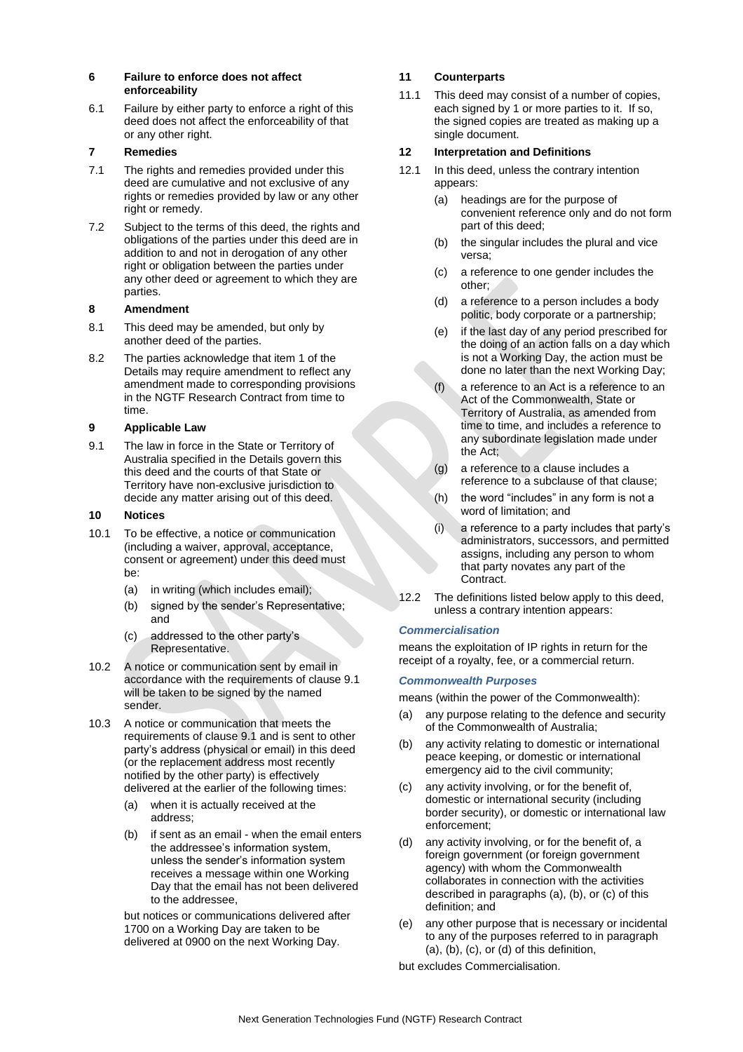### **6 Failure to enforce does not affect enforceability**

6.1 Failure by either party to enforce a right of this deed does not affect the enforceability of that or any other right.

### **7 Remedies**

- 7.1 The rights and remedies provided under this deed are cumulative and not exclusive of any rights or remedies provided by law or any other right or remedy.
- 7.2 Subject to the terms of this deed, the rights and obligations of the parties under this deed are in addition to and not in derogation of any other right or obligation between the parties under any other deed or agreement to which they are parties.

### **8 Amendment**

- 8.1 This deed may be amended, but only by another deed of the parties.
- 8.2 The parties acknowledge that item 1 of the Details may require amendment to reflect any amendment made to corresponding provisions in the NGTF Research Contract from time to time.

### **9 Applicable Law**

9.1 The law in force in the State or Territory of Australia specified in the Details govern this this deed and the courts of that State or Territory have non-exclusive jurisdiction to decide any matter arising out of this deed.

### **10 Notices**

- 10.1 To be effective, a notice or communication (including a waiver, approval, acceptance, consent or agreement) under this deed must be:
	- (a) in writing (which includes email);
	- (b) signed by the sender's Representative; and
	- (c) addressed to the other party's Representative.
- 10.2 A notice or communication sent by email in accordance with the requirements of clause 9.1 will be taken to be signed by the named sender.
- 10.3 A notice or communication that meets the requirements of clause 9.1 and is sent to other party's address (physical or email) in this deed (or the replacement address most recently notified by the other party) is effectively delivered at the earlier of the following times:
	- (a) when it is actually received at the address;
	- (b) if sent as an email when the email enters the addressee's information system, unless the sender's information system receives a message within one Working Day that the email has not been delivered to the addressee,

but notices or communications delivered after 1700 on a Working Day are taken to be delivered at 0900 on the next Working Day.

# **11 Counterparts**

11.1 This deed may consist of a number of copies, each signed by 1 or more parties to it. If so, the signed copies are treated as making up a single document.

### **12 Interpretation and Definitions**

- 12.1 In this deed, unless the contrary intention appears:
	- (a) headings are for the purpose of convenient reference only and do not form part of this deed;
	- (b) the singular includes the plural and vice versa;
	- (c) a reference to one gender includes the other;
	- (d) a reference to a person includes a body politic, body corporate or a partnership;
	- (e) if the last day of any period prescribed for the doing of an action falls on a day which is not a Working Day, the action must be done no later than the next Working Day;
	- a reference to an Act is a reference to an Act of the Commonwealth, State or Territory of Australia, as amended from time to time, and includes a reference to any subordinate legislation made under the Act;
	- (g) a reference to a clause includes a reference to a subclause of that clause;
	- (h) the word "includes" in any form is not a word of limitation; and
	- (i) a reference to a party includes that party's administrators, successors, and permitted assigns, including any person to whom that party novates any part of the Contract.
- 12.2 The definitions listed below apply to this deed, unless a contrary intention appears:

# *Commercialisation*

means the exploitation of IP rights in return for the receipt of a royalty, fee, or a commercial return.

### *Commonwealth Purposes*

means (within the power of the Commonwealth):

- (a) any purpose relating to the defence and security of the Commonwealth of Australia;
- (b) any activity relating to domestic or international peace keeping, or domestic or international emergency aid to the civil community;
- (c) any activity involving, or for the benefit of, domestic or international security (including border security), or domestic or international law enforcement;
- (d) any activity involving, or for the benefit of, a foreign government (or foreign government agency) with whom the Commonwealth collaborates in connection with the activities described in paragraphs (a), (b), or (c) of this definition; and
- (e) any other purpose that is necessary or incidental to any of the purposes referred to in paragraph (a), (b), (c), or (d) of this definition,

but excludes Commercialisation.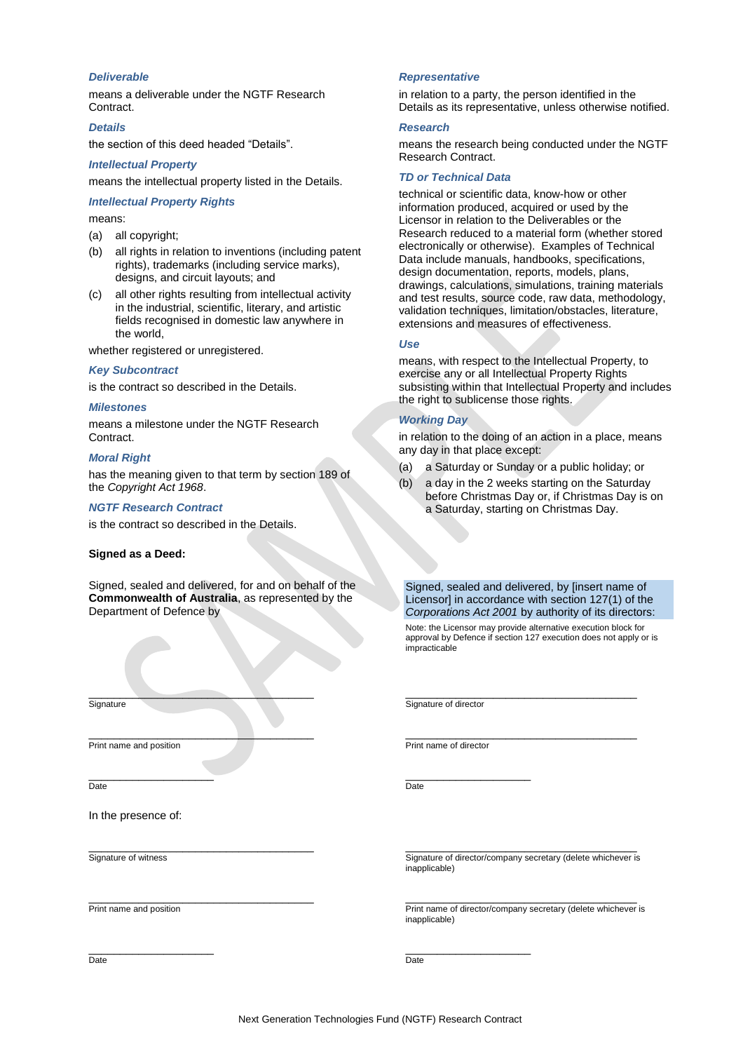### *Deliverable*

means a deliverable under the NGTF Research Contract.

### *Details*

the section of this deed headed "Details".

#### *Intellectual Property*

means the intellectual property listed in the Details.

# *Intellectual Property Rights*

means:

- (a) all copyright;
- (b) all rights in relation to inventions (including patent rights), trademarks (including service marks), designs, and circuit layouts; and
- (c) all other rights resulting from intellectual activity in the industrial, scientific, literary, and artistic fields recognised in domestic law anywhere in the world,

whether registered or unregistered.

### *Key Subcontract*

is the contract so described in the Details.

#### *Milestones*

means a milestone under the NGTF Research Contract.

#### *Moral Right*

has the meaning given to that term by section 189 of the *Copyright Act 1968*.

#### *NGTF Research Contract*

is the contract so described in the Details.

#### **Signed as a Deed:**

Signed, sealed and delivered, for and on behalf of the **Commonwealth of Australia**, as represented by the Department of Defence by

 $\qquad \qquad \qquad \qquad \qquad \qquad$ 

\_\_\_\_\_\_\_\_\_\_\_\_\_\_\_\_\_\_\_\_\_\_\_\_\_\_\_\_\_\_\_\_\_\_\_\_

\_\_\_\_\_\_\_\_\_\_\_\_\_\_\_\_\_\_\_\_\_\_\_\_\_\_\_\_\_\_\_\_\_\_\_\_

\_\_\_\_\_\_\_\_\_\_\_\_\_\_\_\_\_\_\_\_\_\_\_\_\_\_\_\_\_\_\_\_\_\_\_\_

#### *Representative*

in relation to a party, the person identified in the Details as its representative, unless otherwise notified.

#### *Research*

means the research being conducted under the NGTF Research Contract.

#### *TD or Technical Data*

technical or scientific data, know-how or other information produced, acquired or used by the Licensor in relation to the Deliverables or the Research reduced to a material form (whether stored electronically or otherwise). Examples of Technical Data include manuals, handbooks, specifications, design documentation, reports, models, plans, drawings, calculations, simulations, training materials and test results, source code, raw data, methodology, validation techniques, limitation/obstacles, literature, extensions and measures of effectiveness.

#### *Use*

means, with respect to the Intellectual Property, to exercise any or all Intellectual Property Rights subsisting within that Intellectual Property and includes the right to sublicense those rights.

#### *Working Day*

in relation to the doing of an action in a place, means any day in that place except:

- (a) a Saturday or Sunday or a public holiday; or
- (b) a day in the 2 weeks starting on the Saturday before Christmas Day or, if Christmas Day is on a Saturday, starting on Christmas Day.

Signed, sealed and delivered, by [insert name of Licensor] in accordance with section 127(1) of the *Corporations Act 2001* by authority of its directors:

Note: the Licensor may provide alternative execution block for approval by Defence if section 127 execution does not apply or is impracticable

\_\_\_\_\_\_\_\_\_\_\_\_\_\_\_\_\_\_\_\_\_\_\_\_\_\_\_\_\_\_\_\_\_\_\_\_\_

Signature of director

\_\_\_\_\_\_\_\_\_\_\_\_\_\_\_\_\_\_\_\_\_\_\_\_\_\_\_\_\_\_\_\_\_\_\_\_\_ Print name of director

\_\_\_\_\_\_\_\_\_\_\_\_\_\_\_\_\_\_\_\_ Date

In the presence of:

Print name and position

 $\_$ 

**Signature** 

Date

Signature of witness

Print name and position

\_\_\_\_\_\_\_\_\_\_\_\_\_\_\_\_\_\_\_\_

\_\_\_\_\_\_\_\_\_\_\_\_\_\_\_\_\_\_\_\_\_\_\_\_\_\_\_\_\_\_\_\_\_\_\_\_\_ Signature of director/company secretary (delete whichever is inapplicable)

\_\_\_\_\_\_\_\_\_\_\_\_\_\_\_\_\_\_\_\_\_\_\_\_\_\_\_\_\_\_\_\_\_\_\_\_\_ Print name of director/company secretary (delete whichever is inapplicable)

\_\_\_\_\_\_\_\_\_\_\_\_\_\_\_\_\_\_\_\_  $\overline{D}$ ate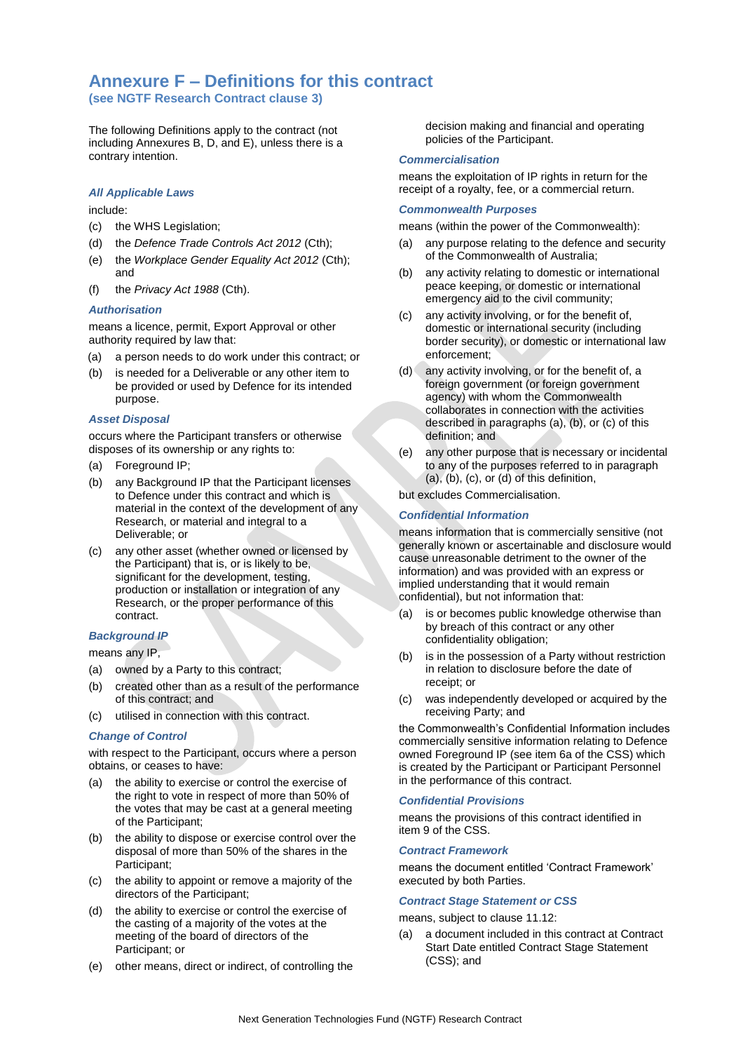# **Annexure F – Definitions for this contract**

**(see NGTF Research Contract clause [3\)](#page-9-3)**

The following Definitions apply to the contract (not including Annexures B, D, and E), unless there is a contrary intention.

#### *All Applicable Laws*

#### include:

- (c) the WHS Legislation;
- (d) the *Defence Trade Controls Act 2012* (Cth);
- (e) the *Workplace Gender Equality Act 2012* (Cth); and
- (f) the *Privacy Act 1988* (Cth).

### *Authorisation*

means a licence, permit, Export Approval or other authority required by law that:

- (a) a person needs to do work under this contract; or
- (b) is needed for a Deliverable or any other item to be provided or used by Defence for its intended purpose.

### *Asset Disposal*

occurs where the Participant transfers or otherwise disposes of its ownership or any rights to:

- (a) Foreground IP;
- (b) any Background IP that the Participant licenses to Defence under this contract and which is material in the context of the development of any Research, or material and integral to a Deliverable; or
- (c) any other asset (whether owned or licensed by the Participant) that is, or is likely to be, significant for the development, testing, production or installation or integration of any Research, or the proper performance of this contract.

#### *Background IP*

means any IP,

- (a) owned by a Party to this contract;
- (b) created other than as a result of the performance of this contract; and
- (c) utilised in connection with this contract.

#### *Change of Control*

with respect to the Participant, occurs where a person obtains, or ceases to have:

- (a) the ability to exercise or control the exercise of the right to vote in respect of more than 50% of the votes that may be cast at a general meeting of the Participant;
- (b) the ability to dispose or exercise control over the disposal of more than 50% of the shares in the Participant;
- (c) the ability to appoint or remove a majority of the directors of the Participant;
- (d) the ability to exercise or control the exercise of the casting of a majority of the votes at the meeting of the board of directors of the Participant; or
- (e) other means, direct or indirect, of controlling the

decision making and financial and operating policies of the Participant.

#### *Commercialisation*

means the exploitation of IP rights in return for the receipt of a royalty, fee, or a commercial return.

#### *Commonwealth Purposes*

means (within the power of the Commonwealth):

- (a) any purpose relating to the defence and security of the Commonwealth of Australia;
- (b) any activity relating to domestic or international peace keeping, or domestic or international emergency aid to the civil community;
- (c) any activity involving, or for the benefit of, domestic or international security (including border security), or domestic or international law enforcement;
- (d) any activity involving, or for the benefit of, a foreign government (or foreign government agency) with whom the Commonwealth collaborates in connection with the activities described in paragraphs (a), (b), or (c) of this definition; and
- (e) any other purpose that is necessary or incidental to any of the purposes referred to in paragraph (a), (b), (c), or (d) of this definition,

but excludes Commercialisation.

### *Confidential Information*

means information that is commercially sensitive (not generally known or ascertainable and disclosure would cause unreasonable detriment to the owner of the information) and was provided with an express or implied understanding that it would remain confidential), but not information that:

- (a) is or becomes public knowledge otherwise than by breach of this contract or any other confidentiality obligation;
- (b) is in the possession of a Party without restriction in relation to disclosure before the date of receipt; or
- (c) was independently developed or acquired by the receiving Party; and

the Commonwealth's Confidential Information includes commercially sensitive information relating to Defence owned Foreground IP (see item 6a of the CSS) which is created by the Participant or Participant Personnel in the performance of this contract.

### *Confidential Provisions*

means the provisions of this contract identified in item 9 of the CSS.

#### *Contract Framework*

means the document entitled 'Contract Framework' executed by both Parties.

#### *Contract Stage Statement or CSS*

#### means, subject to claus[e 11.12:](#page-11-8)

(a) a document included in this contract at Contract Start Date entitled Contract Stage Statement (CSS); and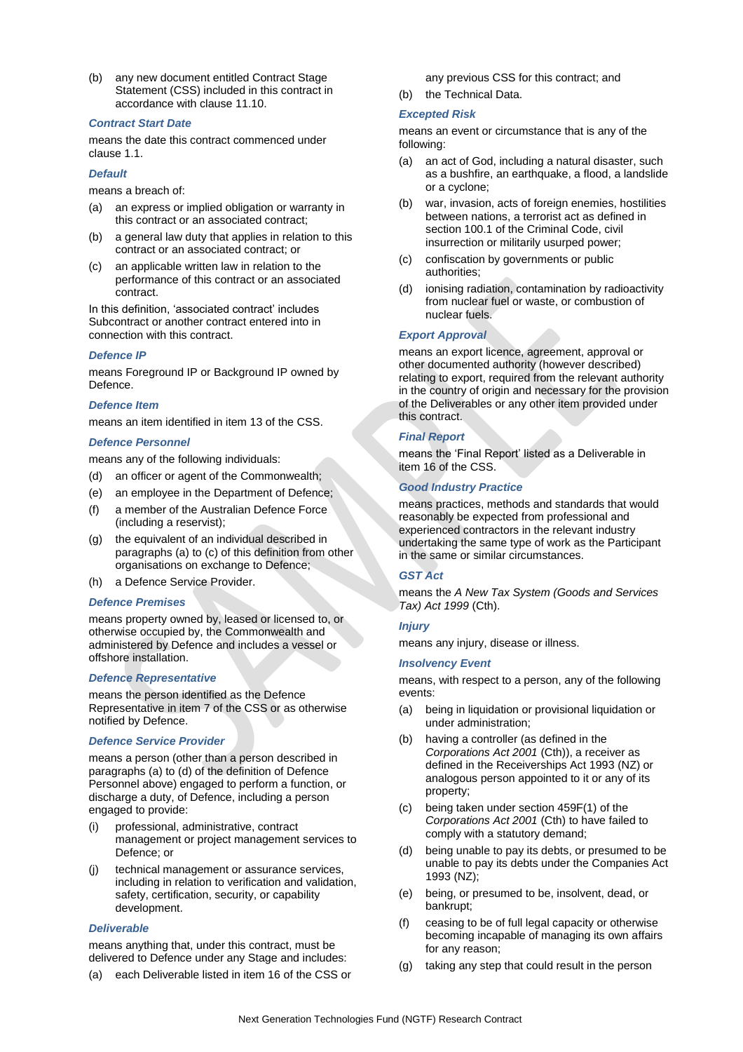(b) any new document entitled Contract Stage Statement (CSS) included in this contract in accordance with clause [11.10.](#page-11-9)

### *Contract Start Date*

means the date this contract commenced under clause 1.1.

#### *Default*

means a breach of:

- (a) an express or implied obligation or warranty in this contract or an associated contract;
- (b) a general law duty that applies in relation to this contract or an associated contract; or
- (c) an applicable written law in relation to the performance of this contract or an associated contract.

In this definition, 'associated contract' includes Subcontract or another contract entered into in connection with this contract.

#### *Defence IP*

means Foreground IP or Background IP owned by Defence.

#### *Defence Item*

means an item identified in item 13 of the CSS.

#### *Defence Personnel*

means any of the following individuals:

- (d) an officer or agent of the Commonwealth;
- (e) an employee in the Department of Defence;
- (f) a member of the Australian Defence Force (including a reservist);
- (g) the equivalent of an individual described in paragraphs (a) to (c) of this definition from other organisations on exchange to Defence;
- (h) a Defence Service Provider.

#### *Defence Premises*

means property owned by, leased or licensed to, or otherwise occupied by, the Commonwealth and administered by Defence and includes a vessel or offshore installation.

#### *Defence Representative*

means the person identified as the Defence Representative in item 7 of the CSS or as otherwise notified by Defence.

#### *Defence Service Provider*

means a person (other than a person described in paragraphs (a) to (d) of the definition of Defence Personnel above) engaged to perform a function, or discharge a duty, of Defence, including a person engaged to provide:

- (i) professional, administrative, contract management or project management services to Defence; or
- (j) technical management or assurance services, including in relation to verification and validation, safety, certification, security, or capability development.

### *Deliverable*

means anything that, under this contract, must be delivered to Defence under any Stage and includes:

(a) each Deliverable listed in item 16 of the CSS or

any previous CSS for this contract; and

(b) the Technical Data.

### *Excepted Risk*

means an event or circumstance that is any of the following:

- (a) an act of God, including a natural disaster, such as a bushfire, an earthquake, a flood, a landslide or a cyclone;
- (b) war, invasion, acts of foreign enemies, hostilities between nations, a terrorist act as defined in section 100.1 of the Criminal Code, civil insurrection or militarily usurped power;
- (c) confiscation by governments or public authorities;
- (d) ionising radiation, contamination by radioactivity from nuclear fuel or waste, or combustion of nuclear fuels.

# *Export Approval*

means an export licence, agreement, approval or other documented authority (however described) relating to export, required from the relevant authority in the country of origin and necessary for the provision of the Deliverables or any other item provided under this contract.

### *Final Report*

means the 'Final Report' listed as a Deliverable in item 16 of the CSS.

### *Good Industry Practice*

means practices, methods and standards that would reasonably be expected from professional and experienced contractors in the relevant industry undertaking the same type of work as the Participant in the same or similar circumstances.

### *GST Act*

means the *A New Tax System (Goods and Services Tax) Act 1999* (Cth).

### *Injury*

means any injury, disease or illness.

### *Insolvency Event*

means, with respect to a person, any of the following events:

- (a) being in liquidation or provisional liquidation or under administration;
- having a controller (as defined in the *Corporations Act 2001* (Cth)), a receiver as defined in the Receiverships Act 1993 (NZ) or analogous person appointed to it or any of its property;
- (c) being taken under section 459F(1) of the *Corporations Act 2001* (Cth) to have failed to comply with a statutory demand;
- (d) being unable to pay its debts, or presumed to be unable to pay its debts under the Companies Act 1993 (NZ);
- (e) being, or presumed to be, insolvent, dead, or bankrupt;
- (f) ceasing to be of full legal capacity or otherwise becoming incapable of managing its own affairs for any reason;
- (g) taking any step that could result in the person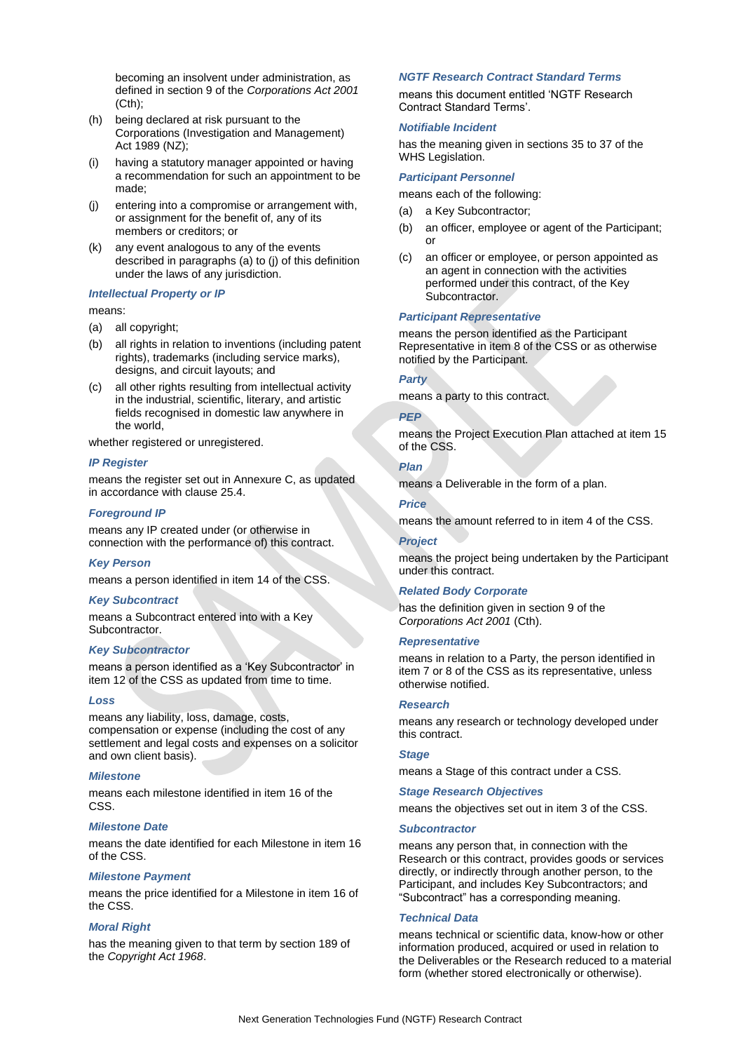becoming an insolvent under administration, as defined in section 9 of the *Corporations Act 2001* (Cth);

- (h) being declared at risk pursuant to the Corporations (Investigation and Management) Act 1989 (NZ);
- (i) having a statutory manager appointed or having a recommendation for such an appointment to be made;
- (j) entering into a compromise or arrangement with, or assignment for the benefit of, any of its members or creditors; or
- (k) any event analogous to any of the events described in paragraphs (a) to (j) of this definition under the laws of any jurisdiction.

#### *Intellectual Property or IP*

#### means:

- (a) all copyright;
- (b) all rights in relation to inventions (including patent rights), trademarks (including service marks), designs, and circuit layouts; and
- (c) all other rights resulting from intellectual activity in the industrial, scientific, literary, and artistic fields recognised in domestic law anywhere in the world,

whether registered or unregistered.

#### *IP Register*

means the register set out in Annexure C, as updated in accordance with clause 25.4.

### *Foreground IP*

means any IP created under (or otherwise in connection with the performance of) this contract.

### *Key Person*

means a person identified in item 14 of the CSS.

### *Key Subcontract*

means a Subcontract entered into with a Key Subcontractor.

### *Key Subcontractor*

means a person identified as a 'Key Subcontractor' in item 12 of the CSS as updated from time to time.

#### *Loss*

means any liability, loss, damage, costs, compensation or expense (including the cost of any settlement and legal costs and expenses on a solicitor and own client basis).

#### *Milestone*

means each milestone identified in item 16 of the CSS.

### *Milestone Date*

means the date identified for each Milestone in item 16 of the CSS.

#### *Milestone Payment*

means the price identified for a Milestone in item 16 of the CSS.

#### *Moral Right*

has the meaning given to that term by section 189 of the *Copyright Act 1968*.

### *NGTF Research Contract Standard Terms*

means this document entitled 'NGTF Research Contract Standard Terms'.

### *Notifiable Incident*

has the meaning given in sections 35 to 37 of the WHS Legislation.

### *Participant Personnel*

means each of the following:

- (a) a Key Subcontractor;
- (b) an officer, employee or agent of the Participant; or
- (c) an officer or employee, or person appointed as an agent in connection with the activities performed under this contract, of the Key Subcontractor.

#### *Participant Representative*

means the person identified as the Participant Representative in item 8 of the CSS or as otherwise notified by the Participant.

#### *Party*

means a party to this contract.

#### *PEP*

means the Project Execution Plan attached at item 15 of the CSS.

# *Plan*

means a Deliverable in the form of a plan.

# *Price*

means the amount referred to in item 4 of the CSS.

#### *Project*

means the project being undertaken by the Participant under this contract.

### *Related Body Corporate*

has the definition given in section 9 of the *Corporations Act 2001* (Cth).

### *Representative*

means in relation to a Party, the person identified in item 7 or 8 of the CSS as its representative, unless otherwise notified.

#### *Research*

means any research or technology developed under this contract.

#### *Stage*

means a Stage of this contract under a CSS.

#### *Stage Research Objectives*

means the objectives set out in item 3 of the CSS.

#### *Subcontractor*

means any person that, in connection with the Research or this contract, provides goods or services directly, or indirectly through another person, to the Participant, and includes Key Subcontractors; and "Subcontract" has a corresponding meaning.

#### *Technical Data*

means technical or scientific data, know-how or other information produced, acquired or used in relation to the Deliverables or the Research reduced to a material form (whether stored electronically or otherwise).